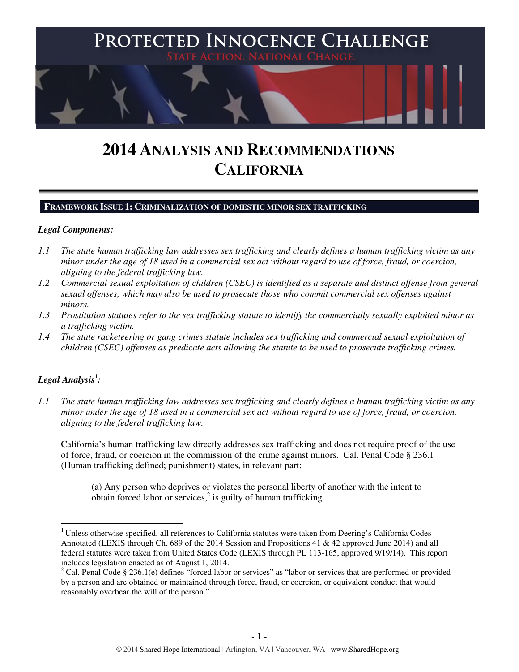

# **2014 ANALYSIS AND RECOMMENDATIONS CALIFORNIA**

#### **FRAMEWORK ISSUE 1: CRIMINALIZATION OF DOMESTIC MINOR SEX TRAFFICKING**

#### *Legal Components:*

- *1.1 The state human trafficking law addresses sex trafficking and clearly defines a human trafficking victim as any minor under the age of 18 used in a commercial sex act without regard to use of force, fraud, or coercion, aligning to the federal trafficking law.*
- *1.2 Commercial sexual exploitation of children (CSEC) is identified as a separate and distinct offense from general sexual offenses, which may also be used to prosecute those who commit commercial sex offenses against minors.*
- *1.3 Prostitution statutes refer to the sex trafficking statute to identify the commercially sexually exploited minor as a trafficking victim.*
- *1.4 The state racketeering or gang crimes statute includes sex trafficking and commercial sexual exploitation of children (CSEC) offenses as predicate acts allowing the statute to be used to prosecute trafficking crimes.*

\_\_\_\_\_\_\_\_\_\_\_\_\_\_\_\_\_\_\_\_\_\_\_\_\_\_\_\_\_\_\_\_\_\_\_\_\_\_\_\_\_\_\_\_\_\_\_\_\_\_\_\_\_\_\_\_\_\_\_\_\_\_\_\_\_\_\_\_\_\_\_\_\_\_\_\_\_\_\_\_\_\_\_\_\_\_\_\_\_\_\_\_\_\_

# ${\it Legal Analysis}^! \colon$

l

*1.1 The state human trafficking law addresses sex trafficking and clearly defines a human trafficking victim as any minor under the age of 18 used in a commercial sex act without regard to use of force, fraud, or coercion, aligning to the federal trafficking law.* 

California's human trafficking law directly addresses sex trafficking and does not require proof of the use of force, fraud, or coercion in the commission of the crime against minors. Cal. Penal Code § 236.1 (Human trafficking defined; punishment) states, in relevant part:

(a) Any person who deprives or violates the personal liberty of another with the intent to obtain forced labor or services, $2$  is guilty of human trafficking

<sup>&</sup>lt;sup>1</sup> Unless otherwise specified, all references to California statutes were taken from Deering's California Codes Annotated (LEXIS through Ch. 689 of the 2014 Session and Propositions 41 & 42 approved June 2014) and all federal statutes were taken from United States Code (LEXIS through PL 113-165, approved 9/19/14). This report includes legislation enacted as of August 1, 2014.

 $2^2$  Cal. Penal Code § 236.1(e) defines "forced labor or services" as "labor or services that are performed or provided by a person and are obtained or maintained through force, fraud, or coercion, or equivalent conduct that would reasonably overbear the will of the person."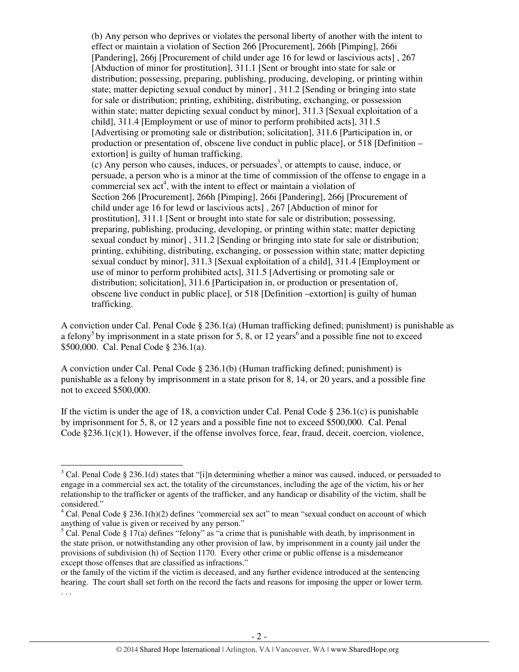(b) Any person who deprives or violates the personal liberty of another with the intent to effect or maintain a violation of Section 266 [Procurement], 266h [Pimping], 266i [Pandering], 266j [Procurement of child under age 16 for lewd or lascivious acts] , 267 [Abduction of minor for prostitution], 311.1 [Sent or brought into state for sale or distribution; possessing, preparing, publishing, producing, developing, or printing within state; matter depicting sexual conduct by minor] , 311.2 [Sending or bringing into state for sale or distribution; printing, exhibiting, distributing, exchanging, or possession within state; matter depicting sexual conduct by minor], 311.3 [Sexual exploitation of a child], 311.4 [Employment or use of minor to perform prohibited acts], 311.5 [Advertising or promoting sale or distribution; solicitation], 311.6 [Participation in, or production or presentation of, obscene live conduct in public place], or 518 [Definition – extortion] is guilty of human trafficking.  $(c)$  Any person who causes, induces, or persuades<sup>3</sup>, or attempts to cause, induce, or persuade, a person who is a minor at the time of commission of the offense to engage in a commercial sex  $act<sup>4</sup>$ , with the intent to effect or maintain a violation of Section 266 [Procurement], 266h [Pimping], 266i [Pandering], 266j [Procurement of child under age 16 for lewd or lascivious acts] , 267 [Abduction of minor for prostitution], 311.1 [Sent or brought into state for sale or distribution; possessing, preparing, publishing, producing, developing, or printing within state; matter depicting sexual conduct by minor] , 311.2 [Sending or bringing into state for sale or distribution; printing, exhibiting, distributing, exchanging, or possession within state; matter depicting sexual conduct by minor], 311.3 [Sexual exploitation of a child], 311.4 [Employment or use of minor to perform prohibited acts], 311.5 [Advertising or promoting sale or distribution; solicitation], 311.6 [Participation in, or production or presentation of, obscene live conduct in public place], or 518 [Definition –extortion] is guilty of human trafficking.

A conviction under Cal. Penal Code § 236.1(a) (Human trafficking defined; punishment) is punishable as a felony<sup>5</sup> by imprisonment in a state prison for 5, 8, or 12 years<sup>6</sup> and a possible fine not to exceed \$500,000. Cal. Penal Code § 236.1(a).

A conviction under Cal. Penal Code § 236.1(b) (Human trafficking defined; punishment) is punishable as a felony by imprisonment in a state prison for 8, 14, or 20 years, and a possible fine not to exceed \$500,000.

If the victim is under the age of 18, a conviction under Cal. Penal Code  $\S 236.1(c)$  is punishable by imprisonment for 5, 8, or 12 years and a possible fine not to exceed \$500,000. Cal. Penal Code §236.1(c)(1). However, if the offense involves force, fear, fraud, deceit, coercion, violence,

l

 $3$  Cal. Penal Code § 236.1(d) states that "[i]n determining whether a minor was caused, induced, or persuaded to engage in a commercial sex act, the totality of the circumstances, including the age of the victim, his or her relationship to the trafficker or agents of the trafficker, and any handicap or disability of the victim, shall be considered."

<sup>&</sup>lt;sup>4</sup> Cal. Penal Code § 236.1(h)(2) defines "commercial sex act" to mean "sexual conduct on account of which anything of value is given or received by any person."

 $5$  Cal. Penal Code § 17(a) defines "felony" as "a crime that is punishable with death, by imprisonment in the state prison, or notwithstanding any other provision of law, by imprisonment in a county jail under the provisions of subdivision (h) of Section 1170. Every other crime or public offense is a misdemeanor except those offenses that are classified as infractions."

or the family of the victim if the victim is deceased, and any further evidence introduced at the sentencing hearing. The court shall set forth on the record the facts and reasons for imposing the upper or lower term. . . .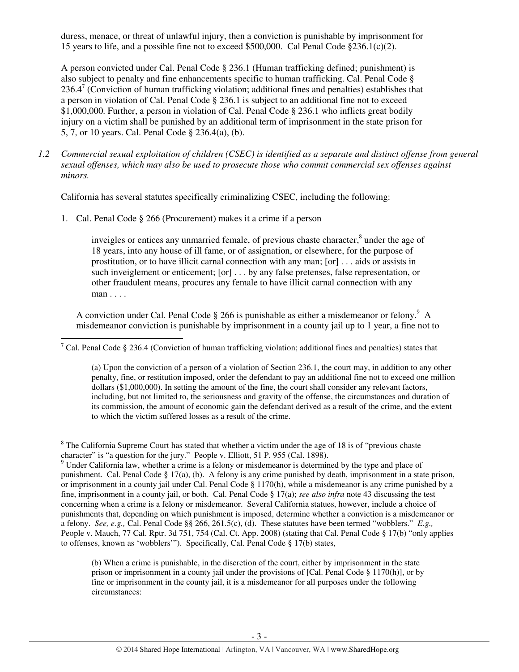duress, menace, or threat of unlawful injury, then a conviction is punishable by imprisonment for 15 years to life, and a possible fine not to exceed \$500,000. Cal Penal Code  $\S 236.1(c)(2)$ .

A person convicted under Cal. Penal Code § 236.1 (Human trafficking defined; punishment) is also subject to penalty and fine enhancements specific to human trafficking. Cal. Penal Code §  $236.4^7$  (Conviction of human trafficking violation; additional fines and penalties) establishes that a person in violation of Cal. Penal Code § 236.1 is subject to an additional fine not to exceed \$1,000,000. Further, a person in violation of Cal. Penal Code § 236.1 who inflicts great bodily injury on a victim shall be punished by an additional term of imprisonment in the state prison for 5, 7, or 10 years. Cal. Penal Code § 236.4(a), (b).

*1.2 Commercial sexual exploitation of children (CSEC) is identified as a separate and distinct offense from general sexual offenses, which may also be used to prosecute those who commit commercial sex offenses against minors.* 

California has several statutes specifically criminalizing CSEC, including the following:

1. Cal. Penal Code § 266 (Procurement) makes it a crime if a person

l

inveigles or entices any unmarried female, of previous chaste character,<sup>8</sup> under the age of 18 years, into any house of ill fame, or of assignation, or elsewhere, for the purpose of prostitution, or to have illicit carnal connection with any man; [or] . . . aids or assists in such inveiglement or enticement; [or] . . . by any false pretenses, false representation, or other fraudulent means, procures any female to have illicit carnal connection with any man . . . .

A conviction under Cal. Penal Code  $\S 266$  is punishable as either a misdemeanor or felony.<sup>9</sup> A misdemeanor conviction is punishable by imprisonment in a county jail up to 1 year, a fine not to

<sup>7</sup> Cal. Penal Code § 236.4 (Conviction of human trafficking violation; additional fines and penalties) states that

(a) Upon the conviction of a person of a violation of Section 236.1, the court may, in addition to any other penalty, fine, or restitution imposed, order the defendant to pay an additional fine not to exceed one million dollars (\$1,000,000). In setting the amount of the fine, the court shall consider any relevant factors, including, but not limited to, the seriousness and gravity of the offense, the circumstances and duration of its commission, the amount of economic gain the defendant derived as a result of the crime, and the extent to which the victim suffered losses as a result of the crime.

 $8$  The California Supreme Court has stated that whether a victim under the age of 18 is of "previous chaste" character" is "a question for the jury." People v. Elliott, 51 P. 955 (Cal. 1898).

<sup>9</sup> Under California law, whether a crime is a felony or misdemeanor is determined by the type and place of punishment. Cal. Penal Code § 17(a), (b). A felony is any crime punished by death, imprisonment in a state prison, or imprisonment in a county jail under Cal. Penal Code § 1170(h), while a misdemeanor is any crime punished by a fine, imprisonment in a county jail, or both. Cal. Penal Code § 17(a); *see also infra* note 43 discussing the test concerning when a crime is a felony or misdemeanor. Several California statues, however, include a choice of punishments that, depending on which punishment is imposed, determine whether a conviction is a misdemeanor or a felony. *See, e.g.,* Cal. Penal Code §§ 266, 261.5(c), (d). These statutes have been termed "wobblers." *E.g.,*  People v. Mauch, 77 Cal. Rptr. 3d 751, 754 (Cal. Ct. App. 2008) (stating that Cal. Penal Code § 17(b) "only applies to offenses, known as 'wobblers'"). Specifically, Cal. Penal Code § 17(b) states,

(b) When a crime is punishable, in the discretion of the court, either by imprisonment in the state prison or imprisonment in a county jail under the provisions of [Cal. Penal Code § 1170(h)], or by fine or imprisonment in the county jail, it is a misdemeanor for all purposes under the following circumstances: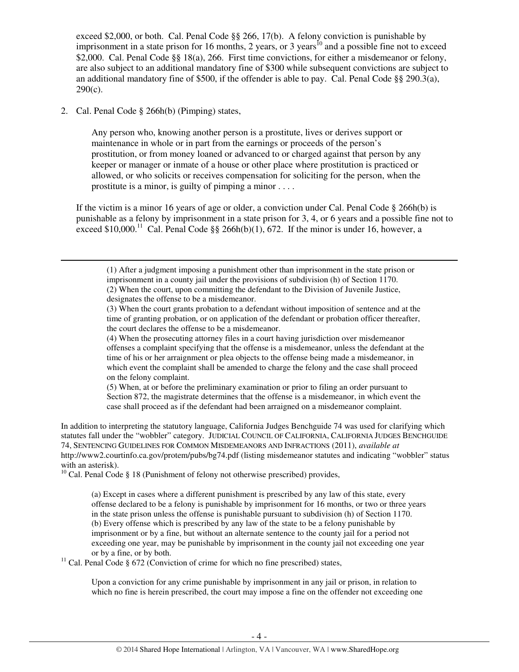exceed \$2,000, or both. Cal. Penal Code §§ 266, 17(b). A felony conviction is punishable by imprisonment in a state prison for 16 months, 2 years, or 3 years<sup>10</sup> and a possible fine not to exceed \$2,000. Cal. Penal Code §§ 18(a), 266. First time convictions, for either a misdemeanor or felony, are also subject to an additional mandatory fine of \$300 while subsequent convictions are subject to an additional mandatory fine of \$500, if the offender is able to pay. Cal. Penal Code  $\S$ § 290.3(a),  $290(c)$ .

2. Cal. Penal Code § 266h(b) (Pimping) states,

 $\overline{a}$ 

Any person who, knowing another person is a prostitute, lives or derives support or maintenance in whole or in part from the earnings or proceeds of the person's prostitution, or from money loaned or advanced to or charged against that person by any keeper or manager or inmate of a house or other place where prostitution is practiced or allowed, or who solicits or receives compensation for soliciting for the person, when the prostitute is a minor, is guilty of pimping a minor . . . .

If the victim is a minor 16 years of age or older, a conviction under Cal. Penal Code  $\S$  266h(b) is punishable as a felony by imprisonment in a state prison for 3, 4, or 6 years and a possible fine not to exceed \$10,000.<sup>11</sup> Cal. Penal Code §§ 266h(b)(1), 672. If the minor is under 16, however, a

(1) After a judgment imposing a punishment other than imprisonment in the state prison or imprisonment in a county jail under the provisions of subdivision (h) of Section 1170. (2) When the court, upon committing the defendant to the Division of Juvenile Justice, designates the offense to be a misdemeanor.

(4) When the prosecuting attorney files in a court having jurisdiction over misdemeanor offenses a complaint specifying that the offense is a misdemeanor, unless the defendant at the time of his or her arraignment or plea objects to the offense being made a misdemeanor, in which event the complaint shall be amended to charge the felony and the case shall proceed on the felony complaint.

(5) When, at or before the preliminary examination or prior to filing an order pursuant to Section 872, the magistrate determines that the offense is a misdemeanor, in which event the case shall proceed as if the defendant had been arraigned on a misdemeanor complaint.

In addition to interpreting the statutory language, California Judges Benchguide 74 was used for clarifying which statutes fall under the "wobbler" category. JUDICIAL COUNCIL OF CALIFORNIA, CALIFORNIA JUDGES BENCHGUIDE 74, SENTENCING GUIDELINES FOR COMMON MISDEMEANORS AND INFRACTIONS (2011), *available at*  http://www2.courtinfo.ca.gov/protem/pubs/bg74.pdf (listing misdemeanor statutes and indicating "wobbler" status with an asterisk).

 $10$  Cal. Penal Code § 18 (Punishment of felony not otherwise prescribed) provides,

<sup>11</sup> Cal. Penal Code § 672 (Conviction of crime for which no fine prescribed) states,

Upon a conviction for any crime punishable by imprisonment in any jail or prison, in relation to which no fine is herein prescribed, the court may impose a fine on the offender not exceeding one

<sup>(3)</sup> When the court grants probation to a defendant without imposition of sentence and at the time of granting probation, or on application of the defendant or probation officer thereafter, the court declares the offense to be a misdemeanor.

<sup>(</sup>a) Except in cases where a different punishment is prescribed by any law of this state, every offense declared to be a felony is punishable by imprisonment for 16 months, or two or three years in the state prison unless the offense is punishable pursuant to subdivision (h) of Section 1170. (b) Every offense which is prescribed by any law of the state to be a felony punishable by imprisonment or by a fine, but without an alternate sentence to the county jail for a period not exceeding one year, may be punishable by imprisonment in the county jail not exceeding one year or by a fine, or by both.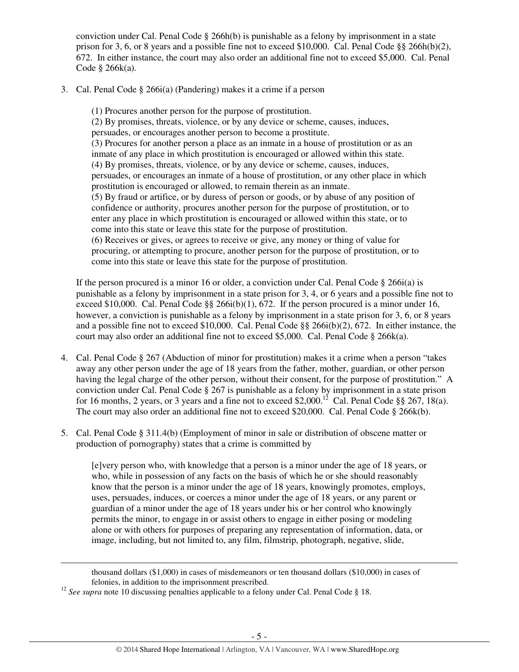conviction under Cal. Penal Code  $\S$  266h(b) is punishable as a felony by imprisonment in a state prison for 3, 6, or 8 years and a possible fine not to exceed \$10,000. Cal. Penal Code §§ 266h(b)(2), 672. In either instance, the court may also order an additional fine not to exceed \$5,000. Cal. Penal Code § 266k(a).

3. Cal. Penal Code § 266i(a) (Pandering) makes it a crime if a person

(1) Procures another person for the purpose of prostitution. (2) By promises, threats, violence, or by any device or scheme, causes, induces, persuades, or encourages another person to become a prostitute. (3) Procures for another person a place as an inmate in a house of prostitution or as an inmate of any place in which prostitution is encouraged or allowed within this state. (4) By promises, threats, violence, or by any device or scheme, causes, induces, persuades, or encourages an inmate of a house of prostitution, or any other place in which prostitution is encouraged or allowed, to remain therein as an inmate. (5) By fraud or artifice, or by duress of person or goods, or by abuse of any position of confidence or authority, procures another person for the purpose of prostitution, or to enter any place in which prostitution is encouraged or allowed within this state, or to come into this state or leave this state for the purpose of prostitution. (6) Receives or gives, or agrees to receive or give, any money or thing of value for procuring, or attempting to procure, another person for the purpose of prostitution, or to come into this state or leave this state for the purpose of prostitution.

If the person procured is a minor 16 or older, a conviction under Cal. Penal Code  $\S$  266i(a) is punishable as a felony by imprisonment in a state prison for 3, 4, or 6 years and a possible fine not to exceed \$10,000. Cal. Penal Code  $\&$  266i(b)(1), 672. If the person procured is a minor under 16, however, a conviction is punishable as a felony by imprisonment in a state prison for 3, 6, or 8 years and a possible fine not to exceed \$10,000. Cal. Penal Code §§ 266i(b)(2), 672. In either instance, the court may also order an additional fine not to exceed \$5,000. Cal. Penal Code § 266 $k$ (a).

- 4. Cal. Penal Code § 267 (Abduction of minor for prostitution) makes it a crime when a person "takes away any other person under the age of 18 years from the father, mother, guardian, or other person having the legal charge of the other person, without their consent, for the purpose of prostitution." A conviction under Cal. Penal Code § 267 is punishable as a felony by imprisonment in a state prison for 16 months, 2 years, or 3 years and a fine not to exceed \$2,000.<sup>12</sup> Cal. Penal Code §§ 267, 18(a). The court may also order an additional fine not to exceed \$20,000. Cal. Penal Code § 266k(b).
- 5. Cal. Penal Code § 311.4(b) (Employment of minor in sale or distribution of obscene matter or production of pornography) states that a crime is committed by

[e]very person who, with knowledge that a person is a minor under the age of 18 years, or who, while in possession of any facts on the basis of which he or she should reasonably know that the person is a minor under the age of 18 years, knowingly promotes, employs, uses, persuades, induces, or coerces a minor under the age of 18 years, or any parent or guardian of a minor under the age of 18 years under his or her control who knowingly permits the minor, to engage in or assist others to engage in either posing or modeling alone or with others for purposes of preparing any representation of information, data, or image, including, but not limited to, any film, filmstrip, photograph, negative, slide,

thousand dollars (\$1,000) in cases of misdemeanors or ten thousand dollars (\$10,000) in cases of felonies, in addition to the imprisonment prescribed.

<sup>&</sup>lt;sup>12</sup> See supra note 10 discussing penalties applicable to a felony under Cal. Penal Code § 18.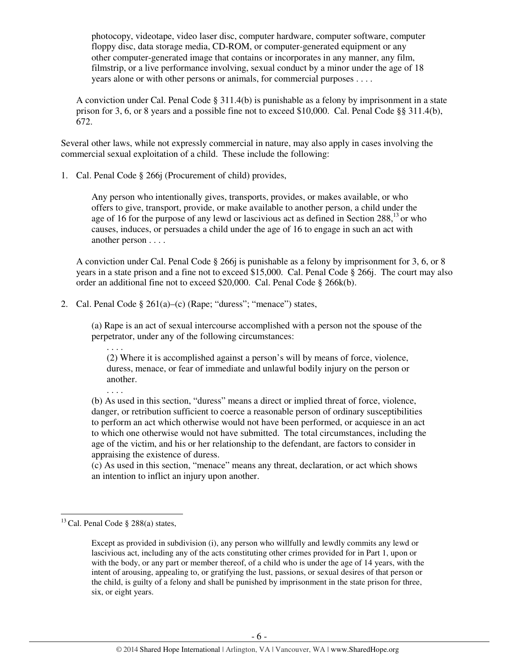photocopy, videotape, video laser disc, computer hardware, computer software, computer floppy disc, data storage media, CD-ROM, or computer-generated equipment or any other computer-generated image that contains or incorporates in any manner, any film, filmstrip, or a live performance involving, sexual conduct by a minor under the age of 18 years alone or with other persons or animals, for commercial purposes . . . .

A conviction under Cal. Penal Code  $\S 311.4(b)$  is punishable as a felony by imprisonment in a state prison for 3, 6, or 8 years and a possible fine not to exceed \$10,000. Cal. Penal Code §§ 311.4(b), 672.

Several other laws, while not expressly commercial in nature, may also apply in cases involving the commercial sexual exploitation of a child. These include the following:

1. Cal. Penal Code § 266j (Procurement of child) provides,

Any person who intentionally gives, transports, provides, or makes available, or who offers to give, transport, provide, or make available to another person, a child under the age of 16 for the purpose of any lewd or lascivious act as defined in Section  $288$ ,<sup>13</sup> or who causes, induces, or persuades a child under the age of 16 to engage in such an act with another person . . . .

A conviction under Cal. Penal Code § 266j is punishable as a felony by imprisonment for 3, 6, or 8 years in a state prison and a fine not to exceed \$15,000. Cal. Penal Code § 266j. The court may also order an additional fine not to exceed \$20,000. Cal. Penal Code § 266k(b).

2. Cal. Penal Code  $\S 261(a)$ –(c) (Rape; "duress"; "menace") states,

(a) Rape is an act of sexual intercourse accomplished with a person not the spouse of the perpetrator, under any of the following circumstances:

. . . . (2) Where it is accomplished against a person's will by means of force, violence, duress, menace, or fear of immediate and unlawful bodily injury on the person or another.

(b) As used in this section, "duress" means a direct or implied threat of force, violence, danger, or retribution sufficient to coerce a reasonable person of ordinary susceptibilities to perform an act which otherwise would not have been performed, or acquiesce in an act to which one otherwise would not have submitted. The total circumstances, including the age of the victim, and his or her relationship to the defendant, are factors to consider in appraising the existence of duress.

(c) As used in this section, "menace" means any threat, declaration, or act which shows an intention to inflict an injury upon another.

l

. . . .

<sup>&</sup>lt;sup>13</sup> Cal. Penal Code § 288(a) states,

Except as provided in subdivision (i), any person who willfully and lewdly commits any lewd or lascivious act, including any of the acts constituting other crimes provided for in Part 1, upon or with the body, or any part or member thereof, of a child who is under the age of 14 years, with the intent of arousing, appealing to, or gratifying the lust, passions, or sexual desires of that person or the child, is guilty of a felony and shall be punished by imprisonment in the state prison for three, six, or eight years.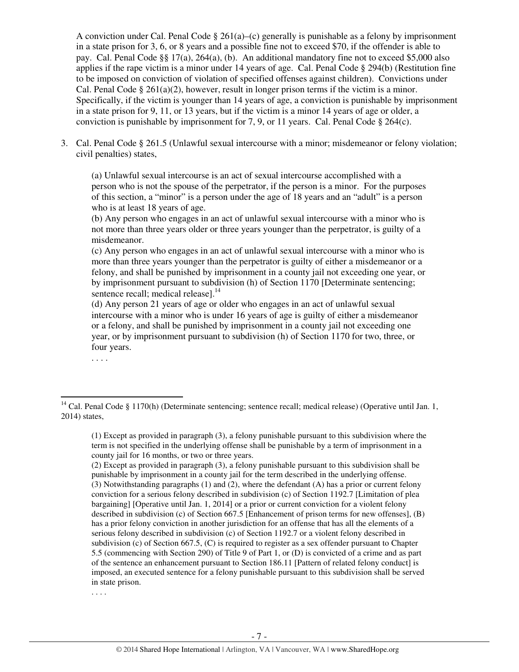A conviction under Cal. Penal Code § 261(a)–(c) generally is punishable as a felony by imprisonment in a state prison for 3, 6, or 8 years and a possible fine not to exceed \$70, if the offender is able to pay. Cal. Penal Code §§ 17(a), 264(a), (b). An additional mandatory fine not to exceed \$5,000 also applies if the rape victim is a minor under 14 years of age. Cal. Penal Code § 294(b) (Restitution fine to be imposed on conviction of violation of specified offenses against children). Convictions under Cal. Penal Code § 261(a)(2), however, result in longer prison terms if the victim is a minor. Specifically, if the victim is younger than 14 years of age, a conviction is punishable by imprisonment in a state prison for 9, 11, or 13 years, but if the victim is a minor 14 years of age or older, a conviction is punishable by imprisonment for 7, 9, or 11 years. Cal. Penal Code  $\S 264(c)$ .

3. Cal. Penal Code § 261.5 (Unlawful sexual intercourse with a minor; misdemeanor or felony violation; civil penalties) states,

(a) Unlawful sexual intercourse is an act of sexual intercourse accomplished with a person who is not the spouse of the perpetrator, if the person is a minor. For the purposes of this section, a "minor" is a person under the age of 18 years and an "adult" is a person who is at least 18 years of age.

(b) Any person who engages in an act of unlawful sexual intercourse with a minor who is not more than three years older or three years younger than the perpetrator, is guilty of a misdemeanor.

(c) Any person who engages in an act of unlawful sexual intercourse with a minor who is more than three years younger than the perpetrator is guilty of either a misdemeanor or a felony, and shall be punished by imprisonment in a county jail not exceeding one year, or by imprisonment pursuant to subdivision (h) of Section 1170 [Determinate sentencing; sentence recall; medical release].<sup>14</sup>

(d) Any person 21 years of age or older who engages in an act of unlawful sexual intercourse with a minor who is under 16 years of age is guilty of either a misdemeanor or a felony, and shall be punished by imprisonment in a county jail not exceeding one year, or by imprisonment pursuant to subdivision (h) of Section 1170 for two, three, or four years.

. . . .

<sup>&</sup>lt;sup>14</sup> Cal. Penal Code § 1170(h) (Determinate sentencing; sentence recall; medical release) (Operative until Jan. 1, 2014) states,

<sup>(1)</sup> Except as provided in paragraph (3), a felony punishable pursuant to this subdivision where the term is not specified in the underlying offense shall be punishable by a term of imprisonment in a county jail for 16 months, or two or three years.

<sup>(2)</sup> Except as provided in paragraph (3), a felony punishable pursuant to this subdivision shall be punishable by imprisonment in a county jail for the term described in the underlying offense. (3) Notwithstanding paragraphs (1) and (2), where the defendant (A) has a prior or current felony conviction for a serious felony described in subdivision (c) of Section 1192.7 [Limitation of plea bargaining] [Operative until Jan. 1, 2014] or a prior or current conviction for a violent felony described in subdivision (c) of Section 667.5 [Enhancement of prison terms for new offenses], (B) has a prior felony conviction in another jurisdiction for an offense that has all the elements of a serious felony described in subdivision (c) of Section 1192.7 or a violent felony described in subdivision (c) of Section 667.5, (C) is required to register as a sex offender pursuant to Chapter 5.5 (commencing with Section 290) of Title 9 of Part 1, or (D) is convicted of a crime and as part of the sentence an enhancement pursuant to Section 186.11 [Pattern of related felony conduct] is imposed, an executed sentence for a felony punishable pursuant to this subdivision shall be served in state prison.

<sup>. . . .</sup>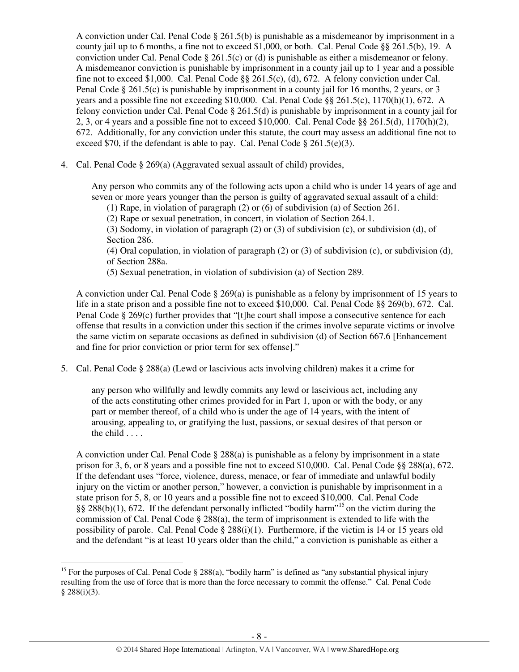A conviction under Cal. Penal Code § 261.5(b) is punishable as a misdemeanor by imprisonment in a county jail up to 6 months, a fine not to exceed \$1,000, or both. Cal. Penal Code §§ 261.5(b), 19. A conviction under Cal. Penal Code  $\S 261.5(c)$  or (d) is punishable as either a misdemeanor or felony. A misdemeanor conviction is punishable by imprisonment in a county jail up to 1 year and a possible fine not to exceed \$1,000. Cal. Penal Code  $\S$ § 261.5(c), (d), 672. A felony conviction under Cal. Penal Code § 261.5(c) is punishable by imprisonment in a county jail for 16 months, 2 years, or 3 years and a possible fine not exceeding \$10,000. Cal. Penal Code §§ 261.5(c), 1170(h)(1), 672. A felony conviction under Cal. Penal Code § 261.5(d) is punishable by imprisonment in a county jail for 2, 3, or 4 years and a possible fine not to exceed \$10,000. Cal. Penal Code §§ 261.5(d), 1170(h)(2), 672. Additionally, for any conviction under this statute, the court may assess an additional fine not to exceed \$70, if the defendant is able to pay. Cal. Penal Code  $\S 261.5(e)(3)$ .

4. Cal. Penal Code § 269(a) (Aggravated sexual assault of child) provides,

Any person who commits any of the following acts upon a child who is under 14 years of age and seven or more years younger than the person is guilty of aggravated sexual assault of a child:

(1) Rape, in violation of paragraph (2) or (6) of subdivision (a) of Section 261.

(2) Rape or sexual penetration, in concert, in violation of Section 264.1.

(3) Sodomy, in violation of paragraph (2) or (3) of subdivision (c), or subdivision (d), of Section 286.

(4) Oral copulation, in violation of paragraph (2) or (3) of subdivision (c), or subdivision (d), of Section 288a.

(5) Sexual penetration, in violation of subdivision (a) of Section 289.

A conviction under Cal. Penal Code  $\S 269(a)$  is punishable as a felony by imprisonment of 15 years to life in a state prison and a possible fine not to exceed \$10,000. Cal. Penal Code §§ 269(b), 672. Cal. Penal Code § 269(c) further provides that "[t]he court shall impose a consecutive sentence for each offense that results in a conviction under this section if the crimes involve separate victims or involve the same victim on separate occasions as defined in subdivision (d) of Section 667.6 [Enhancement and fine for prior conviction or prior term for sex offense]."

5. Cal. Penal Code § 288(a) (Lewd or lascivious acts involving children) makes it a crime for

any person who willfully and lewdly commits any lewd or lascivious act, including any of the acts constituting other crimes provided for in Part 1, upon or with the body, or any part or member thereof, of a child who is under the age of 14 years, with the intent of arousing, appealing to, or gratifying the lust, passions, or sexual desires of that person or the child . . . .

A conviction under Cal. Penal Code  $\S 288(a)$  is punishable as a felony by imprisonment in a state prison for 3, 6, or 8 years and a possible fine not to exceed \$10,000. Cal. Penal Code §§ 288(a), 672. If the defendant uses "force, violence, duress, menace, or fear of immediate and unlawful bodily injury on the victim or another person," however, a conviction is punishable by imprisonment in a state prison for 5, 8, or 10 years and a possible fine not to exceed \$10,000. Cal. Penal Code §§ 288(b)(1), 672. If the defendant personally inflicted "bodily harm"<sup>15</sup> on the victim during the commission of Cal. Penal Code  $\S 288(a)$ , the term of imprisonment is extended to life with the possibility of parole. Cal. Penal Code  $\S 288(i)(1)$ . Furthermore, if the victim is 14 or 15 years old and the defendant "is at least 10 years older than the child," a conviction is punishable as either a

<sup>&</sup>lt;sup>15</sup> For the purposes of Cal. Penal Code § 288(a), "bodily harm" is defined as "any substantial physical injury resulting from the use of force that is more than the force necessary to commit the offense." Cal. Penal Code  $§$  288(i)(3).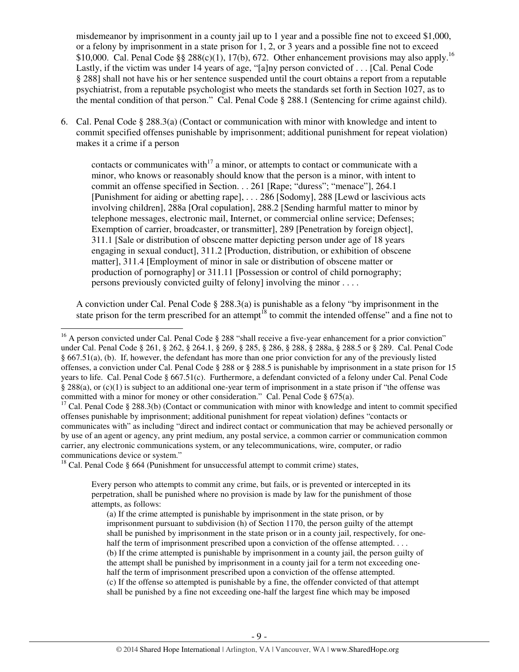misdemeanor by imprisonment in a county jail up to 1 year and a possible fine not to exceed \$1,000, or a felony by imprisonment in a state prison for 1, 2, or 3 years and a possible fine not to exceed \$10,000. Cal. Penal Code §§ 288(c)(1), 17(b), 672. Other enhancement provisions may also apply.<sup>16</sup> Lastly, if the victim was under 14 years of age, "[a]ny person convicted of . . . [Cal. Penal Code § 288] shall not have his or her sentence suspended until the court obtains a report from a reputable psychiatrist, from a reputable psychologist who meets the standards set forth in Section 1027, as to the mental condition of that person." Cal. Penal Code § 288.1 (Sentencing for crime against child).

6. Cal. Penal Code § 288.3(a) (Contact or communication with minor with knowledge and intent to commit specified offenses punishable by imprisonment; additional punishment for repeat violation) makes it a crime if a person

contacts or communicates with<sup>17</sup> a minor, or attempts to contact or communicate with a minor, who knows or reasonably should know that the person is a minor, with intent to commit an offense specified in Section. . . 261 [Rape; "duress"; "menace"], 264.1 [Punishment for aiding or abetting rape], . . . 286 [Sodomy], 288 [Lewd or lascivious acts involving children], 288a [Oral copulation], 288.2 [Sending harmful matter to minor by telephone messages, electronic mail, Internet, or commercial online service; Defenses; Exemption of carrier, broadcaster, or transmitter], 289 [Penetration by foreign object], 311.1 [Sale or distribution of obscene matter depicting person under age of 18 years engaging in sexual conduct], 311.2 [Production, distribution, or exhibition of obscene matter], 311.4 [Employment of minor in sale or distribution of obscene matter or production of pornography] or 311.11 [Possession or control of child pornography; persons previously convicted guilty of felony] involving the minor . . . .

A conviction under Cal. Penal Code § 288.3(a) is punishable as a felony "by imprisonment in the state prison for the term prescribed for an attempt<sup>18</sup> to commit the intended offense" and a fine not to

<sup>18</sup> Cal. Penal Code § 664 (Punishment for unsuccessful attempt to commit crime) states,

 $\overline{a}$ 

Every person who attempts to commit any crime, but fails, or is prevented or intercepted in its perpetration, shall be punished where no provision is made by law for the punishment of those attempts, as follows:

(a) If the crime attempted is punishable by imprisonment in the state prison, or by imprisonment pursuant to subdivision (h) of Section 1170, the person guilty of the attempt shall be punished by imprisonment in the state prison or in a county jail, respectively, for onehalf the term of imprisonment prescribed upon a conviction of the offense attempted. . . . (b) If the crime attempted is punishable by imprisonment in a county jail, the person guilty of the attempt shall be punished by imprisonment in a county jail for a term not exceeding onehalf the term of imprisonment prescribed upon a conviction of the offense attempted. (c) If the offense so attempted is punishable by a fine, the offender convicted of that attempt shall be punished by a fine not exceeding one-half the largest fine which may be imposed

<sup>&</sup>lt;sup>16</sup> A person convicted under Cal. Penal Code § 288 "shall receive a five-year enhancement for a prior conviction" under Cal. Penal Code § 261, § 262, § 264.1, § 269, § 285, § 286, § 288, § 288a, § 288.5 or § 289. Cal. Penal Code § 667.51(a), (b). If, however, the defendant has more than one prior conviction for any of the previously listed offenses, a conviction under Cal. Penal Code § 288 or § 288.5 is punishable by imprisonment in a state prison for 15 years to life. Cal. Penal Code § 667.51(c). Furthermore, a defendant convicted of a felony under Cal. Penal Code § 288(a), or (c)(1) is subject to an additional one-year term of imprisonment in a state prison if "the offense was committed with a minor for money or other consideration." Cal. Penal Code § 675(a).

<sup>&</sup>lt;sup>17</sup> Cal. Penal Code § 288.3(b) (Contact or communication with minor with knowledge and intent to commit specified offenses punishable by imprisonment; additional punishment for repeat violation) defines "contacts or communicates with" as including "direct and indirect contact or communication that may be achieved personally or by use of an agent or agency, any print medium, any postal service, a common carrier or communication common carrier, any electronic communications system, or any telecommunications, wire, computer, or radio communications device or system."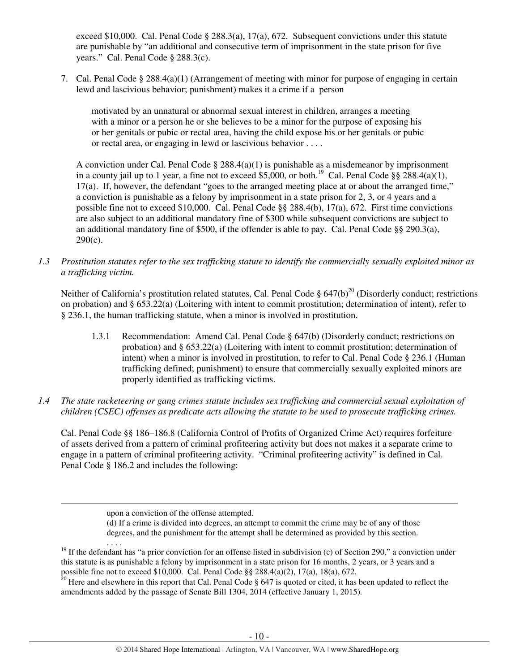exceed \$10,000. Cal. Penal Code § 288.3(a), 17(a), 672. Subsequent convictions under this statute are punishable by "an additional and consecutive term of imprisonment in the state prison for five years." Cal. Penal Code § 288.3(c).

7. Cal. Penal Code § 288.4(a)(1) (Arrangement of meeting with minor for purpose of engaging in certain lewd and lascivious behavior; punishment) makes it a crime if a person

motivated by an unnatural or abnormal sexual interest in children, arranges a meeting with a minor or a person he or she believes to be a minor for the purpose of exposing his or her genitals or pubic or rectal area, having the child expose his or her genitals or pubic or rectal area, or engaging in lewd or lascivious behavior . . . .

A conviction under Cal. Penal Code  $\S 288.4(a)(1)$  is punishable as a misdemeanor by imprisonment in a county jail up to 1 year, a fine not to exceed \$5,000, or both.<sup>19</sup> Cal. Penal Code §§ 288.4(a)(1), 17(a). If, however, the defendant "goes to the arranged meeting place at or about the arranged time," a conviction is punishable as a felony by imprisonment in a state prison for 2, 3, or 4 years and a possible fine not to exceed \$10,000. Cal. Penal Code §§ 288.4(b), 17(a), 672. First time convictions are also subject to an additional mandatory fine of \$300 while subsequent convictions are subject to an additional mandatory fine of \$500, if the offender is able to pay. Cal. Penal Code  $\S$ § 290.3(a), 290(c).

*1.3 Prostitution statutes refer to the sex trafficking statute to identify the commercially sexually exploited minor as a trafficking victim.* 

Neither of California's prostitution related statutes, Cal. Penal Code  $\S$  647(b)<sup>20</sup> (Disorderly conduct; restrictions on probation) and § 653.22(a) (Loitering with intent to commit prostitution; determination of intent), refer to § 236.1, the human trafficking statute, when a minor is involved in prostitution.

- 1.3.1 Recommendation: Amend Cal. Penal Code § 647(b) (Disorderly conduct; restrictions on probation) and § 653.22(a) (Loitering with intent to commit prostitution; determination of intent) when a minor is involved in prostitution, to refer to Cal. Penal Code § 236.1 (Human trafficking defined; punishment) to ensure that commercially sexually exploited minors are properly identified as trafficking victims.
- *1.4 The state racketeering or gang crimes statute includes sex trafficking and commercial sexual exploitation of children (CSEC) offenses as predicate acts allowing the statute to be used to prosecute trafficking crimes.*

Cal. Penal Code §§ 186–186.8 (California Control of Profits of Organized Crime Act) requires forfeiture of assets derived from a pattern of criminal profiteering activity but does not makes it a separate crime to engage in a pattern of criminal profiteering activity. "Criminal profiteering activity" is defined in Cal. Penal Code § 186.2 and includes the following:

l

. . . .

(d) If a crime is divided into degrees, an attempt to commit the crime may be of any of those degrees, and the punishment for the attempt shall be determined as provided by this section.

upon a conviction of the offense attempted.

<sup>&</sup>lt;sup>19</sup> If the defendant has "a prior conviction for an offense listed in subdivision (c) of Section 290," a conviction under this statute is as punishable a felony by imprisonment in a state prison for 16 months, 2 years, or 3 years and a possible fine not to exceed \$10,000. Cal. Penal Code §§ 288.4(a)(2), 17(a), 18(a), 672.

<sup>&</sup>lt;sup>20</sup> Here and elsewhere in this report that Cal. Penal Code  $\S$  647 is quoted or cited, it has been updated to reflect the amendments added by the passage of Senate Bill 1304, 2014 (effective January 1, 2015).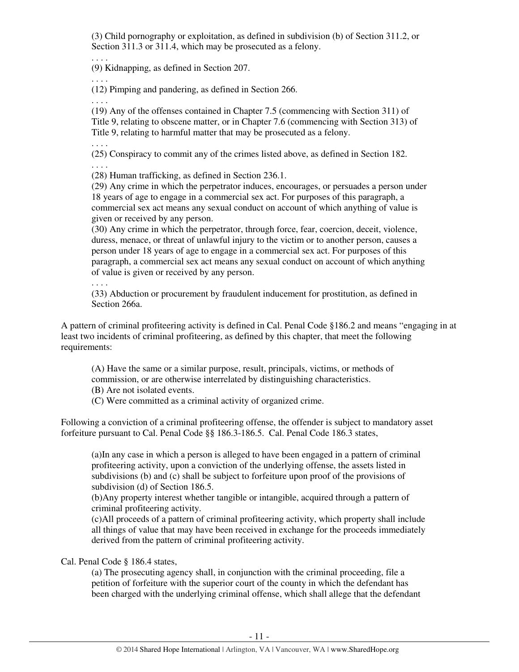(3) Child pornography or exploitation, as defined in subdivision (b) of Section 311.2, or Section 311.3 or 311.4, which may be prosecuted as a felony.

. . . . (9) Kidnapping, as defined in Section 207.

. . . .

(12) Pimping and pandering, as defined in Section 266.

. . . .

. . . .

. . . .

(19) Any of the offenses contained in Chapter 7.5 (commencing with Section 311) of Title 9, relating to obscene matter, or in Chapter 7.6 (commencing with Section 313) of Title 9, relating to harmful matter that may be prosecuted as a felony.

(25) Conspiracy to commit any of the crimes listed above, as defined in Section 182.

(28) Human trafficking, as defined in Section 236.1.

(29) Any crime in which the perpetrator induces, encourages, or persuades a person under 18 years of age to engage in a commercial sex act. For purposes of this paragraph, a commercial sex act means any sexual conduct on account of which anything of value is given or received by any person.

(30) Any crime in which the perpetrator, through force, fear, coercion, deceit, violence, duress, menace, or threat of unlawful injury to the victim or to another person, causes a person under 18 years of age to engage in a commercial sex act. For purposes of this paragraph, a commercial sex act means any sexual conduct on account of which anything of value is given or received by any person.

. . . .

(33) Abduction or procurement by fraudulent inducement for prostitution, as defined in Section 266a.

A pattern of criminal profiteering activity is defined in Cal. Penal Code §186.2 and means "engaging in at least two incidents of criminal profiteering, as defined by this chapter, that meet the following requirements:

(A) Have the same or a similar purpose, result, principals, victims, or methods of commission, or are otherwise interrelated by distinguishing characteristics.

(B) Are not isolated events.

(C) Were committed as a criminal activity of organized crime.

Following a conviction of a criminal profiteering offense, the offender is subject to mandatory asset forfeiture pursuant to Cal. Penal Code §§ 186.3-186.5. Cal. Penal Code 186.3 states,

(a)In any case in which a person is alleged to have been engaged in a pattern of criminal profiteering activity, upon a conviction of the underlying offense, the assets listed in subdivisions (b) and (c) shall be subject to forfeiture upon proof of the provisions of subdivision (d) of Section 186.5.

(b)Any property interest whether tangible or intangible, acquired through a pattern of criminal profiteering activity.

(c)All proceeds of a pattern of criminal profiteering activity, which property shall include all things of value that may have been received in exchange for the proceeds immediately derived from the pattern of criminal profiteering activity.

Cal. Penal Code § 186.4 states,

(a) The prosecuting agency shall, in conjunction with the criminal proceeding, file a petition of forfeiture with the superior court of the county in which the defendant has been charged with the underlying criminal offense, which shall allege that the defendant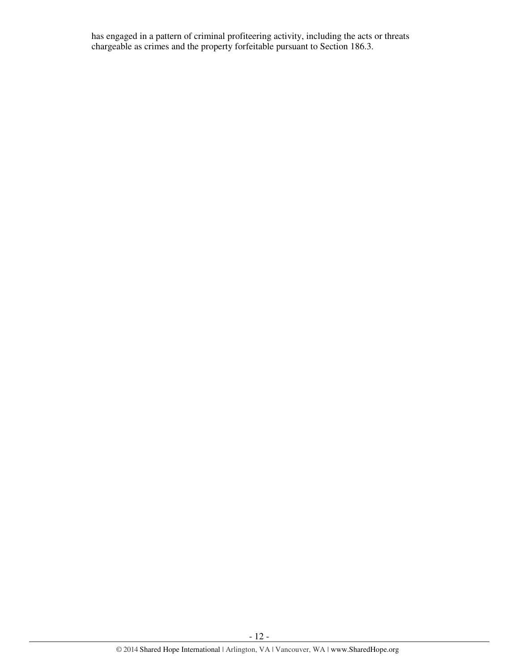has engaged in a pattern of criminal profiteering activity, including the acts or threats chargeable as crimes and the property forfeitable pursuant to Section 186.3.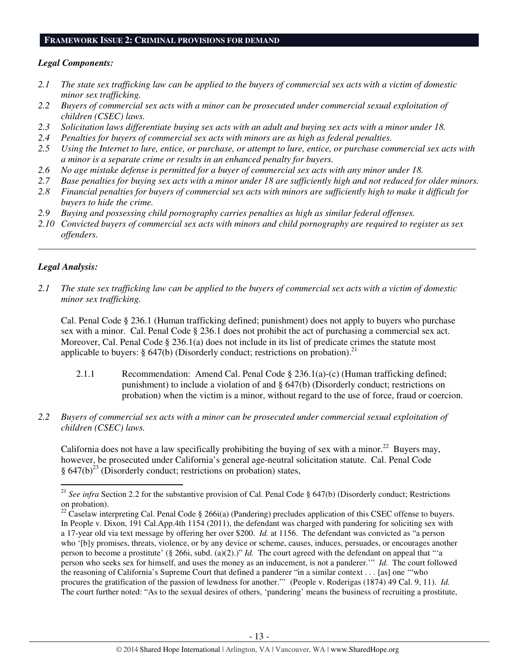#### **FRAMEWORK ISSUE 2: CRIMINAL PROVISIONS FOR DEMAND**

#### *Legal Components:*

- *2.1 The state sex trafficking law can be applied to the buyers of commercial sex acts with a victim of domestic minor sex trafficking.*
- *2.2 Buyers of commercial sex acts with a minor can be prosecuted under commercial sexual exploitation of children (CSEC) laws.*
- *2.3 Solicitation laws differentiate buying sex acts with an adult and buying sex acts with a minor under 18.*
- *2.4 Penalties for buyers of commercial sex acts with minors are as high as federal penalties.*
- *2.5 Using the Internet to lure, entice, or purchase, or attempt to lure, entice, or purchase commercial sex acts with a minor is a separate crime or results in an enhanced penalty for buyers.*
- *2.6 No age mistake defense is permitted for a buyer of commercial sex acts with any minor under 18.*
- *2.7 Base penalties for buying sex acts with a minor under 18 are sufficiently high and not reduced for older minors.*
- *2.8 Financial penalties for buyers of commercial sex acts with minors are sufficiently high to make it difficult for buyers to hide the crime.*
- *2.9 Buying and possessing child pornography carries penalties as high as similar federal offenses.*
- *2.10 Convicted buyers of commercial sex acts with minors and child pornography are required to register as sex offenders.*

\_\_\_\_\_\_\_\_\_\_\_\_\_\_\_\_\_\_\_\_\_\_\_\_\_\_\_\_\_\_\_\_\_\_\_\_\_\_\_\_\_\_\_\_\_\_\_\_\_\_\_\_\_\_\_\_\_\_\_\_\_\_\_\_\_\_\_\_\_\_\_\_\_\_\_\_\_\_\_\_\_\_\_\_\_\_\_\_\_\_\_\_\_\_

## *Legal Analysis:*

l

*2.1 The state sex trafficking law can be applied to the buyers of commercial sex acts with a victim of domestic minor sex trafficking.* 

Cal. Penal Code § 236.1 (Human trafficking defined; punishment) does not apply to buyers who purchase sex with a minor. Cal. Penal Code § 236.1 does not prohibit the act of purchasing a commercial sex act. Moreover, Cal. Penal Code § 236.1(a) does not include in its list of predicate crimes the statute most applicable to buyers:  $\S$  647(b) (Disorderly conduct; restrictions on probation).<sup>21</sup>

- 2.1.1 Recommendation: Amend Cal. Penal Code § 236.1(a)-(c) (Human trafficking defined; punishment) to include a violation of and § 647(b) (Disorderly conduct; restrictions on probation) when the victim is a minor, without regard to the use of force, fraud or coercion.
- *2.2 Buyers of commercial sex acts with a minor can be prosecuted under commercial sexual exploitation of children (CSEC) laws.*

California does not have a law specifically prohibiting the buying of sex with a minor.<sup>22</sup> Buyers may, however, be prosecuted under California's general age-neutral solicitation statute. Cal. Penal Code  $§ 647(b)<sup>23</sup>$  (Disorderly conduct; restrictions on probation) states,

<sup>&</sup>lt;sup>21</sup> *See infra* Section 2.2 for the substantive provision of Cal. Penal Code § 647(b) (Disorderly conduct; Restrictions on probation).

<sup>&</sup>lt;sup>22</sup> Caselaw interpreting Cal. Penal Code § 266i(a) (Pandering) precludes application of this CSEC offense to buyers. In People v. Dixon, 191 Cal.App.4th 1154 (2011), the defendant was charged with pandering for soliciting sex with a 17-year old via text message by offering her over \$200. *Id.* at 1156. The defendant was convicted as "a person who '[b]y promises, threats, violence, or by any device or scheme, causes, induces, persuades, or encourages another person to become a prostitute' (§ 266i, subd. (a)(2).)" *Id.* The court agreed with the defendant on appeal that "'a person who seeks sex for himself, and uses the money as an inducement, is not a panderer.'" *Id.* The court followed the reasoning of California's Supreme Court that defined a panderer "in a similar context . . . [as] one '"who procures the gratification of the passion of lewdness for another."' (People v. Roderigas (1874) 49 Cal. 9, 11). *Id.* The court further noted: "As to the sexual desires of others, 'pandering' means the business of recruiting a prostitute,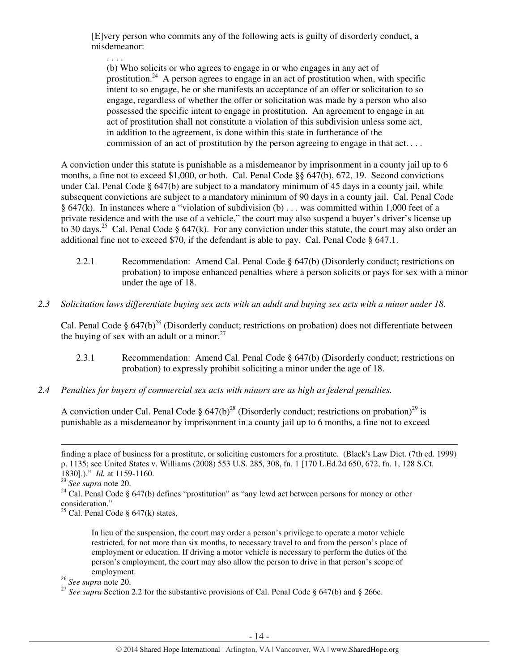[E]very person who commits any of the following acts is guilty of disorderly conduct, a misdemeanor:

. . . . (b) Who solicits or who agrees to engage in or who engages in any act of prostitution.<sup>24</sup> A person agrees to engage in an act of prostitution when, with specific intent to so engage, he or she manifests an acceptance of an offer or solicitation to so engage, regardless of whether the offer or solicitation was made by a person who also possessed the specific intent to engage in prostitution. An agreement to engage in an act of prostitution shall not constitute a violation of this subdivision unless some act, in addition to the agreement, is done within this state in furtherance of the commission of an act of prostitution by the person agreeing to engage in that act. . . .

A conviction under this statute is punishable as a misdemeanor by imprisonment in a county jail up to 6 months, a fine not to exceed \$1,000, or both. Cal. Penal Code §§ 647(b), 672, 19. Second convictions under Cal. Penal Code § 647(b) are subject to a mandatory minimum of 45 days in a county jail, while subsequent convictions are subject to a mandatory minimum of 90 days in a county jail. Cal. Penal Code § 647(k). In instances where a "violation of subdivision (b) . . . was committed within 1,000 feet of a private residence and with the use of a vehicle," the court may also suspend a buyer's driver's license up to 30 days.<sup>25</sup> Cal. Penal Code § 647(k). For any conviction under this statute, the court may also order an additional fine not to exceed \$70, if the defendant is able to pay. Cal. Penal Code § 647.1.

- 2.2.1 Recommendation: Amend Cal. Penal Code § 647(b) (Disorderly conduct; restrictions on probation) to impose enhanced penalties where a person solicits or pays for sex with a minor under the age of 18.
- *2.3 Solicitation laws differentiate buying sex acts with an adult and buying sex acts with a minor under 18.*

Cal. Penal Code  $\S 647(b)^{26}$  (Disorderly conduct; restrictions on probation) does not differentiate between the buying of sex with an adult or a minor. $27$ 

- 2.3.1 Recommendation: Amend Cal. Penal Code § 647(b) (Disorderly conduct; restrictions on probation) to expressly prohibit soliciting a minor under the age of 18.
- *2.4 Penalties for buyers of commercial sex acts with minors are as high as federal penalties.*

A conviction under Cal. Penal Code §  $647(b)^{28}$  (Disorderly conduct; restrictions on probation)<sup>29</sup> is punishable as a misdemeanor by imprisonment in a county jail up to 6 months, a fine not to exceed

l

<sup>26</sup> *See supra* note 20.

finding a place of business for a prostitute, or soliciting customers for a prostitute. (Black's Law Dict. (7th ed. 1999) p. 1135; see United States v. Williams (2008) 553 U.S. 285, 308, fn. 1 [170 L.Ed.2d 650, 672, fn. 1, 128 S.Ct. 1830].)." *Id.* at 1159-1160.

<sup>23</sup> *See supra* note 20.

<sup>&</sup>lt;sup>24</sup> Cal. Penal Code § 647(b) defines "prostitution" as "any lewd act between persons for money or other consideration."

<sup>&</sup>lt;sup>25</sup> Cal. Penal Code  $\S$  647(k) states,

In lieu of the suspension, the court may order a person's privilege to operate a motor vehicle restricted, for not more than six months, to necessary travel to and from the person's place of employment or education. If driving a motor vehicle is necessary to perform the duties of the person's employment, the court may also allow the person to drive in that person's scope of employment.

<sup>&</sup>lt;sup>27</sup> See supra Section 2.2 for the substantive provisions of Cal. Penal Code § 647(b) and § 266e.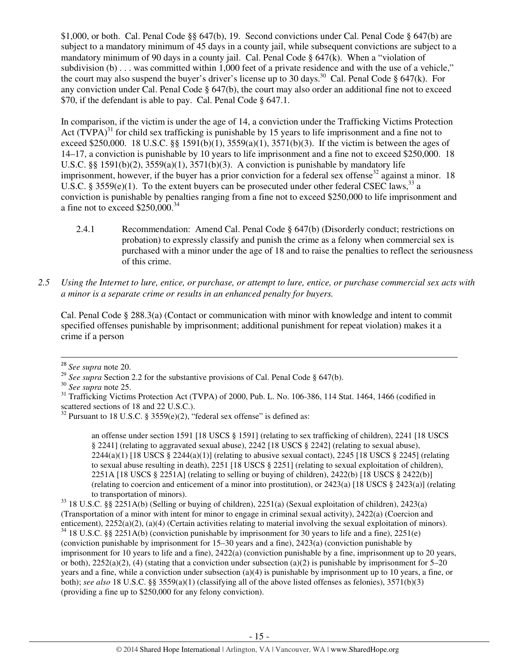\$1,000, or both. Cal. Penal Code §§ 647(b), 19. Second convictions under Cal. Penal Code § 647(b) are subject to a mandatory minimum of 45 days in a county jail, while subsequent convictions are subject to a mandatory minimum of 90 days in a county jail. Cal. Penal Code  $\S$  647(k). When a "violation of subdivision (b) . . . was committed within 1,000 feet of a private residence and with the use of a vehicle," the court may also suspend the buyer's driver's license up to 30 days.<sup>30</sup> Cal. Penal Code § 647(k). For any conviction under Cal. Penal Code  $\S$  647(b), the court may also order an additional fine not to exceed \$70, if the defendant is able to pay. Cal. Penal Code § 647.1.

In comparison, if the victim is under the age of 14, a conviction under the Trafficking Victims Protection Act  $(TVPA)^{31}$  for child sex trafficking is punishable by 15 years to life imprisonment and a fine not to exceed \$250,000. 18 U.S.C. §§ 1591(b)(1), 3559(a)(1), 3571(b)(3). If the victim is between the ages of 14–17, a conviction is punishable by 10 years to life imprisonment and a fine not to exceed \$250,000. 18 U.S.C.  $\S$ § 1591(b)(2), 3559(a)(1), 3571(b)(3). A conviction is punishable by mandatory life imprisonment, however, if the buyer has a prior conviction for a federal sex offense<sup>32</sup> against a minor. 18 U.S.C. § 3559(e)(1). To the extent buyers can be prosecuted under other federal CSEC laws,<sup>33</sup> a conviction is punishable by penalties ranging from a fine not to exceed \$250,000 to life imprisonment and a fine not to exceed  $$250,000.<sup>34</sup>$ 

- 2.4.1 Recommendation: Amend Cal. Penal Code § 647(b) (Disorderly conduct; restrictions on probation) to expressly classify and punish the crime as a felony when commercial sex is purchased with a minor under the age of 18 and to raise the penalties to reflect the seriousness of this crime.
- *2.5 Using the Internet to lure, entice, or purchase, or attempt to lure, entice, or purchase commercial sex acts with a minor is a separate crime or results in an enhanced penalty for buyers.*

Cal. Penal Code § 288.3(a) (Contact or communication with minor with knowledge and intent to commit specified offenses punishable by imprisonment; additional punishment for repeat violation) makes it a crime if a person

 $\overline{a}$ 

an offense under section 1591 [18 USCS § 1591] (relating to sex trafficking of children), 2241 [18 USCS § 2241] (relating to aggravated sexual abuse), 2242 [18 USCS § 2242] (relating to sexual abuse),  $2244(a)(1)$  [18 USCS §  $2244(a)(1)$ ] (relating to abusive sexual contact),  $2245$  [18 USCS § 2245] (relating to sexual abuse resulting in death), 2251 [18 USCS § 2251] (relating to sexual exploitation of children), 2251A [18 USCS § 2251A] (relating to selling or buying of children), 2422(b) [18 USCS § 2422(b)] (relating to coercion and enticement of a minor into prostitution), or 2423(a) [18 USCS § 2423(a)] (relating to transportation of minors).

<sup>33</sup> 18 U.S.C. §§ 2251A(b) (Selling or buying of children), 2251(a) (Sexual exploitation of children), 2423(a) (Transportation of a minor with intent for minor to engage in criminal sexual activity), 2422(a) (Coercion and enticement), 2252(a)(2), (a)(4) (Certain activities relating to material involving the sexual exploitation of minors).

 $34$  18 U.S.C. §§ 2251A(b) (conviction punishable by imprisonment for 30 years to life and a fine), 2251(e) (conviction punishable by imprisonment for 15–30 years and a fine), 2423(a) (conviction punishable by imprisonment for 10 years to life and a fine), 2422(a) (conviction punishable by a fine, imprisonment up to 20 years, or both),  $2252(a)(2)$ , (4) (stating that a conviction under subsection (a)(2) is punishable by imprisonment for 5–20 years and a fine, while a conviction under subsection (a)(4) is punishable by imprisonment up to 10 years, a fine, or both); *see also* 18 U.S.C. §§ 3559(a)(1) (classifying all of the above listed offenses as felonies), 3571(b)(3) (providing a fine up to \$250,000 for any felony conviction).

<sup>28</sup> *See supra* note 20.

<sup>&</sup>lt;sup>29</sup> *See supra* Section 2.2 for the substantive provisions of Cal. Penal Code § 647(b).

<sup>30</sup> *See supra* note 25.

<sup>&</sup>lt;sup>31</sup> Trafficking Victims Protection Act (TVPA) of 2000, Pub. L. No. 106-386, 114 Stat. 1464, 1466 (codified in scattered sections of 18 and 22 U.S.C.).

<sup>&</sup>lt;sup>32</sup> Pursuant to 18 U.S.C. § 3559 $(e)(2)$ , "federal sex offense" is defined as: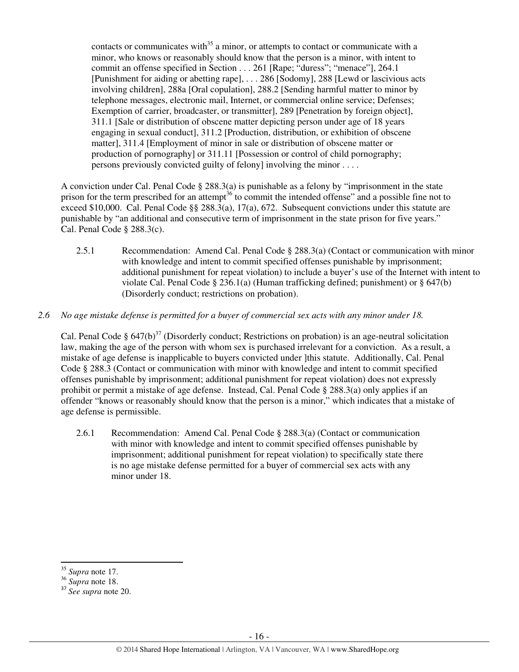contacts or communicates with $^{35}$  a minor, or attempts to contact or communicate with a minor, who knows or reasonably should know that the person is a minor, with intent to commit an offense specified in Section . . . 261 [Rape; "duress"; "menace"], 264.1 [Punishment for aiding or abetting rape], . . . 286 [Sodomy], 288 [Lewd or lascivious acts involving children], 288a [Oral copulation], 288.2 [Sending harmful matter to minor by telephone messages, electronic mail, Internet, or commercial online service; Defenses; Exemption of carrier, broadcaster, or transmitter], 289 [Penetration by foreign object], 311.1 [Sale or distribution of obscene matter depicting person under age of 18 years engaging in sexual conduct], 311.2 [Production, distribution, or exhibition of obscene matter], 311.4 [Employment of minor in sale or distribution of obscene matter or production of pornography] or 311.11 [Possession or control of child pornography; persons previously convicted guilty of felony] involving the minor . . . .

A conviction under Cal. Penal Code § 288.3(a) is punishable as a felony by "imprisonment in the state prison for the term prescribed for an attempt<sup>36</sup> to commit the intended offense" and a possible fine not to exceed \$10,000. Cal. Penal Code §§ 288.3(a), 17(a), 672. Subsequent convictions under this statute are punishable by "an additional and consecutive term of imprisonment in the state prison for five years." Cal. Penal Code § 288.3(c).

2.5.1 Recommendation: Amend Cal. Penal Code § 288.3(a) (Contact or communication with minor with knowledge and intent to commit specified offenses punishable by imprisonment; additional punishment for repeat violation) to include a buyer's use of the Internet with intent to violate Cal. Penal Code § 236.1(a) (Human trafficking defined; punishment) or § 647(b) (Disorderly conduct; restrictions on probation).

#### *2.6 No age mistake defense is permitted for a buyer of commercial sex acts with any minor under 18.*

Cal. Penal Code §  $647(b)^{37}$  (Disorderly conduct; Restrictions on probation) is an age-neutral solicitation law, making the age of the person with whom sex is purchased irrelevant for a conviction. As a result, a mistake of age defense is inapplicable to buyers convicted under ]this statute. Additionally, Cal. Penal Code § 288.3 (Contact or communication with minor with knowledge and intent to commit specified offenses punishable by imprisonment; additional punishment for repeat violation) does not expressly prohibit or permit a mistake of age defense. Instead, Cal. Penal Code § 288.3(a) only applies if an offender "knows or reasonably should know that the person is a minor," which indicates that a mistake of age defense is permissible.

2.6.1 Recommendation: Amend Cal. Penal Code § 288.3(a) (Contact or communication with minor with knowledge and intent to commit specified offenses punishable by imprisonment; additional punishment for repeat violation) to specifically state there is no age mistake defense permitted for a buyer of commercial sex acts with any minor under 18.

<sup>35</sup> *Supra* note 17.

<sup>36</sup> *Supra* note 18.

<sup>37</sup> *See supra* note 20.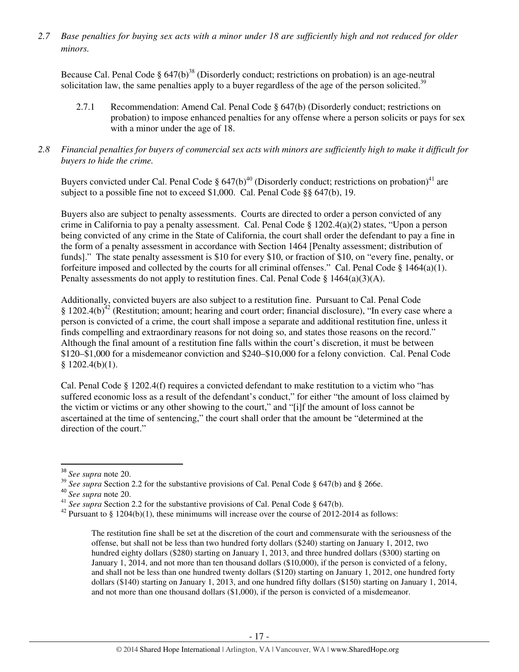*2.7 Base penalties for buying sex acts with a minor under 18 are sufficiently high and not reduced for older minors.* 

Because Cal. Penal Code  $\S 647(b)^{38}$  (Disorderly conduct; restrictions on probation) is an age-neutral solicitation law, the same penalties apply to a buyer regardless of the age of the person solicited.<sup>39</sup>

- 2.7.1 Recommendation: Amend Cal. Penal Code § 647(b) (Disorderly conduct; restrictions on probation) to impose enhanced penalties for any offense where a person solicits or pays for sex with a minor under the age of 18.
- *2.8 Financial penalties for buyers of commercial sex acts with minors are sufficiently high to make it difficult for buyers to hide the crime.*

Buyers convicted under Cal. Penal Code  $\S 647(b)^{40}$  (Disorderly conduct; restrictions on probation)<sup>41</sup> are subject to a possible fine not to exceed \$1,000. Cal. Penal Code §§ 647(b), 19.

Buyers also are subject to penalty assessments. Courts are directed to order a person convicted of any crime in California to pay a penalty assessment. Cal. Penal Code § 1202.4(a)(2) states, "Upon a person being convicted of any crime in the State of California, the court shall order the defendant to pay a fine in the form of a penalty assessment in accordance with Section 1464 [Penalty assessment; distribution of funds]." The state penalty assessment is \$10 for every \$10, or fraction of \$10, on "every fine, penalty, or forfeiture imposed and collected by the courts for all criminal offenses." Cal. Penal Code  $\S$  1464(a)(1). Penalty assessments do not apply to restitution fines. Cal. Penal Code  $\S$  1464(a)(3)(A).

Additionally, convicted buyers are also subject to a restitution fine. Pursuant to Cal. Penal Code § 1202.4(b)<sup>42</sup> (Restitution; amount; hearing and court order; financial disclosure), "In every case where a person is convicted of a crime, the court shall impose a separate and additional restitution fine, unless it finds compelling and extraordinary reasons for not doing so, and states those reasons on the record." Although the final amount of a restitution fine falls within the court's discretion, it must be between \$120–\$1,000 for a misdemeanor conviction and \$240–\$10,000 for a felony conviction. Cal. Penal Code  $$1202.4(b)(1).$ 

Cal. Penal Code § 1202.4(f) requires a convicted defendant to make restitution to a victim who "has suffered economic loss as a result of the defendant's conduct," for either "the amount of loss claimed by the victim or victims or any other showing to the court," and "[i]f the amount of loss cannot be ascertained at the time of sentencing," the court shall order that the amount be "determined at the direction of the court."

l

<sup>38</sup> *See supra* note 20.

<sup>&</sup>lt;sup>39</sup> See supra Section 2.2 for the substantive provisions of Cal. Penal Code § 647(b) and § 266e.

<sup>40</sup> *See supra* note 20.

<sup>&</sup>lt;sup>41</sup> *See supra* Section 2.2 for the substantive provisions of Cal. Penal Code § 647(b).

<sup>&</sup>lt;sup>42</sup> Pursuant to § 1204(b)(1), these minimums will increase over the course of 2012-2014 as follows:

The restitution fine shall be set at the discretion of the court and commensurate with the seriousness of the offense, but shall not be less than two hundred forty dollars (\$240) starting on January 1, 2012, two hundred eighty dollars (\$280) starting on January 1, 2013, and three hundred dollars (\$300) starting on January 1, 2014, and not more than ten thousand dollars (\$10,000), if the person is convicted of a felony, and shall not be less than one hundred twenty dollars (\$120) starting on January 1, 2012, one hundred forty dollars (\$140) starting on January 1, 2013, and one hundred fifty dollars (\$150) starting on January 1, 2014, and not more than one thousand dollars (\$1,000), if the person is convicted of a misdemeanor.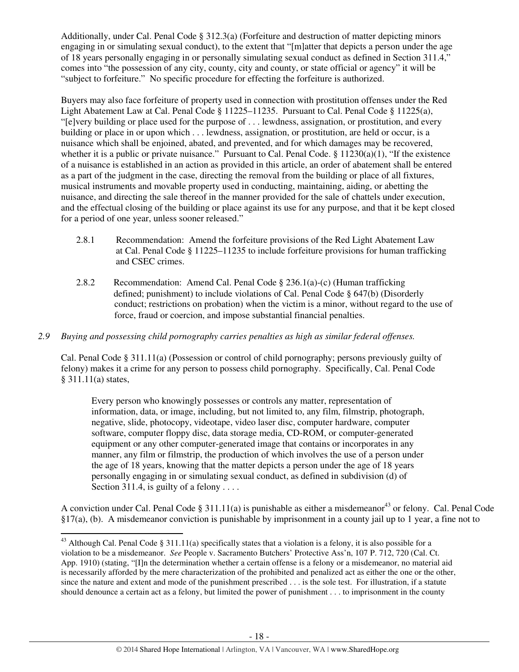Additionally, under Cal. Penal Code § 312.3(a) (Forfeiture and destruction of matter depicting minors engaging in or simulating sexual conduct), to the extent that "[m]atter that depicts a person under the age of 18 years personally engaging in or personally simulating sexual conduct as defined in Section 311.4," comes into "the possession of any city, county, city and county, or state official or agency" it will be "subject to forfeiture." No specific procedure for effecting the forfeiture is authorized.

Buyers may also face forfeiture of property used in connection with prostitution offenses under the Red Light Abatement Law at Cal. Penal Code § 11225–11235. Pursuant to Cal. Penal Code § 11225(a), "[e]very building or place used for the purpose of . . . lewdness, assignation, or prostitution, and every building or place in or upon which . . . lewdness, assignation, or prostitution, are held or occur, is a nuisance which shall be enjoined, abated, and prevented, and for which damages may be recovered, whether it is a public or private nuisance." Pursuant to Cal. Penal Code.  $\S$  11230(a)(1), "If the existence of a nuisance is established in an action as provided in this article, an order of abatement shall be entered as a part of the judgment in the case, directing the removal from the building or place of all fixtures, musical instruments and movable property used in conducting, maintaining, aiding, or abetting the nuisance, and directing the sale thereof in the manner provided for the sale of chattels under execution, and the effectual closing of the building or place against its use for any purpose, and that it be kept closed for a period of one year, unless sooner released."

- 2.8.1 Recommendation: Amend the forfeiture provisions of the Red Light Abatement Law at Cal. Penal Code § 11225–11235 to include forfeiture provisions for human trafficking and CSEC crimes.
- 2.8.2 Recommendation: Amend Cal. Penal Code § 236.1(a)-(c) (Human trafficking defined; punishment) to include violations of Cal. Penal Code § 647(b) (Disorderly conduct; restrictions on probation) when the victim is a minor, without regard to the use of force, fraud or coercion, and impose substantial financial penalties.
- *2.9 Buying and possessing child pornography carries penalties as high as similar federal offenses.*

Cal. Penal Code § 311.11(a) (Possession or control of child pornography; persons previously guilty of felony) makes it a crime for any person to possess child pornography. Specifically, Cal. Penal Code § 311.11(a) states,

Every person who knowingly possesses or controls any matter, representation of information, data, or image, including, but not limited to, any film, filmstrip, photograph, negative, slide, photocopy, videotape, video laser disc, computer hardware, computer software, computer floppy disc, data storage media, CD-ROM, or computer-generated equipment or any other computer-generated image that contains or incorporates in any manner, any film or filmstrip, the production of which involves the use of a person under the age of 18 years, knowing that the matter depicts a person under the age of 18 years personally engaging in or simulating sexual conduct, as defined in subdivision (d) of Section 311.4, is guilty of a felony  $\dots$ 

A conviction under Cal. Penal Code § 311.11(a) is punishable as either a misdemeanor<sup>43</sup> or felony. Cal. Penal Code §17(a), (b). A misdemeanor conviction is punishable by imprisonment in a county jail up to 1 year, a fine not to

<sup>&</sup>lt;sup>43</sup> Although Cal. Penal Code § 311.11(a) specifically states that a violation is a felony, it is also possible for a violation to be a misdemeanor. *See* People v. Sacramento Butchers' Protective Ass'n, 107 P. 712, 720 (Cal. Ct. App. 1910) (stating, "[I]n the determination whether a certain offense is a felony or a misdemeanor, no material aid is necessarily afforded by the mere characterization of the prohibited and penalized act as either the one or the other, since the nature and extent and mode of the punishment prescribed . . . is the sole test. For illustration, if a statute should denounce a certain act as a felony, but limited the power of punishment . . . to imprisonment in the county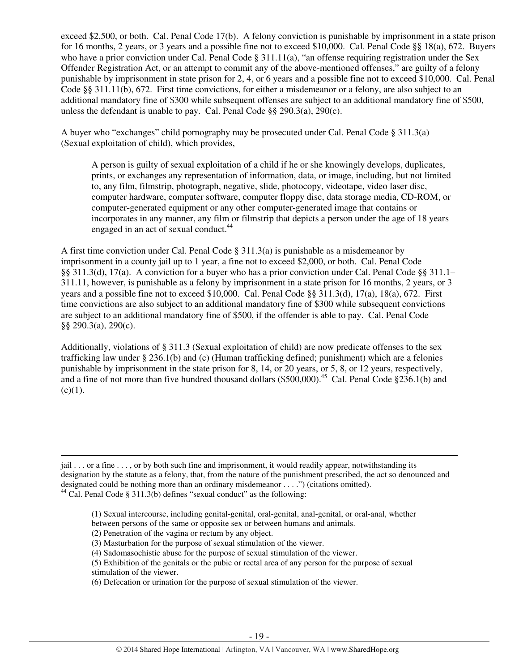exceed \$2,500, or both. Cal. Penal Code 17(b). A felony conviction is punishable by imprisonment in a state prison for 16 months, 2 years, or 3 years and a possible fine not to exceed \$10,000. Cal. Penal Code §§ 18(a), 672. Buyers who have a prior conviction under Cal. Penal Code  $\S 311.11(a)$ , "an offense requiring registration under the Sex Offender Registration Act, or an attempt to commit any of the above-mentioned offenses," are guilty of a felony punishable by imprisonment in state prison for 2, 4, or 6 years and a possible fine not to exceed \$10,000. Cal. Penal Code §§ 311.11(b), 672. First time convictions, for either a misdemeanor or a felony, are also subject to an additional mandatory fine of \$300 while subsequent offenses are subject to an additional mandatory fine of \$500, unless the defendant is unable to pay. Cal. Penal Code  $\S$ § 290.3(a), 290(c).

A buyer who "exchanges" child pornography may be prosecuted under Cal. Penal Code § 311.3(a) (Sexual exploitation of child), which provides,

A person is guilty of sexual exploitation of a child if he or she knowingly develops, duplicates, prints, or exchanges any representation of information, data, or image, including, but not limited to, any film, filmstrip, photograph, negative, slide, photocopy, videotape, video laser disc, computer hardware, computer software, computer floppy disc, data storage media, CD-ROM, or computer-generated equipment or any other computer-generated image that contains or incorporates in any manner, any film or filmstrip that depicts a person under the age of 18 years engaged in an act of sexual conduct.<sup>44</sup>

A first time conviction under Cal. Penal Code  $\S$  311.3(a) is punishable as a misdemeanor by imprisonment in a county jail up to 1 year, a fine not to exceed \$2,000, or both. Cal. Penal Code §§ 311.3(d), 17(a). A conviction for a buyer who has a prior conviction under Cal. Penal Code §§ 311.1– 311.11, however, is punishable as a felony by imprisonment in a state prison for 16 months, 2 years, or 3 years and a possible fine not to exceed \$10,000. Cal. Penal Code §§ 311.3(d), 17(a), 18(a), 672. First time convictions are also subject to an additional mandatory fine of \$300 while subsequent convictions are subject to an additional mandatory fine of \$500, if the offender is able to pay. Cal. Penal Code §§ 290.3(a), 290(c).

Additionally, violations of § 311.3 (Sexual exploitation of child) are now predicate offenses to the sex trafficking law under § 236.1(b) and (c) (Human trafficking defined; punishment) which are a felonies punishable by imprisonment in the state prison for 8, 14, or 20 years, or 5, 8, or 12 years, respectively, and a fine of not more than five hundred thousand dollars  $(\$500,000)$ <sup>45</sup> Cal. Penal Code  $\$236.1$ (b) and  $(c)(1)$ .

(1) Sexual intercourse, including genital-genital, oral-genital, anal-genital, or oral-anal, whether between persons of the same or opposite sex or between humans and animals.

- (3) Masturbation for the purpose of sexual stimulation of the viewer.
- (4) Sadomasochistic abuse for the purpose of sexual stimulation of the viewer.
- (5) Exhibition of the genitals or the pubic or rectal area of any person for the purpose of sexual
- stimulation of the viewer.

 $\overline{a}$ 

(6) Defecation or urination for the purpose of sexual stimulation of the viewer.

jail . . . or a fine . . . , or by both such fine and imprisonment, it would readily appear, notwithstanding its designation by the statute as a felony, that, from the nature of the punishment prescribed, the act so denounced and designated could be nothing more than an ordinary misdemeanor . . . .") (citations omitted). <sup>44</sup> Cal. Penal Code § 311.3(b) defines "sexual conduct" as the following:

<sup>(2)</sup> Penetration of the vagina or rectum by any object.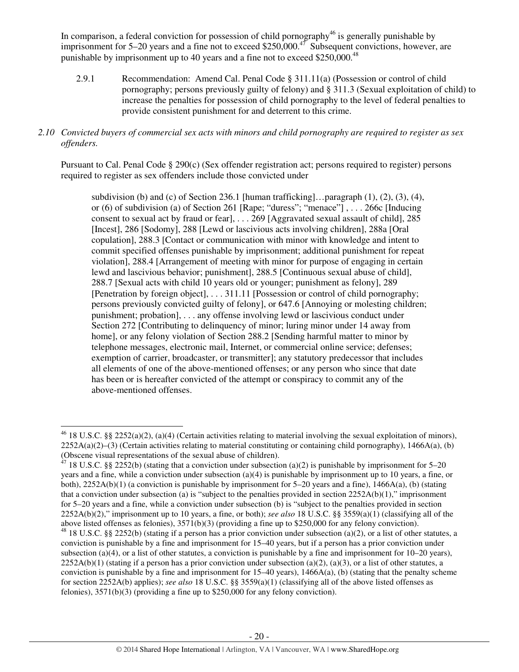In comparison, a federal conviction for possession of child pornography<sup>46</sup> is generally punishable by imprisonment for  $5-20$  years and a fine not to exceed \$250,000.<sup>47</sup> Subsequent convictions, however, are punishable by imprisonment up to 40 years and a fine not to exceed \$250,000.<sup>48</sup>

2.9.1 Recommendation: Amend Cal. Penal Code § 311.11(a) (Possession or control of child pornography; persons previously guilty of felony) and § 311.3 (Sexual exploitation of child) to increase the penalties for possession of child pornography to the level of federal penalties to provide consistent punishment for and deterrent to this crime.

#### *2.10 Convicted buyers of commercial sex acts with minors and child pornography are required to register as sex offenders.*

Pursuant to Cal. Penal Code § 290(c) (Sex offender registration act; persons required to register) persons required to register as sex offenders include those convicted under

subdivision (b) and (c) of Section 236.1 [human trafficking]... paragraph  $(1)$ ,  $(2)$ ,  $(3)$ ,  $(4)$ , or (6) of subdivision (a) of Section 261 [Rape; "duress"; "menace"] , . . . 266c [Inducing consent to sexual act by fraud or fear], . . . 269 [Aggravated sexual assault of child], 285 [Incest], 286 [Sodomy], 288 [Lewd or lascivious acts involving children], 288a [Oral copulation], 288.3 [Contact or communication with minor with knowledge and intent to commit specified offenses punishable by imprisonment; additional punishment for repeat violation], 288.4 [Arrangement of meeting with minor for purpose of engaging in certain lewd and lascivious behavior; punishment], 288.5 [Continuous sexual abuse of child], 288.7 [Sexual acts with child 10 years old or younger; punishment as felony], 289 [Penetration by foreign object], . . . 311.11 [Possession or control of child pornography; persons previously convicted guilty of felony], or 647.6 [Annoying or molesting children; punishment; probation], . . . any offense involving lewd or lascivious conduct under Section 272 [Contributing to delinquency of minor; luring minor under 14 away from home], or any felony violation of Section 288.2 [Sending harmful matter to minor by telephone messages, electronic mail, Internet, or commercial online service; defenses; exemption of carrier, broadcaster, or transmitter]; any statutory predecessor that includes all elements of one of the above-mentioned offenses; or any person who since that date has been or is hereafter convicted of the attempt or conspiracy to commit any of the above-mentioned offenses.

l

<sup>&</sup>lt;sup>46</sup> 18 U.S.C. §§ 2252(a)(2), (a)(4) (Certain activities relating to material involving the sexual exploitation of minors),  $2252A(a)(2)$ –(3) (Certain activities relating to material constituting or containing child pornography), 1466A(a), (b) (Obscene visual representations of the sexual abuse of children).<br><sup>47</sup> 18 JJ S C 88 2000 3 V 4.

<sup>47</sup> 18 U.S.C. §§ 2252(b) (stating that a conviction under subsection (a)(2) is punishable by imprisonment for 5–20 years and a fine, while a conviction under subsection (a)(4) is punishable by imprisonment up to 10 years, a fine, or both),  $2252A(b)(1)$  (a conviction is punishable by imprisonment for 5–20 years and a fine),  $1466A(a)$ , (b) (stating that a conviction under subsection (a) is "subject to the penalties provided in section  $2252A(b)(1)$ ," imprisonment for 5–20 years and a fine, while a conviction under subsection (b) is "subject to the penalties provided in section 2252A(b)(2)," imprisonment up to 10 years, a fine, or both); *see also* 18 U.S.C. §§ 3559(a)(1) (classifying all of the above listed offenses as felonies), 3571(b)(3) (providing a fine up to \$250,000 for any felony conviction).

 $48$  18 U.S.C. §§ 2252(b) (stating if a person has a prior conviction under subsection (a)(2), or a list of other statutes, a conviction is punishable by a fine and imprisonment for 15–40 years, but if a person has a prior conviction under subsection (a)(4), or a list of other statutes, a conviction is punishable by a fine and imprisonment for  $10-20$  years),  $2252A(b)(1)$  (stating if a person has a prior conviction under subsection (a)(2), (a)(3), or a list of other statutes, a conviction is punishable by a fine and imprisonment for  $15-40$  years),  $1466A(a)$ , (b) (stating that the penalty scheme for section 2252A(b) applies); *see also* 18 U.S.C. §§ 3559(a)(1) (classifying all of the above listed offenses as felonies), 3571(b)(3) (providing a fine up to \$250,000 for any felony conviction).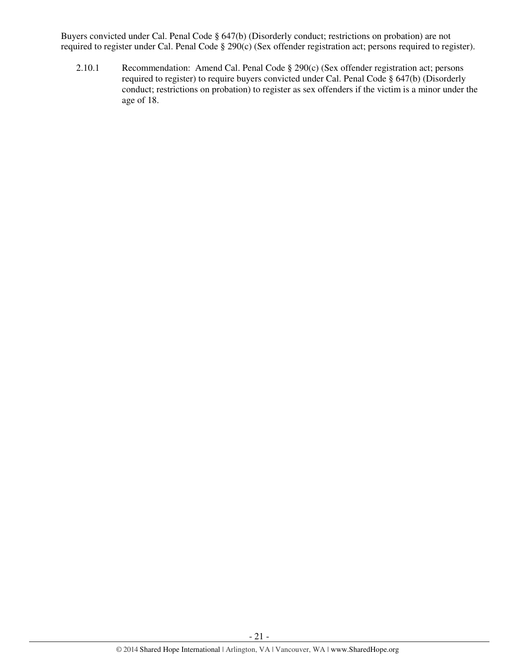Buyers convicted under Cal. Penal Code § 647(b) (Disorderly conduct; restrictions on probation) are not required to register under Cal. Penal Code § 290(c) (Sex offender registration act; persons required to register).

2.10.1 Recommendation: Amend Cal. Penal Code § 290(c) (Sex offender registration act; persons required to register) to require buyers convicted under Cal. Penal Code § 647(b) (Disorderly conduct; restrictions on probation) to register as sex offenders if the victim is a minor under the age of 18.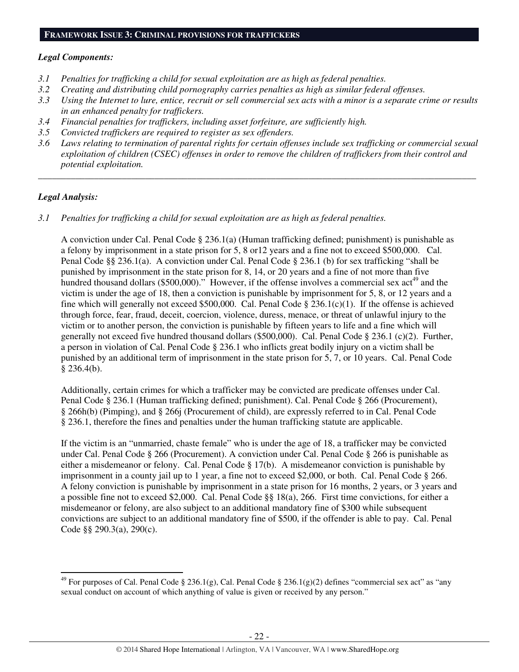#### **FRAMEWORK ISSUE 3: CRIMINAL PROVISIONS FOR TRAFFICKERS**

#### *Legal Components:*

- *3.1 Penalties for trafficking a child for sexual exploitation are as high as federal penalties.*
- *3.2 Creating and distributing child pornography carries penalties as high as similar federal offenses.*
- *3.3 Using the Internet to lure, entice, recruit or sell commercial sex acts with a minor is a separate crime or results in an enhanced penalty for traffickers.*
- *3.4 Financial penalties for traffickers, including asset forfeiture, are sufficiently high.*
- *3.5 Convicted traffickers are required to register as sex offenders.*
- *3.6 Laws relating to termination of parental rights for certain offenses include sex trafficking or commercial sexual exploitation of children (CSEC) offenses in order to remove the children of traffickers from their control and potential exploitation.*

*\_\_\_\_\_\_\_\_\_\_\_\_\_\_\_\_\_\_\_\_\_\_\_\_\_\_\_\_\_\_\_\_\_\_\_\_\_\_\_\_\_\_\_\_\_\_\_\_\_\_\_\_\_\_\_\_\_\_\_\_\_\_\_\_\_\_\_\_\_\_\_\_\_\_\_\_\_\_\_\_\_\_\_\_\_\_\_\_\_\_\_\_\_\_* 

#### *Legal Analysis:*

l

*3.1 Penalties for trafficking a child for sexual exploitation are as high as federal penalties.* 

A conviction under Cal. Penal Code  $\S 236.1(a)$  (Human trafficking defined; punishment) is punishable as a felony by imprisonment in a state prison for 5, 8 or12 years and a fine not to exceed \$500,000. Cal. Penal Code §§ 236.1(a). A conviction under Cal. Penal Code § 236.1 (b) for sex trafficking "shall be punished by imprisonment in the state prison for 8, 14, or 20 years and a fine of not more than five hundred thousand dollars (\$500,000)." However, if the offense involves a commercial sex  $\text{act}^{49}$  and the victim is under the age of 18, then a conviction is punishable by imprisonment for 5, 8, or 12 years and a fine which will generally not exceed \$500,000. Cal. Penal Code  $\S 236.1(c)(1)$ . If the offense is achieved through force, fear, fraud, deceit, coercion, violence, duress, menace, or threat of unlawful injury to the victim or to another person, the conviction is punishable by fifteen years to life and a fine which will generally not exceed five hundred thousand dollars (\$500,000). Cal. Penal Code § 236.1 (c)(2). Further, a person in violation of Cal. Penal Code § 236.1 who inflicts great bodily injury on a victim shall be punished by an additional term of imprisonment in the state prison for 5, 7, or 10 years. Cal. Penal Code  $§$  236.4(b).

Additionally, certain crimes for which a trafficker may be convicted are predicate offenses under Cal. Penal Code § 236.1 (Human trafficking defined; punishment). Cal. Penal Code § 266 (Procurement), § 266h(b) (Pimping), and § 266j (Procurement of child), are expressly referred to in Cal. Penal Code § 236.1, therefore the fines and penalties under the human trafficking statute are applicable.

If the victim is an "unmarried, chaste female" who is under the age of 18, a trafficker may be convicted under Cal. Penal Code § 266 (Procurement). A conviction under Cal. Penal Code § 266 is punishable as either a misdemeanor or felony. Cal. Penal Code § 17(b). A misdemeanor conviction is punishable by imprisonment in a county jail up to 1 year, a fine not to exceed \$2,000, or both. Cal. Penal Code § 266. A felony conviction is punishable by imprisonment in a state prison for 16 months, 2 years, or 3 years and a possible fine not to exceed \$2,000. Cal. Penal Code §§ 18(a), 266. First time convictions, for either a misdemeanor or felony, are also subject to an additional mandatory fine of \$300 while subsequent convictions are subject to an additional mandatory fine of \$500, if the offender is able to pay. Cal. Penal Code §§ 290.3(a), 290(c).

<sup>&</sup>lt;sup>49</sup> For purposes of Cal. Penal Code § 236.1(g), Cal. Penal Code § 236.1(g)(2) defines "commercial sex act" as "any sexual conduct on account of which anything of value is given or received by any person."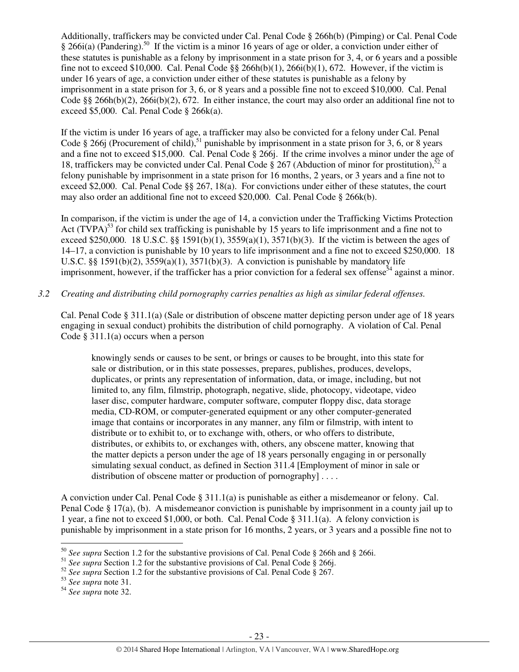Additionally, traffickers may be convicted under Cal. Penal Code § 266h(b) (Pimping) or Cal. Penal Code  $§$  266i(a) (Pandering).<sup>50</sup> If the victim is a minor 16 years of age or older, a conviction under either of these statutes is punishable as a felony by imprisonment in a state prison for 3, 4, or 6 years and a possible fine not to exceed \$10,000. Cal. Penal Code  $\S$ § 266h(b)(1), 266i(b)(1), 672. However, if the victim is under 16 years of age, a conviction under either of these statutes is punishable as a felony by imprisonment in a state prison for 3, 6, or 8 years and a possible fine not to exceed \$10,000. Cal. Penal Code §§ 266h(b)(2), 266i(b)(2), 672. In either instance, the court may also order an additional fine not to exceed \$5,000. Cal. Penal Code § 266k(a).

If the victim is under 16 years of age, a trafficker may also be convicted for a felony under Cal. Penal Code § 266j (Procurement of child),<sup>51</sup> punishable by imprisonment in a state prison for 3, 6, or 8 years and a fine not to exceed \$15,000. Cal. Penal Code § 266j. If the crime involves a minor under the age of 18, traffickers may be convicted under Cal. Penal Code  $\S 267$  (Abduction of minor for prostitution),<sup>52</sup> a felony punishable by imprisonment in a state prison for 16 months, 2 years, or 3 years and a fine not to exceed \$2,000. Cal. Penal Code §§ 267, 18(a). For convictions under either of these statutes, the court may also order an additional fine not to exceed \$20,000. Cal. Penal Code § 266k(b).

In comparison, if the victim is under the age of 14, a conviction under the Trafficking Victims Protection Act  $(TVPA)^{53}$  for child sex trafficking is punishable by 15 years to life imprisonment and a fine not to exceed \$250,000. 18 U.S.C. §§ 1591(b)(1),  $3559(a)(1)$ ,  $3571(b)(3)$ . If the victim is between the ages of 14–17, a conviction is punishable by 10 years to life imprisonment and a fine not to exceed \$250,000. 18 U.S.C.  $\S$ § 1591(b)(2), 3559(a)(1), 3571(b)(3). A conviction is punishable by mandatory life imprisonment, however, if the trafficker has a prior conviction for a federal sex offense<sup>54</sup> against a minor.

## *3.2 Creating and distributing child pornography carries penalties as high as similar federal offenses.*

Cal. Penal Code § 311.1(a) (Sale or distribution of obscene matter depicting person under age of 18 years engaging in sexual conduct) prohibits the distribution of child pornography. A violation of Cal. Penal Code  $\S 311.1(a)$  occurs when a person

knowingly sends or causes to be sent, or brings or causes to be brought, into this state for sale or distribution, or in this state possesses, prepares, publishes, produces, develops, duplicates, or prints any representation of information, data, or image, including, but not limited to, any film, filmstrip, photograph, negative, slide, photocopy, videotape, video laser disc, computer hardware, computer software, computer floppy disc, data storage media, CD-ROM, or computer-generated equipment or any other computer-generated image that contains or incorporates in any manner, any film or filmstrip, with intent to distribute or to exhibit to, or to exchange with, others, or who offers to distribute, distributes, or exhibits to, or exchanges with, others, any obscene matter, knowing that the matter depicts a person under the age of 18 years personally engaging in or personally simulating sexual conduct, as defined in Section 311.4 [Employment of minor in sale or distribution of obscene matter or production of pornography  $|\dots$ 

A conviction under Cal. Penal Code § 311.1(a) is punishable as either a misdemeanor or felony. Cal. Penal Code § 17(a), (b). A misdemeanor conviction is punishable by imprisonment in a county jail up to 1 year, a fine not to exceed \$1,000, or both. Cal. Penal Code § 311.1(a). A felony conviction is punishable by imprisonment in a state prison for 16 months, 2 years, or 3 years and a possible fine not to

<sup>50</sup> *See supra* Section 1.2 for the substantive provisions of Cal. Penal Code § 266h and § 266i.

<sup>&</sup>lt;sup>51</sup> *See supra* Section 1.2 for the substantive provisions of Cal. Penal Code § 266j.

<sup>&</sup>lt;sup>52</sup> See supra Section 1.2 for the substantive provisions of Cal. Penal Code § 267.

<sup>53</sup> *See supra* note 31.

<sup>54</sup> *See supra* note 32.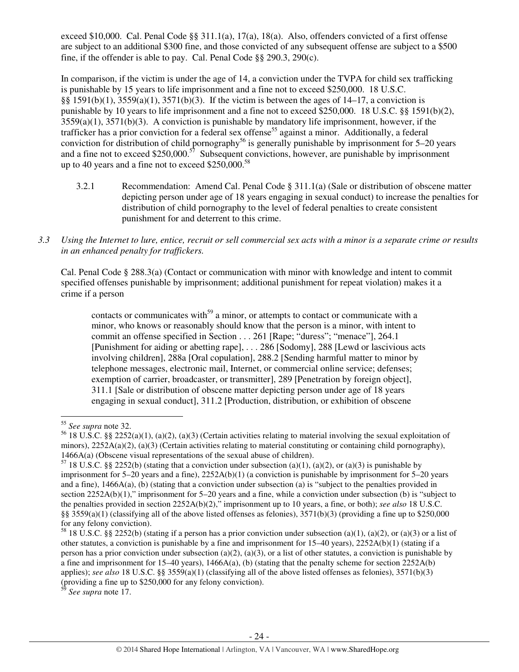exceed \$10,000. Cal. Penal Code §§ 311.1(a), 17(a), 18(a). Also, offenders convicted of a first offense are subject to an additional \$300 fine, and those convicted of any subsequent offense are subject to a \$500 fine, if the offender is able to pay. Cal. Penal Code §§ 290.3, 290(c).

In comparison, if the victim is under the age of 14, a conviction under the TVPA for child sex trafficking is punishable by 15 years to life imprisonment and a fine not to exceed \$250,000. 18 U.S.C. §§ 1591(b)(1),  $3559(a)(1)$ ,  $3571(b)(3)$ . If the victim is between the ages of 14–17, a conviction is punishable by 10 years to life imprisonment and a fine not to exceed \$250,000. 18 U.S.C. §§ 1591(b)(2), 3559(a)(1), 3571(b)(3). A conviction is punishable by mandatory life imprisonment, however, if the trafficker has a prior conviction for a federal sex offense<sup>55</sup> against a minor. Additionally, a federal conviction for distribution of child pornography<sup>56</sup> is generally punishable by imprisonment for 5–20 years and a fine not to exceed  $$250,000$ .<sup>57</sup> Subsequent convictions, however, are punishable by imprisonment up to 40 years and a fine not to exceed  $$250,000.<sup>58</sup>$ 

- 3.2.1 Recommendation: Amend Cal. Penal Code § 311.1(a) (Sale or distribution of obscene matter depicting person under age of 18 years engaging in sexual conduct) to increase the penalties for distribution of child pornography to the level of federal penalties to create consistent punishment for and deterrent to this crime.
- *3.3 Using the Internet to lure, entice, recruit or sell commercial sex acts with a minor is a separate crime or results in an enhanced penalty for traffickers.*

Cal. Penal Code § 288.3(a) (Contact or communication with minor with knowledge and intent to commit specified offenses punishable by imprisonment; additional punishment for repeat violation) makes it a crime if a person

contacts or communicates with<sup>59</sup> a minor, or attempts to contact or communicate with a minor, who knows or reasonably should know that the person is a minor, with intent to commit an offense specified in Section . . . 261 [Rape; "duress"; "menace"], 264.1 [Punishment for aiding or abetting rape], . . . 286 [Sodomy], 288 [Lewd or lascivious acts involving children], 288a [Oral copulation], 288.2 [Sending harmful matter to minor by telephone messages, electronic mail, Internet, or commercial online service; defenses; exemption of carrier, broadcaster, or transmitter], 289 [Penetration by foreign object], 311.1 [Sale or distribution of obscene matter depicting person under age of 18 years engaging in sexual conduct], 311.2 [Production, distribution, or exhibition of obscene

l

<sup>55</sup> *See supra* note 32.

<sup>&</sup>lt;sup>56</sup> 18 U.S.C. §§ 2252(a)(1), (a)(2), (a)(3) (Certain activities relating to material involving the sexual exploitation of minors),  $2252A(a)(2)$ , (a)(3) (Certain activities relating to material constituting or containing child pornography), 1466A(a) (Obscene visual representations of the sexual abuse of children).

 $57$  18 U.S.C. §§ 2252(b) (stating that a conviction under subsection (a)(1), (a)(2), or (a)(3) is punishable by imprisonment for 5–20 years and a fine), 2252A(b)(1) (a conviction is punishable by imprisonment for 5–20 years and a fine), 1466A(a), (b) (stating that a conviction under subsection (a) is "subject to the penalties provided in section 2252A(b)(1)," imprisonment for 5–20 years and a fine, while a conviction under subsection (b) is "subject to the penalties provided in section 2252A(b)(2)," imprisonment up to 10 years, a fine, or both); *see also* 18 U.S.C. §§  $3559(a)(1)$  (classifying all of the above listed offenses as felonies),  $3571(b)(3)$  (providing a fine up to \$250,000 for any felony conviction).

<sup>&</sup>lt;sup>58</sup> 18 U.S.C. §§ 2252(b) (stating if a person has a prior conviction under subsection (a)(1), (a)(2), or (a)(3) or a list of other statutes, a conviction is punishable by a fine and imprisonment for  $15-40$  years),  $2252A(b)(1)$  (stating if a person has a prior conviction under subsection (a)(2), (a)(3), or a list of other statutes, a conviction is punishable by a fine and imprisonment for 15–40 years),  $1466A(a)$ , (b) (stating that the penalty scheme for section 2252A(b) applies); *see also* 18 U.S.C. §§ 3559(a)(1) (classifying all of the above listed offenses as felonies), 3571(b)(3) (providing a fine up to \$250,000 for any felony conviction).

<sup>59</sup> *See supra* note 17.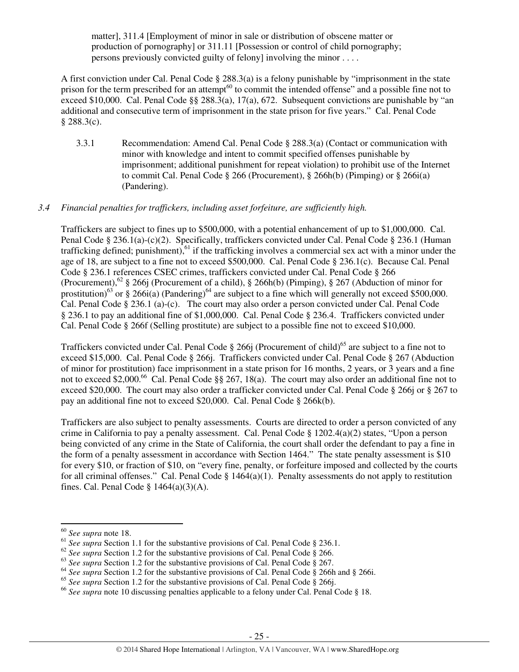matter], 311.4 [Employment of minor in sale or distribution of obscene matter or production of pornography] or 311.11 [Possession or control of child pornography; persons previously convicted guilty of felony] involving the minor . . . .

A first conviction under Cal. Penal Code § 288.3(a) is a felony punishable by "imprisonment in the state prison for the term prescribed for an attempt<sup>60</sup> to commit the intended offense" and a possible fine not to exceed \$10,000. Cal. Penal Code §§ 288.3(a), 17(a), 672. Subsequent convictions are punishable by "an additional and consecutive term of imprisonment in the state prison for five years." Cal. Penal Code  $§$  288.3(c).

3.3.1 Recommendation: Amend Cal. Penal Code § 288.3(a) (Contact or communication with minor with knowledge and intent to commit specified offenses punishable by imprisonment; additional punishment for repeat violation) to prohibit use of the Internet to commit Cal. Penal Code § 266 (Procurement), § 266h(b) (Pimping) or § 266i(a) (Pandering).

## *3.4 Financial penalties for traffickers, including asset forfeiture, are sufficiently high.*

Traffickers are subject to fines up to \$500,000, with a potential enhancement of up to \$1,000,000. Cal. Penal Code § 236.1(a)-(c)(2). Specifically, traffickers convicted under Cal. Penal Code § 236.1 (Human trafficking defined; punishment),<sup>61</sup> if the trafficking involves a commercial sex act with a minor under the age of 18, are subject to a fine not to exceed \$500,000. Cal. Penal Code § 236.1(c). Because Cal. Penal Code § 236.1 references CSEC crimes, traffickers convicted under Cal. Penal Code § 266 (Procurement),<sup>62</sup> § 266j (Procurement of a child), § 266h(b) (Pimping), § 267 (Abduction of minor for prostitution)<sup>63</sup> or § 266i(a) (Pandering)<sup>64</sup> are subject to a fine which will generally not exceed \$500,000. Cal. Penal Code § 236.1 (a)-(c). The court may also order a person convicted under Cal. Penal Code § 236.1 to pay an additional fine of \$1,000,000. Cal. Penal Code § 236.4. Traffickers convicted under Cal. Penal Code § 266f (Selling prostitute) are subject to a possible fine not to exceed \$10,000.

Traffickers convicted under Cal. Penal Code § 266j (Procurement of child)<sup>65</sup> are subject to a fine not to exceed \$15,000. Cal. Penal Code § 266j. Traffickers convicted under Cal. Penal Code § 267 (Abduction of minor for prostitution) face imprisonment in a state prison for 16 months, 2 years, or 3 years and a fine not to exceed \$2,000.<sup>66</sup> Cal. Penal Code §§ 267, 18(a). The court may also order an additional fine not to exceed \$20,000. The court may also order a trafficker convicted under Cal. Penal Code § 266j or § 267 to pay an additional fine not to exceed \$20,000. Cal. Penal Code § 266k(b).

Traffickers are also subject to penalty assessments. Courts are directed to order a person convicted of any crime in California to pay a penalty assessment. Cal. Penal Code § 1202.4(a)(2) states, "Upon a person being convicted of any crime in the State of California, the court shall order the defendant to pay a fine in the form of a penalty assessment in accordance with Section 1464." The state penalty assessment is \$10 for every \$10, or fraction of \$10, on "every fine, penalty, or forfeiture imposed and collected by the courts for all criminal offenses." Cal. Penal Code  $\S$  1464(a)(1). Penalty assessments do not apply to restitution fines. Cal. Penal Code  $\S$  1464(a)(3)(A).

<sup>60</sup> *See supra* note 18.

<sup>&</sup>lt;sup>61</sup> See supra Section 1.1 for the substantive provisions of Cal. Penal Code § 236.1.

<sup>&</sup>lt;sup>62</sup> See supra Section 1.2 for the substantive provisions of Cal. Penal Code § 266.

<sup>&</sup>lt;sup>63</sup> See supra Section 1.2 for the substantive provisions of Cal. Penal Code § 267.

<sup>64</sup> *See supra* Section 1.2 for the substantive provisions of Cal. Penal Code § 266h and § 266i.

<sup>&</sup>lt;sup>65</sup> See supra Section 1.2 for the substantive provisions of Cal. Penal Code § 266j.

<sup>66</sup> *See supra* note 10 discussing penalties applicable to a felony under Cal. Penal Code § 18.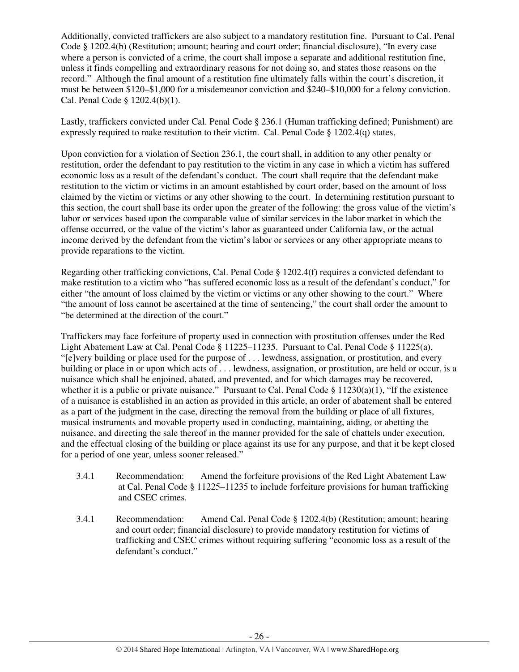Additionally, convicted traffickers are also subject to a mandatory restitution fine. Pursuant to Cal. Penal Code § 1202.4(b) (Restitution; amount; hearing and court order; financial disclosure), "In every case where a person is convicted of a crime, the court shall impose a separate and additional restitution fine, unless it finds compelling and extraordinary reasons for not doing so, and states those reasons on the record." Although the final amount of a restitution fine ultimately falls within the court's discretion, it must be between \$120–\$1,000 for a misdemeanor conviction and \$240–\$10,000 for a felony conviction. Cal. Penal Code § 1202.4(b)(1).

Lastly, traffickers convicted under Cal. Penal Code § 236.1 (Human trafficking defined; Punishment) are expressly required to make restitution to their victim. Cal. Penal Code § 1202.4(q) states,

Upon conviction for a violation of Section 236.1, the court shall, in addition to any other penalty or restitution, order the defendant to pay restitution to the victim in any case in which a victim has suffered economic loss as a result of the defendant's conduct. The court shall require that the defendant make restitution to the victim or victims in an amount established by court order, based on the amount of loss claimed by the victim or victims or any other showing to the court. In determining restitution pursuant to this section, the court shall base its order upon the greater of the following: the gross value of the victim's labor or services based upon the comparable value of similar services in the labor market in which the offense occurred, or the value of the victim's labor as guaranteed under California law, or the actual income derived by the defendant from the victim's labor or services or any other appropriate means to provide reparations to the victim.

Regarding other trafficking convictions, Cal. Penal Code  $\S 1202.4(f)$  requires a convicted defendant to make restitution to a victim who "has suffered economic loss as a result of the defendant's conduct," for either "the amount of loss claimed by the victim or victims or any other showing to the court." Where "the amount of loss cannot be ascertained at the time of sentencing," the court shall order the amount to "be determined at the direction of the court."

Traffickers may face forfeiture of property used in connection with prostitution offenses under the Red Light Abatement Law at Cal. Penal Code § 11225–11235. Pursuant to Cal. Penal Code § 11225(a), "[e]very building or place used for the purpose of . . . lewdness, assignation, or prostitution, and every building or place in or upon which acts of . . . lewdness, assignation, or prostitution, are held or occur, is a nuisance which shall be enjoined, abated, and prevented, and for which damages may be recovered, whether it is a public or private nuisance." Pursuant to Cal. Penal Code  $\S 11230(a)(1)$ , "If the existence of a nuisance is established in an action as provided in this article, an order of abatement shall be entered as a part of the judgment in the case, directing the removal from the building or place of all fixtures, musical instruments and movable property used in conducting, maintaining, aiding, or abetting the nuisance, and directing the sale thereof in the manner provided for the sale of chattels under execution, and the effectual closing of the building or place against its use for any purpose, and that it be kept closed for a period of one year, unless sooner released."

- 3.4.1 Recommendation: Amend the forfeiture provisions of the Red Light Abatement Law at Cal. Penal Code § 11225–11235 to include forfeiture provisions for human trafficking and CSEC crimes.
- 3.4.1 Recommendation: Amend Cal. Penal Code § 1202.4(b) (Restitution; amount; hearing and court order; financial disclosure) to provide mandatory restitution for victims of trafficking and CSEC crimes without requiring suffering "economic loss as a result of the defendant's conduct."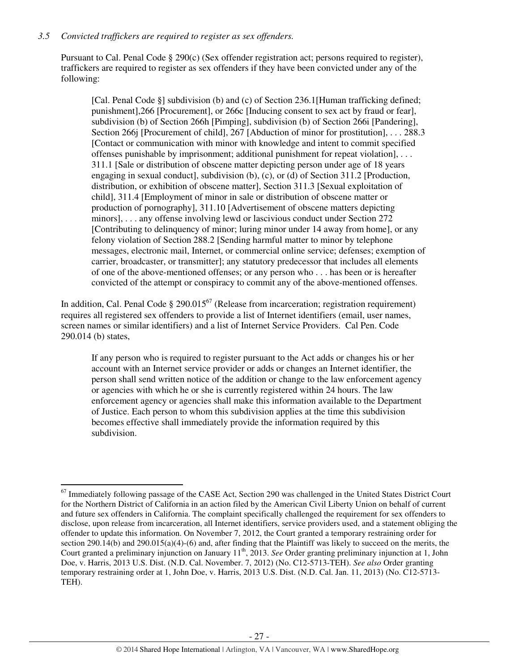## *3.5 Convicted traffickers are required to register as sex offenders.*

l

Pursuant to Cal. Penal Code § 290(c) (Sex offender registration act; persons required to register), traffickers are required to register as sex offenders if they have been convicted under any of the following:

[Cal. Penal Code §] subdivision (b) and (c) of Section 236.1[Human trafficking defined; punishment],266 [Procurement], or 266c [Inducing consent to sex act by fraud or fear], subdivision (b) of Section 266h [Pimping], subdivision (b) of Section 266i [Pandering], Section 266j [Procurement of child], 267 [Abduction of minor for prostitution], . . . 288.3 [Contact or communication with minor with knowledge and intent to commit specified offenses punishable by imprisonment; additional punishment for repeat violation], . . . 311.1 [Sale or distribution of obscene matter depicting person under age of 18 years engaging in sexual conduct], subdivision (b), (c), or (d) of Section 311.2 [Production, distribution, or exhibition of obscene matter], Section 311.3 [Sexual exploitation of child], 311.4 [Employment of minor in sale or distribution of obscene matter or production of pornography], 311.10 [Advertisement of obscene matters depicting minors], . . . any offense involving lewd or lascivious conduct under Section 272 [Contributing to delinquency of minor; luring minor under 14 away from home], or any felony violation of Section 288.2 [Sending harmful matter to minor by telephone messages, electronic mail, Internet, or commercial online service; defenses; exemption of carrier, broadcaster, or transmitter]; any statutory predecessor that includes all elements of one of the above-mentioned offenses; or any person who . . . has been or is hereafter convicted of the attempt or conspiracy to commit any of the above-mentioned offenses.

In addition, Cal. Penal Code  $\S 290.015^{67}$  (Release from incarceration; registration requirement) requires all registered sex offenders to provide a list of Internet identifiers (email, user names, screen names or similar identifiers) and a list of Internet Service Providers. Cal Pen. Code 290.014 (b) states,

If any person who is required to register pursuant to the Act adds or changes his or her account with an Internet service provider or adds or changes an Internet identifier, the person shall send written notice of the addition or change to the law enforcement agency or agencies with which he or she is currently registered within 24 hours. The law enforcement agency or agencies shall make this information available to the Department of Justice. Each person to whom this subdivision applies at the time this subdivision becomes effective shall immediately provide the information required by this subdivision.

 $67$  Immediately following passage of the CASE Act, Section 290 was challenged in the United States District Court for the Northern District of California in an action filed by the American Civil Liberty Union on behalf of current and future sex offenders in California. The complaint specifically challenged the requirement for sex offenders to disclose, upon release from incarceration, all Internet identifiers, service providers used, and a statement obliging the offender to update this information. On November 7, 2012, the Court granted a temporary restraining order for section 290.14(b) and 290.015(a)(4)-(6) and, after finding that the Plaintiff was likely to succeed on the merits, the Court granted a preliminary injunction on January 11<sup>th</sup>, 2013. *See* Order granting preliminary injunction at 1, John Doe, v. Harris, 2013 U.S. Dist. (N.D. Cal. November. 7, 2012) (No. C12-5713-TEH). *See also* Order granting temporary restraining order at 1, John Doe, v. Harris, 2013 U.S. Dist. (N.D. Cal. Jan. 11, 2013) (No. C12-5713- TEH).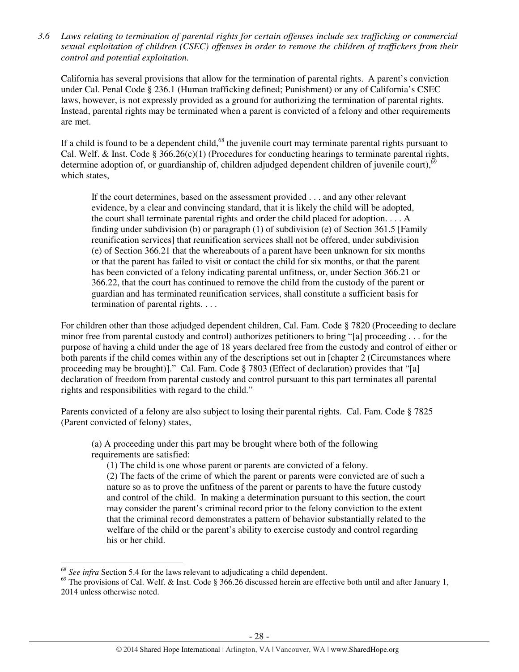*3.6 Laws relating to termination of parental rights for certain offenses include sex trafficking or commercial sexual exploitation of children (CSEC) offenses in order to remove the children of traffickers from their control and potential exploitation.* 

California has several provisions that allow for the termination of parental rights. A parent's conviction under Cal. Penal Code § 236.1 (Human trafficking defined; Punishment) or any of California's CSEC laws, however, is not expressly provided as a ground for authorizing the termination of parental rights. Instead, parental rights may be terminated when a parent is convicted of a felony and other requirements are met.

If a child is found to be a dependent child,<sup>68</sup> the juvenile court may terminate parental rights pursuant to Cal. Welf. & Inst. Code §  $366.26(c)(1)$  (Procedures for conducting hearings to terminate parental rights, determine adoption of, or guardianship of, children adjudged dependent children of juvenile court),<sup>6</sup> which states,

If the court determines, based on the assessment provided . . . and any other relevant evidence, by a clear and convincing standard, that it is likely the child will be adopted, the court shall terminate parental rights and order the child placed for adoption. . . . A finding under subdivision (b) or paragraph (1) of subdivision (e) of Section 361.5 [Family reunification services] that reunification services shall not be offered, under subdivision (e) of Section 366.21 that the whereabouts of a parent have been unknown for six months or that the parent has failed to visit or contact the child for six months, or that the parent has been convicted of a felony indicating parental unfitness, or, under Section 366.21 or 366.22, that the court has continued to remove the child from the custody of the parent or guardian and has terminated reunification services, shall constitute a sufficient basis for termination of parental rights. . . .

For children other than those adjudged dependent children, Cal. Fam. Code § 7820 (Proceeding to declare minor free from parental custody and control) authorizes petitioners to bring "[a] proceeding . . . for the purpose of having a child under the age of 18 years declared free from the custody and control of either or both parents if the child comes within any of the descriptions set out in [chapter 2 (Circumstances where proceeding may be brought)]." Cal. Fam. Code § 7803 (Effect of declaration) provides that "[a] declaration of freedom from parental custody and control pursuant to this part terminates all parental rights and responsibilities with regard to the child."

Parents convicted of a felony are also subject to losing their parental rights. Cal. Fam. Code § 7825 (Parent convicted of felony) states,

(a) A proceeding under this part may be brought where both of the following requirements are satisfied:

(1) The child is one whose parent or parents are convicted of a felony.

(2) The facts of the crime of which the parent or parents were convicted are of such a nature so as to prove the unfitness of the parent or parents to have the future custody and control of the child. In making a determination pursuant to this section, the court may consider the parent's criminal record prior to the felony conviction to the extent that the criminal record demonstrates a pattern of behavior substantially related to the welfare of the child or the parent's ability to exercise custody and control regarding his or her child.

<sup>68</sup> *See infra* Section 5.4 for the laws relevant to adjudicating a child dependent.

 $^{69}$  The provisions of Cal. Welf. & Inst. Code § 366.26 discussed herein are effective both until and after January 1, 2014 unless otherwise noted.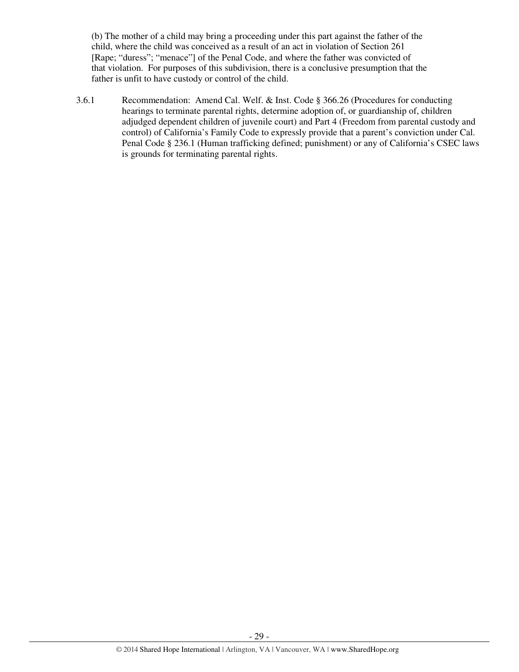(b) The mother of a child may bring a proceeding under this part against the father of the child, where the child was conceived as a result of an act in violation of Section 261 [Rape; "duress"; "menace"] of the Penal Code, and where the father was convicted of that violation. For purposes of this subdivision, there is a conclusive presumption that the father is unfit to have custody or control of the child.

3.6.1 Recommendation: Amend Cal. Welf. & Inst. Code § 366.26 (Procedures for conducting hearings to terminate parental rights, determine adoption of, or guardianship of, children adjudged dependent children of juvenile court) and Part 4 (Freedom from parental custody and control) of California's Family Code to expressly provide that a parent's conviction under Cal. Penal Code § 236.1 (Human trafficking defined; punishment) or any of California's CSEC laws is grounds for terminating parental rights.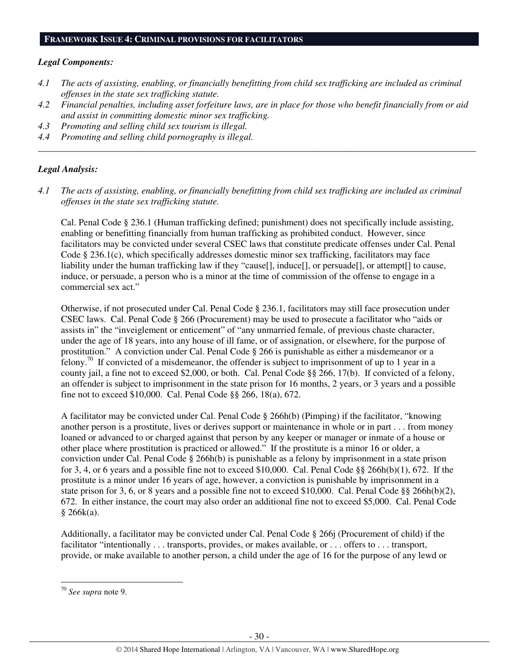#### **FRAMEWORK ISSUE 4: CRIMINAL PROVISIONS FOR FACILITATORS**

#### *Legal Components:*

- *4.1 The acts of assisting, enabling, or financially benefitting from child sex trafficking are included as criminal offenses in the state sex trafficking statute.*
- *4.2 Financial penalties, including asset forfeiture laws, are in place for those who benefit financially from or aid and assist in committing domestic minor sex trafficking.*

*\_\_\_\_\_\_\_\_\_\_\_\_\_\_\_\_\_\_\_\_\_\_\_\_\_\_\_\_\_\_\_\_\_\_\_\_\_\_\_\_\_\_\_\_\_\_\_\_\_\_\_\_\_\_\_\_\_\_\_\_\_\_\_\_\_\_\_\_\_\_\_\_\_\_\_\_\_\_\_\_\_\_\_\_\_\_\_\_\_\_\_\_\_\_* 

- *4.3 Promoting and selling child sex tourism is illegal.*
- *4.4 Promoting and selling child pornography is illegal.*

#### *Legal Analysis:*

*4.1 The acts of assisting, enabling, or financially benefitting from child sex trafficking are included as criminal offenses in the state sex trafficking statute.*

Cal. Penal Code § 236.1 (Human trafficking defined; punishment) does not specifically include assisting, enabling or benefitting financially from human trafficking as prohibited conduct. However, since facilitators may be convicted under several CSEC laws that constitute predicate offenses under Cal. Penal Code § 236.1(c), which specifically addresses domestic minor sex trafficking, facilitators may face liability under the human trafficking law if they "cause[], induce[], or persuade[], or attempt[] to cause, induce, or persuade, a person who is a minor at the time of commission of the offense to engage in a commercial sex act."

Otherwise, if not prosecuted under Cal. Penal Code § 236.1, facilitators may still face prosecution under CSEC laws. Cal. Penal Code § 266 (Procurement) may be used to prosecute a facilitator who "aids or assists in" the "inveiglement or enticement" of "any unmarried female, of previous chaste character, under the age of 18 years, into any house of ill fame, or of assignation, or elsewhere, for the purpose of prostitution." A conviction under Cal. Penal Code § 266 is punishable as either a misdemeanor or a felony.<sup>70</sup> If convicted of a misdemeanor, the offender is subject to imprisonment of up to 1 year in a county jail, a fine not to exceed \$2,000, or both. Cal. Penal Code §§ 266, 17(b). If convicted of a felony, an offender is subject to imprisonment in the state prison for 16 months, 2 years, or 3 years and a possible fine not to exceed \$10,000. Cal. Penal Code §§ 266, 18(a), 672.

A facilitator may be convicted under Cal. Penal Code § 266h(b) (Pimping) if the facilitator, "knowing another person is a prostitute, lives or derives support or maintenance in whole or in part . . . from money loaned or advanced to or charged against that person by any keeper or manager or inmate of a house or other place where prostitution is practiced or allowed." If the prostitute is a minor 16 or older, a conviction under Cal. Penal Code § 266h(b) is punishable as a felony by imprisonment in a state prison for 3, 4, or 6 years and a possible fine not to exceed \$10,000. Cal. Penal Code §§ 266h(b)(1), 672. If the prostitute is a minor under 16 years of age, however, a conviction is punishable by imprisonment in a state prison for 3, 6, or 8 years and a possible fine not to exceed \$10,000. Cal. Penal Code §§ 266h(b)(2), 672. In either instance, the court may also order an additional fine not to exceed \$5,000. Cal. Penal Code  $§ 266k(a).$ 

Additionally, a facilitator may be convicted under Cal. Penal Code § 266j (Procurement of child) if the facilitator "intentionally . . . transports, provides, or makes available, or . . . offers to . . . transport, provide, or make available to another person, a child under the age of 16 for the purpose of any lewd or

<sup>70</sup> *See supra* note 9.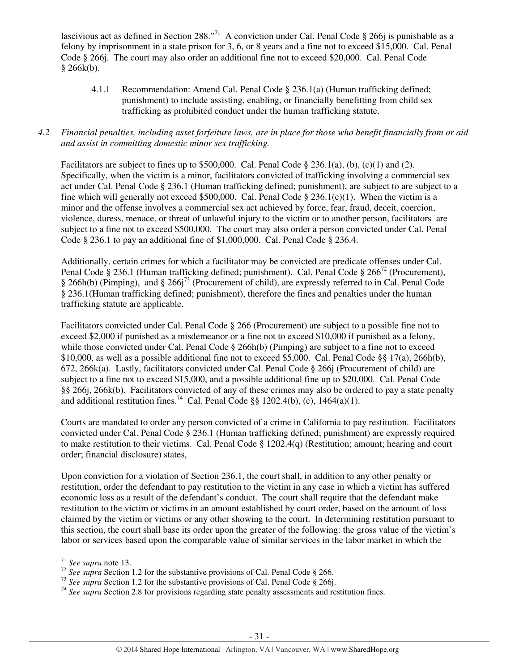lascivious act as defined in Section 288."<sup>71</sup> A conviction under Cal. Penal Code § 266*j* is punishable as a felony by imprisonment in a state prison for 3, 6, or 8 years and a fine not to exceed \$15,000. Cal. Penal Code § 266j. The court may also order an additional fine not to exceed \$20,000. Cal. Penal Code  $§ 266k(b).$ 

 4.1.1 Recommendation: Amend Cal. Penal Code § 236.1(a) (Human trafficking defined; punishment) to include assisting, enabling, or financially benefitting from child sex trafficking as prohibited conduct under the human trafficking statute.

### *4.2 Financial penalties, including asset forfeiture laws, are in place for those who benefit financially from or aid and assist in committing domestic minor sex trafficking.*

Facilitators are subject to fines up to \$500,000. Cal. Penal Code  $\S 236.1(a)$ , (b), (c)(1) and (2). Specifically, when the victim is a minor, facilitators convicted of trafficking involving a commercial sex act under Cal. Penal Code § 236.1 (Human trafficking defined; punishment), are subject to are subject to a fine which will generally not exceed \$500,000. Cal. Penal Code § 236.1(c)(1). When the victim is a minor and the offense involves a commercial sex act achieved by force, fear, fraud, deceit, coercion, violence, duress, menace, or threat of unlawful injury to the victim or to another person, facilitators are subject to a fine not to exceed \$500,000. The court may also order a person convicted under Cal. Penal Code  $\S$  236.1 to pay an additional fine of \$1,000,000. Cal. Penal Code  $\S$  236.4.

Additionally, certain crimes for which a facilitator may be convicted are predicate offenses under Cal. Penal Code § 236.1 (Human trafficking defined; punishment). Cal. Penal Code § 266<sup>72</sup> (Procurement), § 266h(b) (Pimping), and § 266j<sup>73</sup> (Procurement of child), are expressly referred to in Cal. Penal Code § 236.1(Human trafficking defined; punishment), therefore the fines and penalties under the human trafficking statute are applicable.

Facilitators convicted under Cal. Penal Code § 266 (Procurement) are subject to a possible fine not to exceed \$2,000 if punished as a misdemeanor or a fine not to exceed \$10,000 if punished as a felony, while those convicted under Cal. Penal Code § 266h(b) (Pimping) are subject to a fine not to exceed \$10,000, as well as a possible additional fine not to exceed \$5,000. Cal. Penal Code §§ 17(a), 266h(b), 672, 266k(a). Lastly, facilitators convicted under Cal. Penal Code § 266j (Procurement of child) are subject to a fine not to exceed \$15,000, and a possible additional fine up to \$20,000. Cal. Penal Code §§ 266j, 266k(b). Facilitators convicted of any of these crimes may also be ordered to pay a state penalty and additional restitution fines.<sup>74</sup> Cal. Penal Code §§ 1202.4(b), (c), 1464(a)(1).

Courts are mandated to order any person convicted of a crime in California to pay restitution. Facilitators convicted under Cal. Penal Code § 236.1 (Human trafficking defined; punishment) are expressly required to make restitution to their victims. Cal. Penal Code § 1202.4(q) (Restitution; amount; hearing and court order; financial disclosure) states,

Upon conviction for a violation of Section 236.1, the court shall, in addition to any other penalty or restitution, order the defendant to pay restitution to the victim in any case in which a victim has suffered economic loss as a result of the defendant's conduct. The court shall require that the defendant make restitution to the victim or victims in an amount established by court order, based on the amount of loss claimed by the victim or victims or any other showing to the court. In determining restitution pursuant to this section, the court shall base its order upon the greater of the following: the gross value of the victim's labor or services based upon the comparable value of similar services in the labor market in which the

l

<sup>71</sup> *See supra* note 13.

<sup>72</sup> *See supra* Section 1.2 for the substantive provisions of Cal. Penal Code § 266.

<sup>&</sup>lt;sup>73</sup> See supra Section 1.2 for the substantive provisions of Cal. Penal Code § 266j.

*<sup>74</sup> See supra* Section 2.8 for provisions regarding state penalty assessments and restitution fines.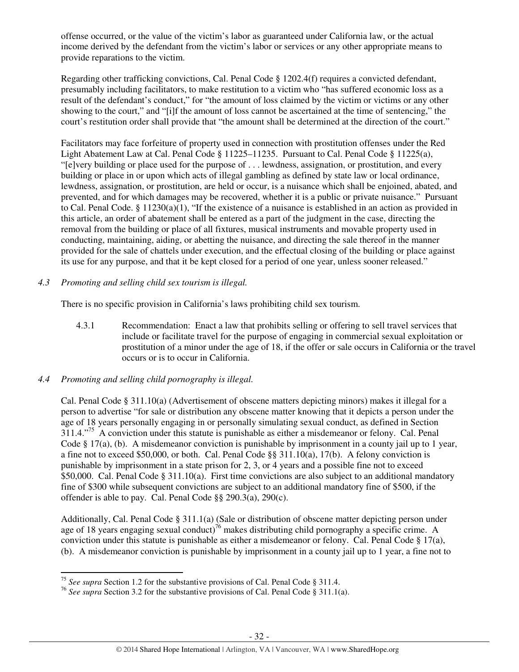offense occurred, or the value of the victim's labor as guaranteed under California law, or the actual income derived by the defendant from the victim's labor or services or any other appropriate means to provide reparations to the victim.

Regarding other trafficking convictions, Cal. Penal Code § 1202.4(f) requires a convicted defendant, presumably including facilitators, to make restitution to a victim who "has suffered economic loss as a result of the defendant's conduct," for "the amount of loss claimed by the victim or victims or any other showing to the court," and "[i]f the amount of loss cannot be ascertained at the time of sentencing," the court's restitution order shall provide that "the amount shall be determined at the direction of the court."

Facilitators may face forfeiture of property used in connection with prostitution offenses under the Red Light Abatement Law at Cal. Penal Code § 11225–11235. Pursuant to Cal. Penal Code § 11225(a), "[e]very building or place used for the purpose of . . . lewdness, assignation, or prostitution, and every building or place in or upon which acts of illegal gambling as defined by state law or local ordinance, lewdness, assignation, or prostitution, are held or occur, is a nuisance which shall be enjoined, abated, and prevented, and for which damages may be recovered, whether it is a public or private nuisance." Pursuant to Cal. Penal Code. § 11230(a)(1), "If the existence of a nuisance is established in an action as provided in this article, an order of abatement shall be entered as a part of the judgment in the case, directing the removal from the building or place of all fixtures, musical instruments and movable property used in conducting, maintaining, aiding, or abetting the nuisance, and directing the sale thereof in the manner provided for the sale of chattels under execution, and the effectual closing of the building or place against its use for any purpose, and that it be kept closed for a period of one year, unless sooner released."

# *4.3 Promoting and selling child sex tourism is illegal.*

There is no specific provision in California's laws prohibiting child sex tourism.

- 4.3.1 Recommendation: Enact a law that prohibits selling or offering to sell travel services that include or facilitate travel for the purpose of engaging in commercial sexual exploitation or prostitution of a minor under the age of 18, if the offer or sale occurs in California or the travel occurs or is to occur in California.
- *4.4 Promoting and selling child pornography is illegal.*

l

Cal. Penal Code § 311.10(a) (Advertisement of obscene matters depicting minors) makes it illegal for a person to advertise "for sale or distribution any obscene matter knowing that it depicts a person under the age of 18 years personally engaging in or personally simulating sexual conduct, as defined in Section 311.4."<sup>75</sup> A conviction under this statute is punishable as either a misdemeanor or felony. Cal. Penal Code § 17(a), (b). A misdemeanor conviction is punishable by imprisonment in a county jail up to 1 year, a fine not to exceed \$50,000, or both. Cal. Penal Code §§ 311.10(a), 17(b). A felony conviction is punishable by imprisonment in a state prison for 2, 3, or 4 years and a possible fine not to exceed \$50,000. Cal. Penal Code § 311.10(a). First time convictions are also subject to an additional mandatory fine of \$300 while subsequent convictions are subject to an additional mandatory fine of \$500, if the offender is able to pay. Cal. Penal Code §§ 290.3(a), 290(c).

Additionally, Cal. Penal Code § 311.1(a) (Sale or distribution of obscene matter depicting person under age of 18 years engaging sexual conduct)<sup>76</sup> makes distributing child pornography a specific crime. A conviction under this statute is punishable as either a misdemeanor or felony. Cal. Penal Code § 17(a), (b). A misdemeanor conviction is punishable by imprisonment in a county jail up to 1 year, a fine not to

<sup>75</sup> *See supra* Section 1.2 for the substantive provisions of Cal. Penal Code § 311.4.

<sup>76</sup> *See supra* Section 3.2 for the substantive provisions of Cal. Penal Code § 311.1(a).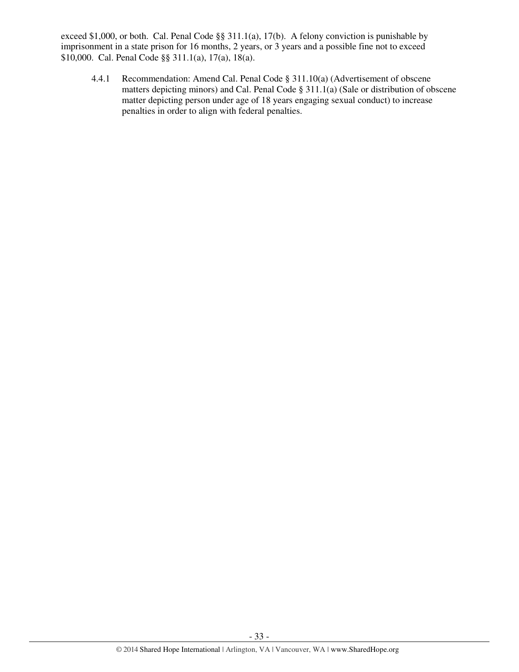exceed \$1,000, or both. Cal. Penal Code §§ 311.1(a), 17(b). A felony conviction is punishable by imprisonment in a state prison for 16 months, 2 years, or 3 years and a possible fine not to exceed \$10,000. Cal. Penal Code §§ 311.1(a), 17(a), 18(a).

 4.4.1 Recommendation: Amend Cal. Penal Code § 311.10(a) (Advertisement of obscene matters depicting minors) and Cal. Penal Code § 311.1(a) (Sale or distribution of obscene matter depicting person under age of 18 years engaging sexual conduct) to increase penalties in order to align with federal penalties.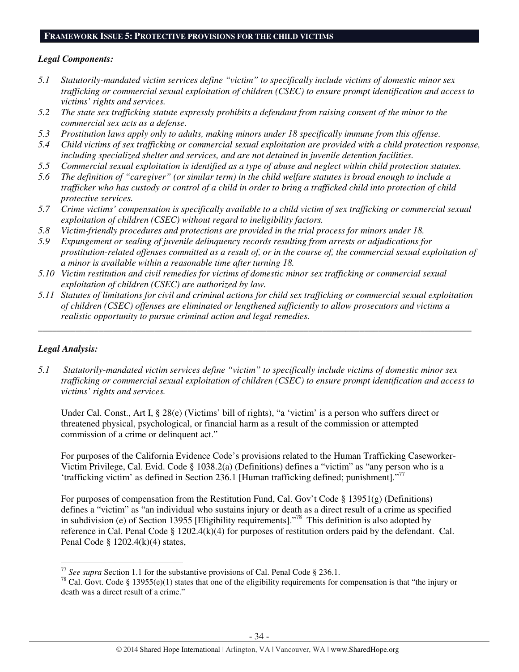#### **FRAMEWORK ISSUE 5: PROTECTIVE PROVISIONS FOR THE CHILD VICTIMS**

### *Legal Components:*

- *5.1 Statutorily-mandated victim services define "victim" to specifically include victims of domestic minor sex trafficking or commercial sexual exploitation of children (CSEC) to ensure prompt identification and access to victims' rights and services.*
- *5.2 The state sex trafficking statute expressly prohibits a defendant from raising consent of the minor to the commercial sex acts as a defense.*
- *5.3 Prostitution laws apply only to adults, making minors under 18 specifically immune from this offense.*
- *5.4 Child victims of sex trafficking or commercial sexual exploitation are provided with a child protection response, including specialized shelter and services, and are not detained in juvenile detention facilities.*
- *5.5 Commercial sexual exploitation is identified as a type of abuse and neglect within child protection statutes.*
- *5.6 The definition of "caregiver" (or similar term) in the child welfare statutes is broad enough to include a trafficker who has custody or control of a child in order to bring a trafficked child into protection of child protective services.*
- *5.7 Crime victims' compensation is specifically available to a child victim of sex trafficking or commercial sexual exploitation of children (CSEC) without regard to ineligibility factors.*
- *5.8 Victim-friendly procedures and protections are provided in the trial process for minors under 18.*
- *5.9 Expungement or sealing of juvenile delinquency records resulting from arrests or adjudications for prostitution-related offenses committed as a result of, or in the course of, the commercial sexual exploitation of a minor is available within a reasonable time after turning 18.*
- *5.10 Victim restitution and civil remedies for victims of domestic minor sex trafficking or commercial sexual exploitation of children (CSEC) are authorized by law.*
- *5.11 Statutes of limitations for civil and criminal actions for child sex trafficking or commercial sexual exploitation of children (CSEC) offenses are eliminated or lengthened sufficiently to allow prosecutors and victims a realistic opportunity to pursue criminal action and legal remedies.*

*\_\_\_\_\_\_\_\_\_\_\_\_\_\_\_\_\_\_\_\_\_\_\_\_\_\_\_\_\_\_\_\_\_\_\_\_\_\_\_\_\_\_\_\_\_\_\_\_\_\_\_\_\_\_\_\_\_\_\_\_\_\_\_\_\_\_\_\_\_\_\_\_\_\_\_\_\_\_\_\_\_\_\_\_\_\_\_\_\_\_\_\_\_* 

# *Legal Analysis:*

l

*5.1 Statutorily-mandated victim services define "victim" to specifically include victims of domestic minor sex trafficking or commercial sexual exploitation of children (CSEC) to ensure prompt identification and access to victims' rights and services.* 

Under Cal. Const., Art I, § 28(e) (Victims' bill of rights), "a 'victim' is a person who suffers direct or threatened physical, psychological, or financial harm as a result of the commission or attempted commission of a crime or delinquent act."

For purposes of the California Evidence Code's provisions related to the Human Trafficking Caseworker-Victim Privilege, Cal. Evid. Code § 1038.2(a) (Definitions) defines a "victim" as "any person who is a 'trafficking victim' as defined in Section 236.1 [Human trafficking defined; punishment]."<sup>77</sup>

For purposes of compensation from the Restitution Fund, Cal. Gov't Code § 13951(g) (Definitions) defines a "victim" as "an individual who sustains injury or death as a direct result of a crime as specified in subdivision (e) of Section 13955 [Eligibility requirements]."<sup>78</sup> This definition is also adopted by reference in Cal. Penal Code § 1202.4(k)(4) for purposes of restitution orders paid by the defendant. Cal. Penal Code § 1202.4(k)(4) states,

<sup>77</sup> *See supra* Section 1.1 for the substantive provisions of Cal. Penal Code § 236.1.

<sup>&</sup>lt;sup>78</sup> Cal. Govt. Code § 13955(e)(1) states that one of the eligibility requirements for compensation is that "the injury or death was a direct result of a crime."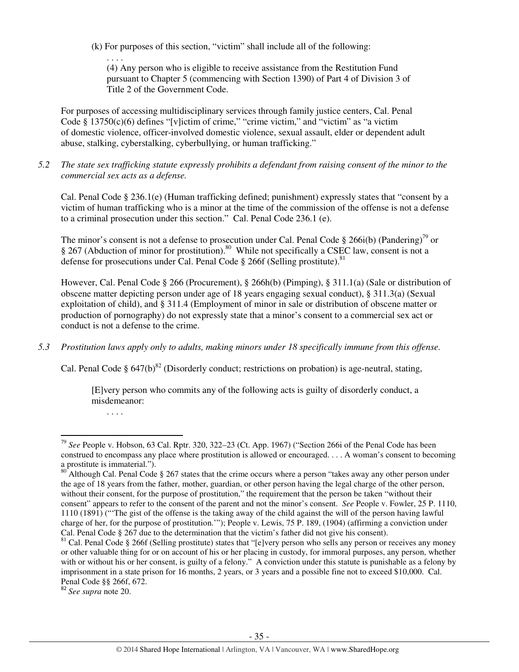(k) For purposes of this section, "victim" shall include all of the following:

(4) Any person who is eligible to receive assistance from the Restitution Fund pursuant to Chapter 5 (commencing with Section 1390) of Part 4 of Division 3 of Title 2 of the Government Code.

For purposes of accessing multidisciplinary services through family justice centers, Cal. Penal Code  $\S 13750(c)(6)$  defines "[v]ictim of crime," "crime victim," and "victim" as "a victim" of domestic violence, officer-involved domestic violence, sexual assault, elder or dependent adult abuse, stalking, cyberstalking, cyberbullying, or human trafficking."

*5.2 The state sex trafficking statute expressly prohibits a defendant from raising consent of the minor to the commercial sex acts as a defense.* 

Cal. Penal Code § 236.1(e) (Human trafficking defined; punishment) expressly states that "consent by a victim of human trafficking who is a minor at the time of the commission of the offense is not a defense to a criminal prosecution under this section." Cal. Penal Code 236.1 (e).

The minor's consent is not a defense to prosecution under Cal. Penal Code § 266i(b) (Pandering)<sup>79</sup> or § 267 (Abduction of minor for prostitution).<sup>80</sup> While not specifically a CSEC law, consent is not a defense for prosecutions under Cal. Penal Code  $\S$  266f (Selling prostitute).<sup>81</sup>

However, Cal. Penal Code § 266 (Procurement), § 266h(b) (Pimping), § 311.1(a) (Sale or distribution of obscene matter depicting person under age of 18 years engaging sexual conduct), § 311.3(a) (Sexual exploitation of child), and § 311.4 (Employment of minor in sale or distribution of obscene matter or production of pornography) do not expressly state that a minor's consent to a commercial sex act or conduct is not a defense to the crime.

*5.3 Prostitution laws apply only to adults, making minors under 18 specifically immune from this offense.* 

Cal. Penal Code §  $647(b)^{82}$  (Disorderly conduct; restrictions on probation) is age-neutral, stating,

[E]very person who commits any of the following acts is guilty of disorderly conduct, a misdemeanor:

. . . .

l

. . . .

<sup>82</sup> *See supra* note 20.

<sup>79</sup> *See* People v. Hobson, 63 Cal. Rptr. 320, 322–23 (Ct. App. 1967) ("Section 266i of the Penal Code has been construed to encompass any place where prostitution is allowed or encouraged. . . . A woman's consent to becoming a prostitute is immaterial.").

 $80^{\circ}$ Although Cal. Penal Code § 267 states that the crime occurs where a person "takes away any other person under the age of 18 years from the father, mother, guardian, or other person having the legal charge of the other person, without their consent, for the purpose of prostitution," the requirement that the person be taken "without their consent" appears to refer to the consent of the parent and not the minor's consent. *See* People v. Fowler, 25 P. 1110, 1110 (1891) ("'The gist of the offense is the taking away of the child against the will of the person having lawful charge of her, for the purpose of prostitution.'"); People v. Lewis, 75 P. 189, (1904) (affirming a conviction under Cal. Penal Code § 267 due to the determination that the victim's father did not give his consent).

<sup>&</sup>lt;sup>81</sup> Cal. Penal Code § 266f (Selling prostitute) states that "[e]very person who sells any person or receives any money or other valuable thing for or on account of his or her placing in custody, for immoral purposes, any person, whether with or without his or her consent, is guilty of a felony." A conviction under this statute is punishable as a felony by imprisonment in a state prison for 16 months, 2 years, or 3 years and a possible fine not to exceed \$10,000. Cal. Penal Code §§ 266f, 672.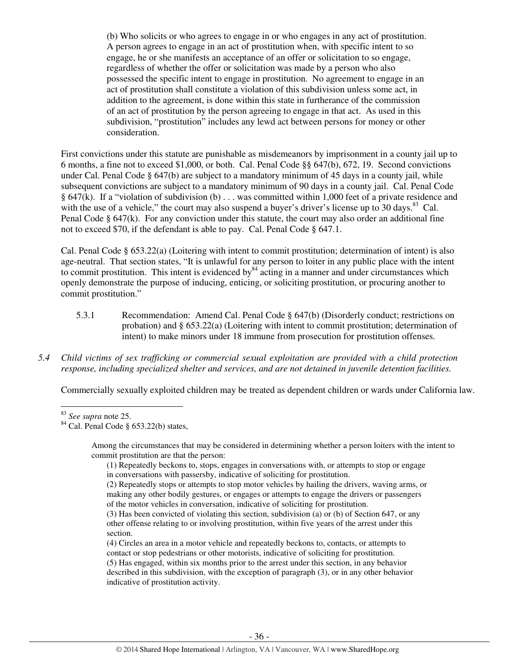(b) Who solicits or who agrees to engage in or who engages in any act of prostitution. A person agrees to engage in an act of prostitution when, with specific intent to so engage, he or she manifests an acceptance of an offer or solicitation to so engage, regardless of whether the offer or solicitation was made by a person who also possessed the specific intent to engage in prostitution. No agreement to engage in an act of prostitution shall constitute a violation of this subdivision unless some act, in addition to the agreement, is done within this state in furtherance of the commission of an act of prostitution by the person agreeing to engage in that act. As used in this subdivision, "prostitution" includes any lewd act between persons for money or other consideration.

First convictions under this statute are punishable as misdemeanors by imprisonment in a county jail up to 6 months, a fine not to exceed \$1,000, or both. Cal. Penal Code §§ 647(b), 672, 19. Second convictions under Cal. Penal Code § 647(b) are subject to a mandatory minimum of 45 days in a county jail, while subsequent convictions are subject to a mandatory minimum of 90 days in a county jail. Cal. Penal Code § 647(k). If a "violation of subdivision (b) . . . was committed within 1,000 feet of a private residence and with the use of a vehicle," the court may also suspend a buyer's driver's license up to  $30 \text{ days}$ . Cal. Penal Code § 647(k). For any conviction under this statute, the court may also order an additional fine not to exceed \$70, if the defendant is able to pay. Cal. Penal Code § 647.1.

Cal. Penal Code § 653.22(a) (Loitering with intent to commit prostitution; determination of intent) is also age-neutral. That section states, "It is unlawful for any person to loiter in any public place with the intent to commit prostitution. This intent is evidenced by  $84$  acting in a manner and under circumstances which openly demonstrate the purpose of inducing, enticing, or soliciting prostitution, or procuring another to commit prostitution."

- 5.3.1 Recommendation: Amend Cal. Penal Code § 647(b) (Disorderly conduct; restrictions on probation) and § 653.22(a) (Loitering with intent to commit prostitution; determination of intent) to make minors under 18 immune from prosecution for prostitution offenses.
- *5.4 Child victims of sex trafficking or commercial sexual exploitation are provided with a child protection response, including specialized shelter and services, and are not detained in juvenile detention facilities.*

Commercially sexually exploited children may be treated as dependent children or wards under California law.

 $\overline{a}$ 

Among the circumstances that may be considered in determining whether a person loiters with the intent to commit prostitution are that the person:

(4) Circles an area in a motor vehicle and repeatedly beckons to, contacts, or attempts to contact or stop pedestrians or other motorists, indicative of soliciting for prostitution.

<sup>83</sup> *See supra* note 25.

 $^{84}$  Cal. Penal Code § 653.22(b) states,

<sup>(1)</sup> Repeatedly beckons to, stops, engages in conversations with, or attempts to stop or engage in conversations with passersby, indicative of soliciting for prostitution.

<sup>(2)</sup> Repeatedly stops or attempts to stop motor vehicles by hailing the drivers, waving arms, or making any other bodily gestures, or engages or attempts to engage the drivers or passengers of the motor vehicles in conversation, indicative of soliciting for prostitution.

<sup>(3)</sup> Has been convicted of violating this section, subdivision (a) or (b) of Section 647, or any other offense relating to or involving prostitution, within five years of the arrest under this section.

<sup>(5)</sup> Has engaged, within six months prior to the arrest under this section, in any behavior

described in this subdivision, with the exception of paragraph (3), or in any other behavior indicative of prostitution activity.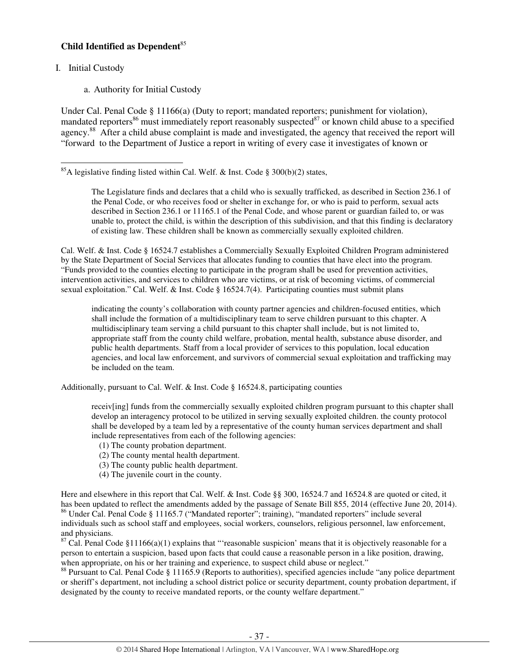# **Child Identified as Dependent**<sup>85</sup>

I. Initial Custody

l

a. Authority for Initial Custody

Under Cal. Penal Code § 11166(a) (Duty to report; mandated reporters; punishment for violation), mandated reporters<sup>86</sup> must immediately report reasonably suspected<sup>87</sup> or known child abuse to a specified agency.<sup>88</sup> After a child abuse complaint is made and investigated, the agency that received the report will "forward to the Department of Justice a report in writing of every case it investigates of known or

The Legislature finds and declares that a child who is sexually trafficked, as described in Section 236.1 of the Penal Code, or who receives food or shelter in exchange for, or who is paid to perform, sexual acts described in Section 236.1 or 11165.1 of the Penal Code, and whose parent or guardian failed to, or was unable to, protect the child, is within the description of this subdivision, and that this finding is declaratory of existing law. These children shall be known as commercially sexually exploited children.

Cal. Welf. & Inst. Code § 16524.7 establishes a Commercially Sexually Exploited Children Program administered by the State Department of Social Services that allocates funding to counties that have elect into the program. "Funds provided to the counties electing to participate in the program shall be used for prevention activities, intervention activities, and services to children who are victims, or at risk of becoming victims, of commercial sexual exploitation." Cal. Welf. & Inst. Code § 16524.7(4). Participating counties must submit plans

indicating the county's collaboration with county partner agencies and children-focused entities, which shall include the formation of a multidisciplinary team to serve children pursuant to this chapter. A multidisciplinary team serving a child pursuant to this chapter shall include, but is not limited to, appropriate staff from the county child welfare, probation, mental health, substance abuse disorder, and public health departments. Staff from a local provider of services to this population, local education agencies, and local law enforcement, and survivors of commercial sexual exploitation and trafficking may be included on the team.

Additionally, pursuant to Cal. Welf. & Inst. Code § 16524.8, participating counties

receiv[ing] funds from the commercially sexually exploited children program pursuant to this chapter shall develop an interagency protocol to be utilized in serving sexually exploited children. the county protocol shall be developed by a team led by a representative of the county human services department and shall include representatives from each of the following agencies:

- (1) The county probation department.
- (2) The county mental health department.
- (3) The county public health department.
- (4) The juvenile court in the county.

Here and elsewhere in this report that Cal. Welf. & Inst. Code §§ 300, 16524.7 and 16524.8 are quoted or cited, it has been updated to reflect the amendments added by the passage of Senate Bill 855, 2014 (effective June 20, 2014). <sup>86</sup> Under Cal. Penal Code § 11165.7 ("Mandated reporter"; training), "mandated reporters" include several individuals such as school staff and employees, social workers, counselors, religious personnel, law enforcement, and physicians.

 $87$  Cal. Penal Code §11166(a)(1) explains that "reasonable suspicion' means that it is objectively reasonable for a person to entertain a suspicion, based upon facts that could cause a reasonable person in a like position, drawing, when appropriate, on his or her training and experience, to suspect child abuse or neglect."

<sup>88</sup> Pursuant to Cal. Penal Code § 11165.9 (Reports to authorities), specified agencies include "any police department or sheriff's department, not including a school district police or security department, county probation department, if designated by the county to receive mandated reports, or the county welfare department."

<sup>&</sup>lt;sup>85</sup>A legislative finding listed within Cal. Welf. & Inst. Code § 300(b)(2) states,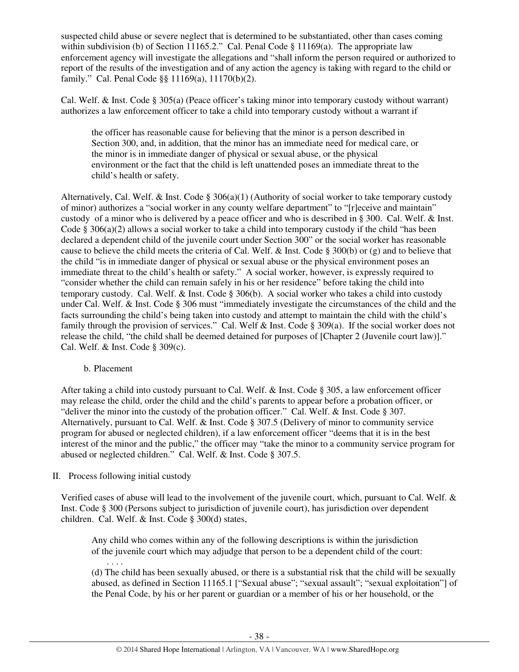suspected child abuse or severe neglect that is determined to be substantiated, other than cases coming within subdivision (b) of Section 11165.2." Cal. Penal Code  $\S$  11169(a). The appropriate law enforcement agency will investigate the allegations and "shall inform the person required or authorized to report of the results of the investigation and of any action the agency is taking with regard to the child or family." Cal. Penal Code §§ 11169(a), 11170(b)(2).

Cal. Welf. & Inst. Code § 305(a) (Peace officer's taking minor into temporary custody without warrant) authorizes a law enforcement officer to take a child into temporary custody without a warrant if

the officer has reasonable cause for believing that the minor is a person described in Section 300, and, in addition, that the minor has an immediate need for medical care, or the minor is in immediate danger of physical or sexual abuse, or the physical environment or the fact that the child is left unattended poses an immediate threat to the child's health or safety.

Alternatively, Cal. Welf. & Inst. Code § 306(a)(1) (Authority of social worker to take temporary custody of minor) authorizes a "social worker in any county welfare department" to "[r]eceive and maintain" custody of a minor who is delivered by a peace officer and who is described in § 300. Cal. Welf. & Inst. Code § 306(a)(2) allows a social worker to take a child into temporary custody if the child "has been declared a dependent child of the juvenile court under Section 300" or the social worker has reasonable cause to believe the child meets the criteria of Cal. Welf.  $\&$  Inst. Code § 300(b) or (g) and to believe that the child "is in immediate danger of physical or sexual abuse or the physical environment poses an immediate threat to the child's health or safety." A social worker, however, is expressly required to "consider whether the child can remain safely in his or her residence" before taking the child into temporary custody. Cal. Welf. & Inst. Code § 306(b). A social worker who takes a child into custody under Cal. Welf. & Inst. Code § 306 must "immediately investigate the circumstances of the child and the facts surrounding the child's being taken into custody and attempt to maintain the child with the child's family through the provision of services." Cal. Welf & Inst. Code § 309(a). If the social worker does not release the child, "the child shall be deemed detained for purposes of [Chapter 2 (Juvenile court law)]." Cal. Welf. & Inst. Code § 309(c).

### b. Placement

After taking a child into custody pursuant to Cal. Welf. & Inst. Code § 305, a law enforcement officer may release the child, order the child and the child's parents to appear before a probation officer, or "deliver the minor into the custody of the probation officer." Cal. Welf. & Inst. Code § 307. Alternatively, pursuant to Cal. Welf. & Inst. Code § 307.5 (Delivery of minor to community service program for abused or neglected children), if a law enforcement officer "deems that it is in the best interest of the minor and the public," the officer may "take the minor to a community service program for abused or neglected children." Cal. Welf. & Inst. Code § 307.5.

# II. Process following initial custody

Verified cases of abuse will lead to the involvement of the juvenile court, which, pursuant to Cal. Welf. & Inst. Code § 300 (Persons subject to jurisdiction of juvenile court), has jurisdiction over dependent children. Cal. Welf. & Inst. Code § 300(d) states,

Any child who comes within any of the following descriptions is within the jurisdiction of the juvenile court which may adjudge that person to be a dependent child of the court:

. . . . (d) The child has been sexually abused, or there is a substantial risk that the child will be sexually abused, as defined in Section 11165.1 ["Sexual abuse"; "sexual assault"; "sexual exploitation"] of the Penal Code, by his or her parent or guardian or a member of his or her household, or the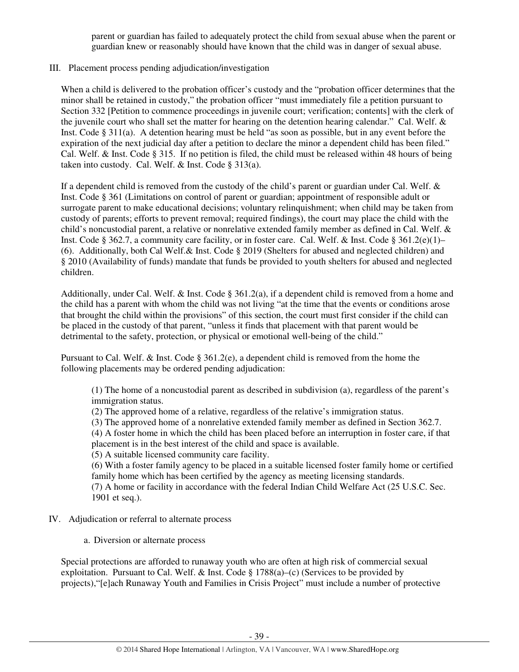parent or guardian has failed to adequately protect the child from sexual abuse when the parent or guardian knew or reasonably should have known that the child was in danger of sexual abuse.

## III. Placement process pending adjudication/investigation

When a child is delivered to the probation officer's custody and the "probation officer determines that the minor shall be retained in custody," the probation officer "must immediately file a petition pursuant to Section 332 [Petition to commence proceedings in juvenile court; verification; contents] with the clerk of the juvenile court who shall set the matter for hearing on the detention hearing calendar." Cal. Welf. & Inst. Code § 311(a). A detention hearing must be held "as soon as possible, but in any event before the expiration of the next judicial day after a petition to declare the minor a dependent child has been filed." Cal. Welf. & Inst. Code § 315. If no petition is filed, the child must be released within 48 hours of being taken into custody. Cal. Welf. & Inst. Code § 313(a).

If a dependent child is removed from the custody of the child's parent or guardian under Cal. Welf. & Inst. Code § 361 (Limitations on control of parent or guardian; appointment of responsible adult or surrogate parent to make educational decisions; voluntary relinquishment; when child may be taken from custody of parents; efforts to prevent removal; required findings), the court may place the child with the child's noncustodial parent, a relative or nonrelative extended family member as defined in Cal. Welf. & Inst. Code § 362.7, a community care facility, or in foster care. Cal. Welf. & Inst. Code § 361.2(e)(1)– (6). Additionally, both Cal Welf.& Inst. Code § 2019 (Shelters for abused and neglected children) and § 2010 (Availability of funds) mandate that funds be provided to youth shelters for abused and neglected children.

Additionally, under Cal. Welf. & Inst. Code § 361.2(a), if a dependent child is removed from a home and the child has a parent with whom the child was not living "at the time that the events or conditions arose that brought the child within the provisions" of this section, the court must first consider if the child can be placed in the custody of that parent, "unless it finds that placement with that parent would be detrimental to the safety, protection, or physical or emotional well-being of the child."

Pursuant to Cal. Welf. & Inst. Code § 361.2(e), a dependent child is removed from the home the following placements may be ordered pending adjudication:

(1) The home of a noncustodial parent as described in subdivision (a), regardless of the parent's immigration status.

(2) The approved home of a relative, regardless of the relative's immigration status.

(3) The approved home of a nonrelative extended family member as defined in Section 362.7.

(4) A foster home in which the child has been placed before an interruption in foster care, if that placement is in the best interest of the child and space is available.

(5) A suitable licensed community care facility.

(6) With a foster family agency to be placed in a suitable licensed foster family home or certified family home which has been certified by the agency as meeting licensing standards.

(7) A home or facility in accordance with the federal Indian Child Welfare Act (25 U.S.C. Sec. 1901 et seq.).

# IV. Adjudication or referral to alternate process

a. Diversion or alternate process

Special protections are afforded to runaway youth who are often at high risk of commercial sexual exploitation. Pursuant to Cal. Welf. & Inst. Code  $\S 1788(a)$ –(c) (Services to be provided by projects),"[e]ach Runaway Youth and Families in Crisis Project" must include a number of protective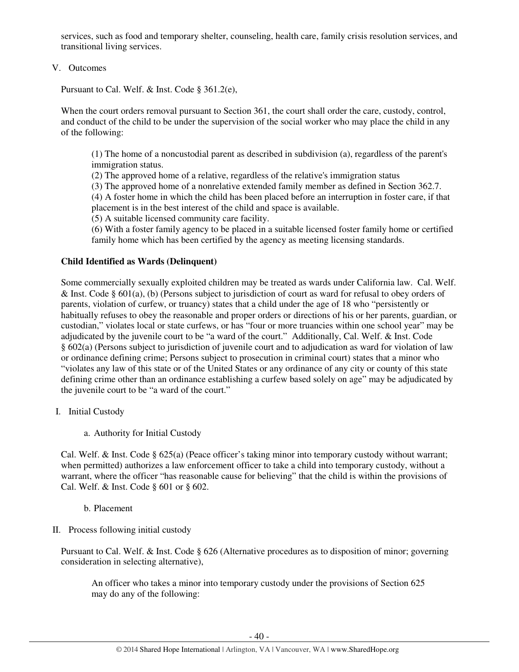services, such as food and temporary shelter, counseling, health care, family crisis resolution services, and transitional living services.

# V. Outcomes

Pursuant to Cal. Welf. & Inst. Code § 361.2(e),

When the court orders removal pursuant to Section 361, the court shall order the care, custody, control, and conduct of the child to be under the supervision of the social worker who may place the child in any of the following:

(1) The home of a noncustodial parent as described in subdivision (a), regardless of the parent's immigration status.

(2) The approved home of a relative, regardless of the relative's immigration status

(3) The approved home of a nonrelative extended family member as defined in Section 362.7.

(4) A foster home in which the child has been placed before an interruption in foster care, if that placement is in the best interest of the child and space is available.

(5) A suitable licensed community care facility.

(6) With a foster family agency to be placed in a suitable licensed foster family home or certified family home which has been certified by the agency as meeting licensing standards.

## **Child Identified as Wards (Delinquent)**

Some commercially sexually exploited children may be treated as wards under California law. Cal. Welf. & Inst. Code § 601(a), (b) (Persons subject to jurisdiction of court as ward for refusal to obey orders of parents, violation of curfew, or truancy) states that a child under the age of 18 who "persistently or habitually refuses to obey the reasonable and proper orders or directions of his or her parents, guardian, or custodian," violates local or state curfews, or has "four or more truancies within one school year" may be adjudicated by the juvenile court to be "a ward of the court." Additionally, Cal. Welf. & Inst. Code § 602(a) (Persons subject to jurisdiction of juvenile court and to adjudication as ward for violation of law or ordinance defining crime; Persons subject to prosecution in criminal court) states that a minor who "violates any law of this state or of the United States or any ordinance of any city or county of this state defining crime other than an ordinance establishing a curfew based solely on age" may be adjudicated by the juvenile court to be "a ward of the court."

- I. Initial Custody
	- a. Authority for Initial Custody

Cal. Welf. & Inst. Code § 625(a) (Peace officer's taking minor into temporary custody without warrant; when permitted) authorizes a law enforcement officer to take a child into temporary custody, without a warrant, where the officer "has reasonable cause for believing" that the child is within the provisions of Cal. Welf. & Inst. Code § 601 or § 602.

b. Placement

II. Process following initial custody

Pursuant to Cal. Welf. & Inst. Code § 626 (Alternative procedures as to disposition of minor; governing consideration in selecting alternative),

An officer who takes a minor into temporary custody under the provisions of Section 625 may do any of the following: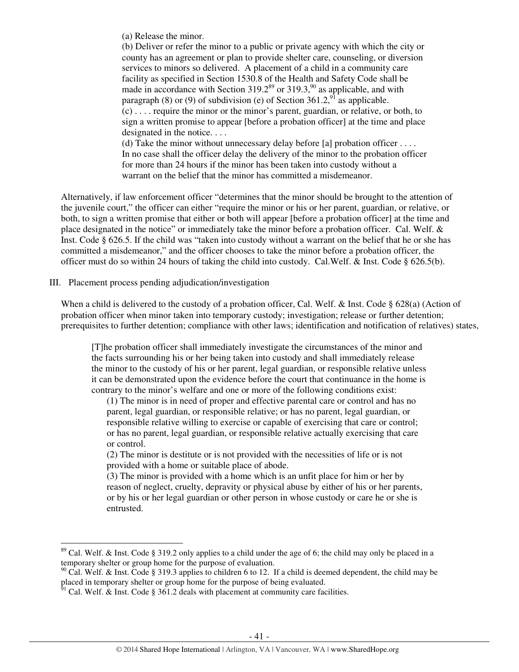(a) Release the minor.

(b) Deliver or refer the minor to a public or private agency with which the city or county has an agreement or plan to provide shelter care, counseling, or diversion services to minors so delivered. A placement of a child in a community care facility as specified in Section 1530.8 of the Health and Safety Code shall be made in accordance with Section 319.2<sup>89</sup> or 319.3,<sup>90</sup> as applicable, and with paragraph (8) or (9) of subdivision (e) of Section  $361.2$ ,  $91^{\circ}$  as applicable. (c) . . . . require the minor or the minor's parent, guardian, or relative, or both, to sign a written promise to appear [before a probation officer] at the time and place designated in the notice.... (d) Take the minor without unnecessary delay before [a] probation officer  $\dots$ .

In no case shall the officer delay the delivery of the minor to the probation officer for more than 24 hours if the minor has been taken into custody without a warrant on the belief that the minor has committed a misdemeanor.

Alternatively, if law enforcement officer "determines that the minor should be brought to the attention of the juvenile court," the officer can either "require the minor or his or her parent, guardian, or relative, or both, to sign a written promise that either or both will appear [before a probation officer] at the time and place designated in the notice" or immediately take the minor before a probation officer. Cal. Welf. & Inst. Code § 626.5. If the child was "taken into custody without a warrant on the belief that he or she has committed a misdemeanor," and the officer chooses to take the minor before a probation officer, the officer must do so within 24 hours of taking the child into custody. Cal.Welf. & Inst. Code § 626.5(b).

III. Placement process pending adjudication/investigation

l

When a child is delivered to the custody of a probation officer, Cal. Welf. & Inst. Code § 628(a) (Action of probation officer when minor taken into temporary custody; investigation; release or further detention; prerequisites to further detention; compliance with other laws; identification and notification of relatives) states,

[T]he probation officer shall immediately investigate the circumstances of the minor and the facts surrounding his or her being taken into custody and shall immediately release the minor to the custody of his or her parent, legal guardian, or responsible relative unless it can be demonstrated upon the evidence before the court that continuance in the home is contrary to the minor's welfare and one or more of the following conditions exist:

(1) The minor is in need of proper and effective parental care or control and has no parent, legal guardian, or responsible relative; or has no parent, legal guardian, or responsible relative willing to exercise or capable of exercising that care or control; or has no parent, legal guardian, or responsible relative actually exercising that care or control.

(2) The minor is destitute or is not provided with the necessities of life or is not provided with a home or suitable place of abode.

(3) The minor is provided with a home which is an unfit place for him or her by reason of neglect, cruelty, depravity or physical abuse by either of his or her parents, or by his or her legal guardian or other person in whose custody or care he or she is entrusted.

<sup>&</sup>lt;sup>89</sup> Cal. Welf. & Inst. Code § 319.2 only applies to a child under the age of 6; the child may only be placed in a temporary shelter or group home for the purpose of evaluation.

 $90$  Cal. Welf. & Inst. Code § 319.3 applies to children 6 to 12. If a child is deemed dependent, the child may be placed in temporary shelter or group home for the purpose of being evaluated.

 $^{51}$  Cal. Welf. & Inst. Code § 361.2 deals with placement at community care facilities.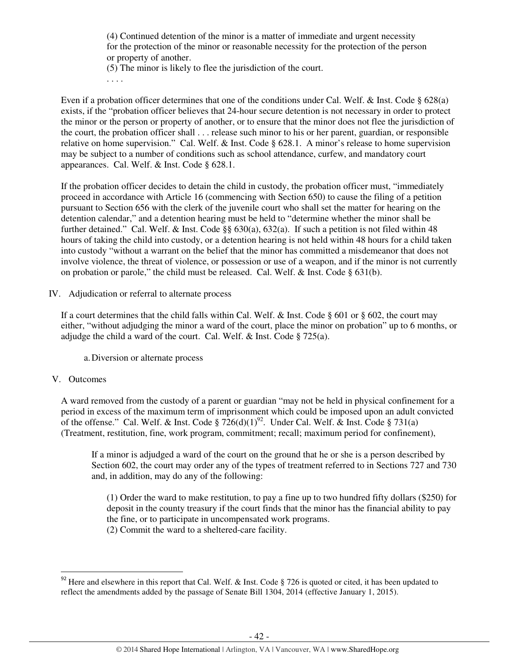(4) Continued detention of the minor is a matter of immediate and urgent necessity for the protection of the minor or reasonable necessity for the protection of the person or property of another. (5) The minor is likely to flee the jurisdiction of the court.

. . . .

Even if a probation officer determines that one of the conditions under Cal. Welf. & Inst. Code § 628(a) exists, if the "probation officer believes that 24-hour secure detention is not necessary in order to protect the minor or the person or property of another, or to ensure that the minor does not flee the jurisdiction of the court, the probation officer shall . . . release such minor to his or her parent, guardian, or responsible relative on home supervision." Cal. Welf. & Inst. Code § 628.1. A minor's release to home supervision may be subject to a number of conditions such as school attendance, curfew, and mandatory court appearances. Cal. Welf. & Inst. Code § 628.1.

If the probation officer decides to detain the child in custody, the probation officer must, "immediately proceed in accordance with Article 16 (commencing with Section 650) to cause the filing of a petition pursuant to Section 656 with the clerk of the juvenile court who shall set the matter for hearing on the detention calendar," and a detention hearing must be held to "determine whether the minor shall be further detained." Cal. Welf. & Inst. Code §§ 630(a), 632(a). If such a petition is not filed within 48 hours of taking the child into custody, or a detention hearing is not held within 48 hours for a child taken into custody "without a warrant on the belief that the minor has committed a misdemeanor that does not involve violence, the threat of violence, or possession or use of a weapon, and if the minor is not currently on probation or parole," the child must be released. Cal. Welf. & Inst. Code § 631(b).

IV. Adjudication or referral to alternate process

If a court determines that the child falls within Cal. Welf.  $\&$  Inst. Code § 601 or § 602, the court may either, "without adjudging the minor a ward of the court, place the minor on probation" up to 6 months, or adjudge the child a ward of the court. Cal. Welf. & Inst. Code § 725(a).

a.Diversion or alternate process

#### V. Outcomes

l

A ward removed from the custody of a parent or guardian "may not be held in physical confinement for a period in excess of the maximum term of imprisonment which could be imposed upon an adult convicted of the offense." Cal. Welf. & Inst. Code §  $726(d)(1)^{92}$ . Under Cal. Welf. & Inst. Code § 731(a) (Treatment, restitution, fine, work program, commitment; recall; maximum period for confinement),

If a minor is adjudged a ward of the court on the ground that he or she is a person described by Section 602, the court may order any of the types of treatment referred to in Sections 727 and 730 and, in addition, may do any of the following:

(1) Order the ward to make restitution, to pay a fine up to two hundred fifty dollars (\$250) for deposit in the county treasury if the court finds that the minor has the financial ability to pay the fine, or to participate in uncompensated work programs. (2) Commit the ward to a sheltered-care facility.

<sup>&</sup>lt;sup>92</sup> Here and elsewhere in this report that Cal. Welf. & Inst. Code § 726 is quoted or cited, it has been updated to reflect the amendments added by the passage of Senate Bill 1304, 2014 (effective January 1, 2015).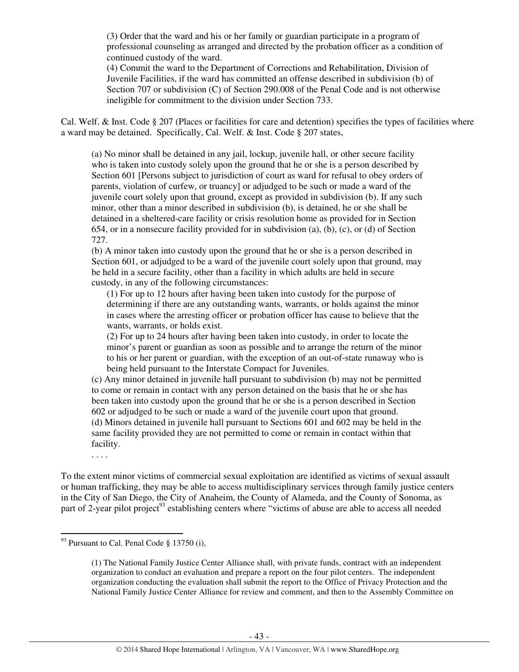(3) Order that the ward and his or her family or guardian participate in a program of professional counseling as arranged and directed by the probation officer as a condition of continued custody of the ward.

(4) Commit the ward to the Department of Corrections and Rehabilitation, Division of Juvenile Facilities, if the ward has committed an offense described in subdivision (b) of Section 707 or subdivision (C) of Section 290.008 of the Penal Code and is not otherwise ineligible for commitment to the division under Section 733.

Cal. Welf. & Inst. Code § 207 (Places or facilities for care and detention) specifies the types of facilities where a ward may be detained. Specifically, Cal. Welf. & Inst. Code § 207 states,

(a) No minor shall be detained in any jail, lockup, juvenile hall, or other secure facility who is taken into custody solely upon the ground that he or she is a person described by Section 601 [Persons subject to jurisdiction of court as ward for refusal to obey orders of parents, violation of curfew, or truancy] or adjudged to be such or made a ward of the juvenile court solely upon that ground, except as provided in subdivision (b). If any such minor, other than a minor described in subdivision (b), is detained, he or she shall be detained in a sheltered-care facility or crisis resolution home as provided for in Section 654, or in a nonsecure facility provided for in subdivision (a), (b), (c), or (d) of Section 727.

(b) A minor taken into custody upon the ground that he or she is a person described in Section 601, or adjudged to be a ward of the juvenile court solely upon that ground, may be held in a secure facility, other than a facility in which adults are held in secure custody, in any of the following circumstances:

(1) For up to 12 hours after having been taken into custody for the purpose of determining if there are any outstanding wants, warrants, or holds against the minor in cases where the arresting officer or probation officer has cause to believe that the wants, warrants, or holds exist.

(2) For up to 24 hours after having been taken into custody, in order to locate the minor's parent or guardian as soon as possible and to arrange the return of the minor to his or her parent or guardian, with the exception of an out-of-state runaway who is being held pursuant to the Interstate Compact for Juveniles.

(c) Any minor detained in juvenile hall pursuant to subdivision (b) may not be permitted to come or remain in contact with any person detained on the basis that he or she has been taken into custody upon the ground that he or she is a person described in Section 602 or adjudged to be such or made a ward of the juvenile court upon that ground. (d) Minors detained in juvenile hall pursuant to Sections 601 and 602 may be held in the same facility provided they are not permitted to come or remain in contact within that facility.

. . . .

 $\overline{a}$ 

To the extent minor victims of commercial sexual exploitation are identified as victims of sexual assault or human trafficking, they may be able to access multidisciplinary services through family justice centers in the City of San Diego, the City of Anaheim, the County of Alameda, and the County of Sonoma, as part of 2-year pilot project<sup>93</sup> establishing centers where "victims of abuse are able to access all needed

 $93$  Pursuant to Cal. Penal Code  $\delta$  13750 (i),

<sup>(1)</sup> The National Family Justice Center Alliance shall, with private funds, contract with an independent organization to conduct an evaluation and prepare a report on the four pilot centers. The independent organization conducting the evaluation shall submit the report to the Office of Privacy Protection and the National Family Justice Center Alliance for review and comment, and then to the Assembly Committee on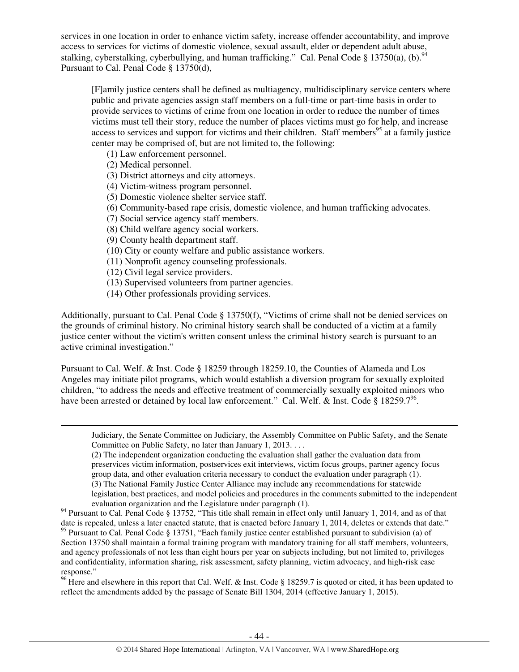services in one location in order to enhance victim safety, increase offender accountability, and improve access to services for victims of domestic violence, sexual assault, elder or dependent adult abuse, stalking, cyberstalking, cyberbullying, and human trafficking." Cal. Penal Code § 13750(a), (b). <sup>94</sup> Pursuant to Cal. Penal Code § 13750(d),

[F]amily justice centers shall be defined as multiagency, multidisciplinary service centers where public and private agencies assign staff members on a full-time or part-time basis in order to provide services to victims of crime from one location in order to reduce the number of times victims must tell their story, reduce the number of places victims must go for help, and increase access to services and support for victims and their children. Staff members<sup>95</sup> at a family justice center may be comprised of, but are not limited to, the following:

- (1) Law enforcement personnel.
- (2) Medical personnel.

l

- (3) District attorneys and city attorneys.
- (4) Victim-witness program personnel.
- (5) Domestic violence shelter service staff.
- (6) Community-based rape crisis, domestic violence, and human trafficking advocates.
- (7) Social service agency staff members.
- (8) Child welfare agency social workers.
- (9) County health department staff.
- (10) City or county welfare and public assistance workers.
- (11) Nonprofit agency counseling professionals.
- (12) Civil legal service providers.
- (13) Supervised volunteers from partner agencies.
- (14) Other professionals providing services.

Additionally, pursuant to Cal. Penal Code § 13750(f), "Victims of crime shall not be denied services on the grounds of criminal history. No criminal history search shall be conducted of a victim at a family justice center without the victim's written consent unless the criminal history search is pursuant to an active criminal investigation."

Pursuant to Cal. Welf. & Inst. Code § 18259 through 18259.10, the Counties of Alameda and Los Angeles may initiate pilot programs, which would establish a diversion program for sexually exploited children, "to address the needs and effective treatment of commercially sexually exploited minors who have been arrested or detained by local law enforcement." Cal. Welf. & Inst. Code § 18259.7<sup>96</sup>.

Judiciary, the Senate Committee on Judiciary, the Assembly Committee on Public Safety, and the Senate Committee on Public Safety, no later than January 1, 2013. . . .

(2) The independent organization conducting the evaluation shall gather the evaluation data from preservices victim information, postservices exit interviews, victim focus groups, partner agency focus group data, and other evaluation criteria necessary to conduct the evaluation under paragraph (1). (3) The National Family Justice Center Alliance may include any recommendations for statewide legislation, best practices, and model policies and procedures in the comments submitted to the independent evaluation organization and the Legislature under paragraph (1).

<sup>94</sup> Pursuant to Cal. Penal Code § 13752, "This title shall remain in effect only until January 1, 2014, and as of that date is repealed, unless a later enacted statute, that is enacted before January 1, 2014, deletes or extends that date."  $95$  Pursuant to Cal. Penal Code § 13751, "Each family justice center established pursuant to subdivision (a) of Section 13750 shall maintain a formal training program with mandatory training for all staff members, volunteers, and agency professionals of not less than eight hours per year on subjects including, but not limited to, privileges and confidentiality, information sharing, risk assessment, safety planning, victim advocacy, and high-risk case response."

<sup>96</sup> Here and elsewhere in this report that Cal. Welf. & Inst. Code § 18259.7 is quoted or cited, it has been updated to reflect the amendments added by the passage of Senate Bill 1304, 2014 (effective January 1, 2015).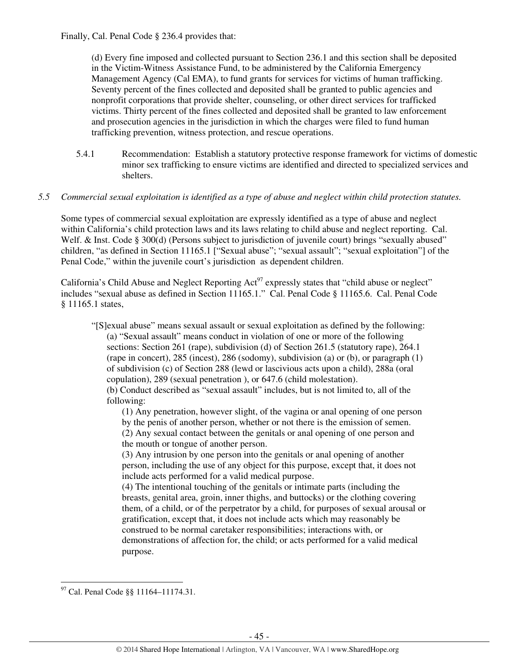Finally, Cal. Penal Code § 236.4 provides that:

(d) Every fine imposed and collected pursuant to Section 236.1 and this section shall be deposited in the Victim-Witness Assistance Fund, to be administered by the California Emergency Management Agency (Cal EMA), to fund grants for services for victims of human trafficking. Seventy percent of the fines collected and deposited shall be granted to public agencies and nonprofit corporations that provide shelter, counseling, or other direct services for trafficked victims. Thirty percent of the fines collected and deposited shall be granted to law enforcement and prosecution agencies in the jurisdiction in which the charges were filed to fund human trafficking prevention, witness protection, and rescue operations.

5.4.1 Recommendation: Establish a statutory protective response framework for victims of domestic minor sex trafficking to ensure victims are identified and directed to specialized services and shelters.

# *5.5 Commercial sexual exploitation is identified as a type of abuse and neglect within child protection statutes.*

Some types of commercial sexual exploitation are expressly identified as a type of abuse and neglect within California's child protection laws and its laws relating to child abuse and neglect reporting. Cal. Welf. & Inst. Code § 300(d) (Persons subject to jurisdiction of juvenile court) brings "sexually abused" children, "as defined in Section 11165.1 ["Sexual abuse"; "sexual assault"; "sexual exploitation"] of the Penal Code," within the juvenile court's jurisdiction as dependent children.

California's Child Abuse and Neglect Reporting Act<sup>97</sup> expressly states that "child abuse or neglect" includes "sexual abuse as defined in Section 11165.1." Cal. Penal Code § 11165.6. Cal. Penal Code § 11165.1 states,

"[S]exual abuse" means sexual assault or sexual exploitation as defined by the following: (a) "Sexual assault" means conduct in violation of one or more of the following sections: Section 261 (rape), subdivision (d) of Section 261.5 (statutory rape), 264.1 (rape in concert), 285 (incest), 286 (sodomy), subdivision (a) or (b), or paragraph (1) of subdivision (c) of Section 288 (lewd or lascivious acts upon a child), 288a (oral copulation), 289 (sexual penetration ), or 647.6 (child molestation). (b) Conduct described as "sexual assault" includes, but is not limited to, all of the following:

(1) Any penetration, however slight, of the vagina or anal opening of one person by the penis of another person, whether or not there is the emission of semen. (2) Any sexual contact between the genitals or anal opening of one person and the mouth or tongue of another person.

(3) Any intrusion by one person into the genitals or anal opening of another person, including the use of any object for this purpose, except that, it does not include acts performed for a valid medical purpose.

(4) The intentional touching of the genitals or intimate parts (including the breasts, genital area, groin, inner thighs, and buttocks) or the clothing covering them, of a child, or of the perpetrator by a child, for purposes of sexual arousal or gratification, except that, it does not include acts which may reasonably be construed to be normal caretaker responsibilities; interactions with, or demonstrations of affection for, the child; or acts performed for a valid medical purpose.

<sup>&</sup>lt;sup>97</sup> Cal. Penal Code §§ 11164–11174.31.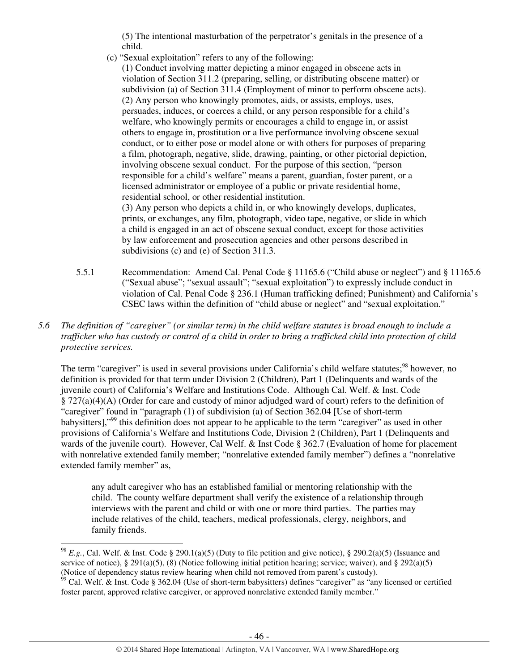(5) The intentional masturbation of the perpetrator's genitals in the presence of a child.

(c) "Sexual exploitation" refers to any of the following:

(1) Conduct involving matter depicting a minor engaged in obscene acts in violation of Section 311.2 (preparing, selling, or distributing obscene matter) or subdivision (a) of Section 311.4 (Employment of minor to perform obscene acts). (2) Any person who knowingly promotes, aids, or assists, employs, uses, persuades, induces, or coerces a child, or any person responsible for a child's welfare, who knowingly permits or encourages a child to engage in, or assist others to engage in, prostitution or a live performance involving obscene sexual conduct, or to either pose or model alone or with others for purposes of preparing a film, photograph, negative, slide, drawing, painting, or other pictorial depiction, involving obscene sexual conduct. For the purpose of this section, "person responsible for a child's welfare" means a parent, guardian, foster parent, or a licensed administrator or employee of a public or private residential home, residential school, or other residential institution.

(3) Any person who depicts a child in, or who knowingly develops, duplicates, prints, or exchanges, any film, photograph, video tape, negative, or slide in which a child is engaged in an act of obscene sexual conduct, except for those activities by law enforcement and prosecution agencies and other persons described in subdivisions (c) and (e) of Section 311.3.

- 5.5.1 Recommendation: Amend Cal. Penal Code § 11165.6 ("Child abuse or neglect") and § 11165.6 ("Sexual abuse"; "sexual assault"; "sexual exploitation") to expressly include conduct in violation of Cal. Penal Code § 236.1 (Human trafficking defined; Punishment) and California's CSEC laws within the definition of "child abuse or neglect" and "sexual exploitation."
- *5.6 The definition of "caregiver" (or similar term) in the child welfare statutes is broad enough to include a trafficker who has custody or control of a child in order to bring a trafficked child into protection of child protective services.*

The term "caregiver" is used in several provisions under California's child welfare statutes;<sup>98</sup> however, no definition is provided for that term under Division 2 (Children), Part 1 (Delinquents and wards of the juvenile court) of California's Welfare and Institutions Code. Although Cal. Welf. & Inst. Code § 727(a)(4)(A) (Order for care and custody of minor adjudged ward of court) refers to the definition of "caregiver" found in "paragraph (1) of subdivision (a) of Section 362.04 [Use of short-term babysitters],"<sup>99</sup> this definition does not appear to be applicable to the term "caregiver" as used in other provisions of California's Welfare and Institutions Code, Division 2 (Children), Part 1 (Delinquents and wards of the juvenile court). However, Cal Welf. & Inst Code § 362.7 (Evaluation of home for placement with nonrelative extended family member; "nonrelative extended family member") defines a "nonrelative extended family member" as,

any adult caregiver who has an established familial or mentoring relationship with the child. The county welfare department shall verify the existence of a relationship through interviews with the parent and child or with one or more third parties. The parties may include relatives of the child, teachers, medical professionals, clergy, neighbors, and family friends.

l

<sup>&</sup>lt;sup>98</sup> *E.g.*, Cal. Welf. & Inst. Code § 290.1(a)(5) (Duty to file petition and give notice), § 290.2(a)(5) (Issuance and service of notice), § 291(a)(5), (8) (Notice following initial petition hearing; service; waiver), and § 292(a)(5) (Notice of dependency status review hearing when child not removed from parent's custody).

 $99$  Cal. Welf. & Inst. Code § 362.04 (Use of short-term babysitters) defines "caregiver" as "any licensed or certified foster parent, approved relative caregiver, or approved nonrelative extended family member."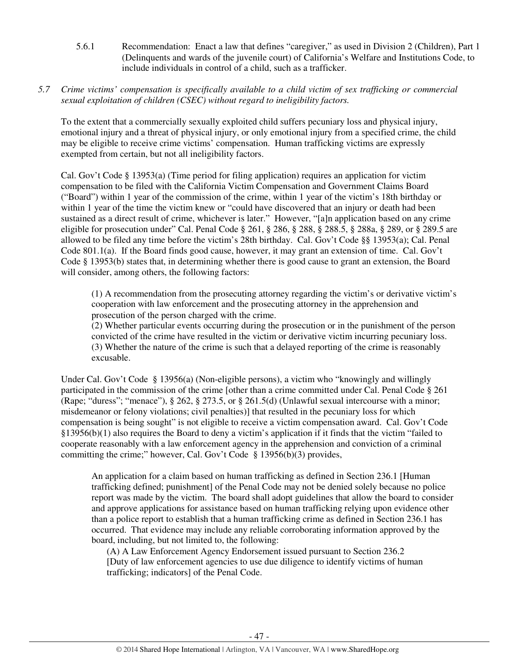- 5.6.1 Recommendation: Enact a law that defines "caregiver," as used in Division 2 (Children), Part 1 (Delinquents and wards of the juvenile court) of California's Welfare and Institutions Code, to include individuals in control of a child, such as a trafficker.
- *5.7 Crime victims' compensation is specifically available to a child victim of sex trafficking or commercial sexual exploitation of children (CSEC) without regard to ineligibility factors.*

To the extent that a commercially sexually exploited child suffers pecuniary loss and physical injury, emotional injury and a threat of physical injury, or only emotional injury from a specified crime, the child may be eligible to receive crime victims' compensation. Human trafficking victims are expressly exempted from certain, but not all ineligibility factors.

Cal. Gov't Code § 13953(a) (Time period for filing application) requires an application for victim compensation to be filed with the California Victim Compensation and Government Claims Board ("Board") within 1 year of the commission of the crime, within 1 year of the victim's 18th birthday or within 1 year of the time the victim knew or "could have discovered that an injury or death had been sustained as a direct result of crime, whichever is later." However, "[a]n application based on any crime eligible for prosecution under" Cal. Penal Code § 261, § 286, § 288, § 288.5, § 288a, § 289, or § 289.5 are allowed to be filed any time before the victim's 28th birthday. Cal. Gov't Code §§ 13953(a); Cal. Penal Code 801.1(a). If the Board finds good cause, however, it may grant an extension of time. Cal. Gov't Code § 13953(b) states that, in determining whether there is good cause to grant an extension, the Board will consider, among others, the following factors:

(1) A recommendation from the prosecuting attorney regarding the victim's or derivative victim's cooperation with law enforcement and the prosecuting attorney in the apprehension and prosecution of the person charged with the crime.

(2) Whether particular events occurring during the prosecution or in the punishment of the person convicted of the crime have resulted in the victim or derivative victim incurring pecuniary loss. (3) Whether the nature of the crime is such that a delayed reporting of the crime is reasonably excusable.

Under Cal. Gov't Code § 13956(a) (Non-eligible persons), a victim who "knowingly and willingly participated in the commission of the crime [other than a crime committed under Cal. Penal Code § 261 (Rape; "duress"; "menace"), § 262, § 273.5, or § 261.5(d) (Unlawful sexual intercourse with a minor; misdemeanor or felony violations; civil penalties)] that resulted in the pecuniary loss for which compensation is being sought" is not eligible to receive a victim compensation award. Cal. Gov't Code §13956(b)(1) also requires the Board to deny a victim's application if it finds that the victim "failed to cooperate reasonably with a law enforcement agency in the apprehension and conviction of a criminal committing the crime;" however, Cal. Gov't Code  $\S$  13956(b)(3) provides,

An application for a claim based on human trafficking as defined in Section 236.1 [Human trafficking defined; punishment] of the Penal Code may not be denied solely because no police report was made by the victim. The board shall adopt guidelines that allow the board to consider and approve applications for assistance based on human trafficking relying upon evidence other than a police report to establish that a human trafficking crime as defined in Section 236.1 has occurred. That evidence may include any reliable corroborating information approved by the board, including, but not limited to, the following:

(A) A Law Enforcement Agency Endorsement issued pursuant to Section 236.2 [Duty of law enforcement agencies to use due diligence to identify victims of human trafficking; indicators] of the Penal Code.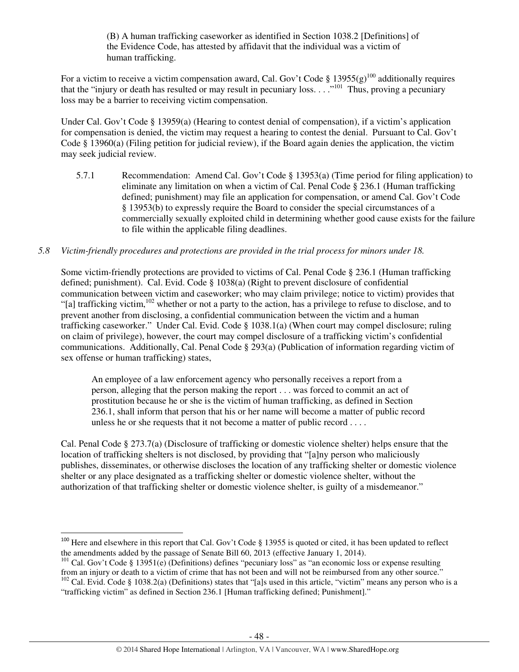(B) A human trafficking caseworker as identified in Section 1038.2 [Definitions] of the Evidence Code, has attested by affidavit that the individual was a victim of human trafficking.

For a victim to receive a victim compensation award, Cal. Gov't Code § 13955(g)<sup>100</sup> additionally requires that the "injury or death has resulted or may result in pecuniary loss. . . ."<sup>101</sup> Thus, proving a pecuniary loss may be a barrier to receiving victim compensation.

Under Cal. Gov't Code § 13959(a) (Hearing to contest denial of compensation), if a victim's application for compensation is denied, the victim may request a hearing to contest the denial. Pursuant to Cal. Gov't Code § 13960(a) (Filing petition for judicial review), if the Board again denies the application, the victim may seek judicial review.

5.7.1 Recommendation: Amend Cal. Gov't Code § 13953(a) (Time period for filing application) to eliminate any limitation on when a victim of Cal. Penal Code § 236.1 (Human trafficking defined; punishment) may file an application for compensation, or amend Cal. Gov't Code § 13953(b) to expressly require the Board to consider the special circumstances of a commercially sexually exploited child in determining whether good cause exists for the failure to file within the applicable filing deadlines.

#### *5.8 Victim-friendly procedures and protections are provided in the trial process for minors under 18.*

Some victim-friendly protections are provided to victims of Cal. Penal Code § 236.1 (Human trafficking defined; punishment). Cal. Evid. Code § 1038(a) (Right to prevent disclosure of confidential communication between victim and caseworker; who may claim privilege; notice to victim) provides that "[a] trafficking victim,<sup>102</sup> whether or not a party to the action, has a privilege to refuse to disclose, and to prevent another from disclosing, a confidential communication between the victim and a human trafficking caseworker." Under Cal. Evid. Code § 1038.1(a) (When court may compel disclosure; ruling on claim of privilege), however, the court may compel disclosure of a trafficking victim's confidential communications. Additionally, Cal. Penal Code § 293(a) (Publication of information regarding victim of sex offense or human trafficking) states,

An employee of a law enforcement agency who personally receives a report from a person, alleging that the person making the report . . . was forced to commit an act of prostitution because he or she is the victim of human trafficking, as defined in Section 236.1, shall inform that person that his or her name will become a matter of public record unless he or she requests that it not become a matter of public record . . . .

Cal. Penal Code § 273.7(a) (Disclosure of trafficking or domestic violence shelter) helps ensure that the location of trafficking shelters is not disclosed, by providing that "[a]ny person who maliciously publishes, disseminates, or otherwise discloses the location of any trafficking shelter or domestic violence shelter or any place designated as a trafficking shelter or domestic violence shelter, without the authorization of that trafficking shelter or domestic violence shelter, is guilty of a misdemeanor."

<sup>&</sup>lt;sup>100</sup> Here and elsewhere in this report that Cal. Gov't Code  $\S$  13955 is quoted or cited, it has been updated to reflect the amendments added by the passage of Senate Bill 60, 2013 (effective January 1, 2014).

<sup>&</sup>lt;sup>101</sup> Cal. Gov't Code § 13951(e) (Definitions) defines "pecuniary loss" as "an economic loss or expense resulting from an injury or death to a victim of crime that has not been and will not be reimbursed from any other source."

 $102$  Cal. Evid. Code § 1038.2(a) (Definitions) states that "[a]s used in this article, "victim" means any person who is a "trafficking victim" as defined in Section 236.1 [Human trafficking defined; Punishment]."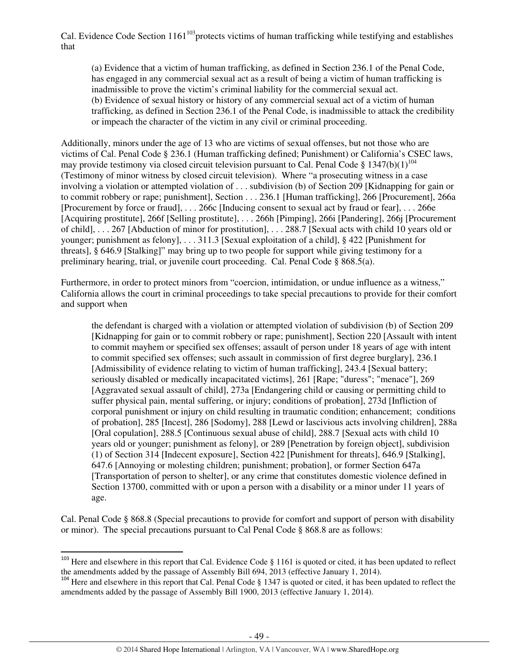Cal. Evidence Code Section  $1161^{103}$  protects victims of human trafficking while testifying and establishes that

(a) Evidence that a victim of human trafficking, as defined in Section 236.1 of the Penal Code, has engaged in any commercial sexual act as a result of being a victim of human trafficking is inadmissible to prove the victim's criminal liability for the commercial sexual act. (b) Evidence of sexual history or history of any commercial sexual act of a victim of human trafficking, as defined in Section 236.1 of the Penal Code, is inadmissible to attack the credibility or impeach the character of the victim in any civil or criminal proceeding.

Additionally, minors under the age of 13 who are victims of sexual offenses, but not those who are victims of Cal. Penal Code § 236.1 (Human trafficking defined; Punishment) or California's CSEC laws, may provide testimony via closed circuit television pursuant to Cal. Penal Code § 1347(b)(1)<sup>104</sup> (Testimony of minor witness by closed circuit television). Where "a prosecuting witness in a case involving a violation or attempted violation of . . . subdivision (b) of Section 209 [Kidnapping for gain or to commit robbery or rape; punishment], Section . . . 236.1 [Human trafficking], 266 [Procurement], 266a [Procurement by force or fraud], . . . 266c [Inducing consent to sexual act by fraud or fear], . . . 266e [Acquiring prostitute], 266f [Selling prostitute], . . . 266h [Pimping], 266i [Pandering], 266j [Procurement of child], . . . 267 [Abduction of minor for prostitution], . . . 288.7 [Sexual acts with child 10 years old or younger; punishment as felony], . . . 311.3 [Sexual exploitation of a child], § 422 [Punishment for threats], § 646.9 [Stalking]" may bring up to two people for support while giving testimony for a preliminary hearing, trial, or juvenile court proceeding. Cal. Penal Code § 868.5(a).

Furthermore, in order to protect minors from "coercion, intimidation, or undue influence as a witness," California allows the court in criminal proceedings to take special precautions to provide for their comfort and support when

the defendant is charged with a violation or attempted violation of subdivision (b) of Section 209 [Kidnapping for gain or to commit robbery or rape; punishment], Section 220 [Assault with intent to commit mayhem or specified sex offenses; assault of person under 18 years of age with intent to commit specified sex offenses; such assault in commission of first degree burglary], 236.1 [Admissibility of evidence relating to victim of human trafficking], 243.4 [Sexual battery; seriously disabled or medically incapacitated victims], 261 [Rape; "duress"; "menace"], 269 [Aggravated sexual assault of child], 273a [Endangering child or causing or permitting child to suffer physical pain, mental suffering, or injury; conditions of probation], 273d [Infliction of corporal punishment or injury on child resulting in traumatic condition; enhancement; conditions of probation], 285 [Incest], 286 [Sodomy], 288 [Lewd or lascivious acts involving children], 288a [Oral copulation], 288.5 [Continuous sexual abuse of child], 288.7 [Sexual acts with child 10 years old or younger; punishment as felony], or 289 [Penetration by foreign object], subdivision (1) of Section 314 [Indecent exposure], Section 422 [Punishment for threats], 646.9 [Stalking], 647.6 [Annoying or molesting children; punishment; probation], or former Section 647a [Transportation of person to shelter], or any crime that constitutes domestic violence defined in Section 13700, committed with or upon a person with a disability or a minor under 11 years of age.

Cal. Penal Code § 868.8 (Special precautions to provide for comfort and support of person with disability or minor). The special precautions pursuant to Cal Penal Code § 868.8 are as follows:

l

<sup>&</sup>lt;sup>103</sup> Here and elsewhere in this report that Cal. Evidence Code § 1161 is quoted or cited, it has been updated to reflect the amendments added by the passage of Assembly Bill 694, 2013 (effective January 1, 2014).

<sup>&</sup>lt;sup>104</sup> Here and elsewhere in this report that Cal. Penal Code § 1347 is quoted or cited, it has been updated to reflect the amendments added by the passage of Assembly Bill 1900, 2013 (effective January 1, 2014).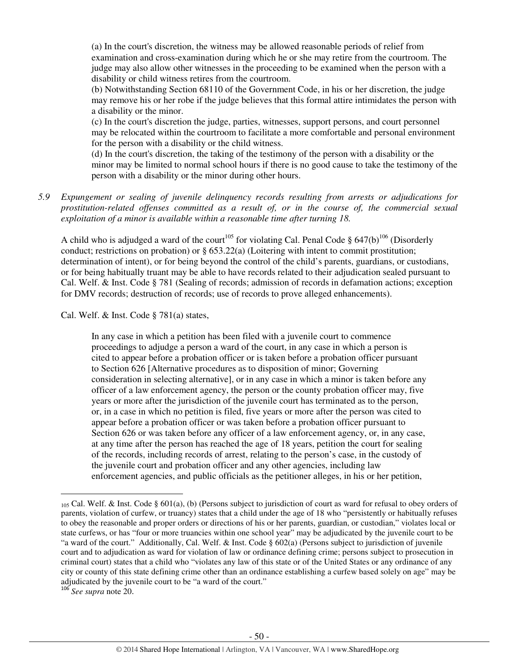(a) In the court's discretion, the witness may be allowed reasonable periods of relief from examination and cross-examination during which he or she may retire from the courtroom. The judge may also allow other witnesses in the proceeding to be examined when the person with a disability or child witness retires from the courtroom.

(b) Notwithstanding Section 68110 of the Government Code, in his or her discretion, the judge may remove his or her robe if the judge believes that this formal attire intimidates the person with a disability or the minor.

(c) In the court's discretion the judge, parties, witnesses, support persons, and court personnel may be relocated within the courtroom to facilitate a more comfortable and personal environment for the person with a disability or the child witness.

(d) In the court's discretion, the taking of the testimony of the person with a disability or the minor may be limited to normal school hours if there is no good cause to take the testimony of the person with a disability or the minor during other hours.

*5.9 Expungement or sealing of juvenile delinquency records resulting from arrests or adjudications for prostitution-related offenses committed as a result of, or in the course of, the commercial sexual exploitation of a minor is available within a reasonable time after turning 18.* 

A child who is adjudged a ward of the court<sup>105</sup> for violating Cal. Penal Code § 647(b)<sup>106</sup> (Disorderly conduct; restrictions on probation) or  $\S 653.22(a)$  (Loitering with intent to commit prostitution; determination of intent), or for being beyond the control of the child's parents, guardians, or custodians, or for being habitually truant may be able to have records related to their adjudication sealed pursuant to Cal. Welf. & Inst. Code § 781 (Sealing of records; admission of records in defamation actions; exception for DMV records; destruction of records; use of records to prove alleged enhancements).

Cal. Welf. & Inst. Code § 781(a) states,

In any case in which a petition has been filed with a juvenile court to commence proceedings to adjudge a person a ward of the court, in any case in which a person is cited to appear before a probation officer or is taken before a probation officer pursuant to Section 626 [Alternative procedures as to disposition of minor; Governing consideration in selecting alternative], or in any case in which a minor is taken before any officer of a law enforcement agency, the person or the county probation officer may, five years or more after the jurisdiction of the juvenile court has terminated as to the person, or, in a case in which no petition is filed, five years or more after the person was cited to appear before a probation officer or was taken before a probation officer pursuant to Section 626 or was taken before any officer of a law enforcement agency, or, in any case, at any time after the person has reached the age of 18 years, petition the court for sealing of the records, including records of arrest, relating to the person's case, in the custody of the juvenile court and probation officer and any other agencies, including law enforcement agencies, and public officials as the petitioner alleges, in his or her petition,

 $_{105}$  Cal. Welf. & Inst. Code § 601(a), (b) (Persons subject to jurisdiction of court as ward for refusal to obey orders of parents, violation of curfew, or truancy) states that a child under the age of 18 who "persistently or habitually refuses to obey the reasonable and proper orders or directions of his or her parents, guardian, or custodian," violates local or state curfews, or has "four or more truancies within one school year" may be adjudicated by the juvenile court to be "a ward of the court." Additionally, Cal. Welf. & Inst. Code § 602(a) (Persons subject to jurisdiction of juvenile court and to adjudication as ward for violation of law or ordinance defining crime; persons subject to prosecution in criminal court) states that a child who "violates any law of this state or of the United States or any ordinance of any city or county of this state defining crime other than an ordinance establishing a curfew based solely on age" may be adjudicated by the juvenile court to be "a ward of the court."

<sup>106</sup> *See supra* note 20.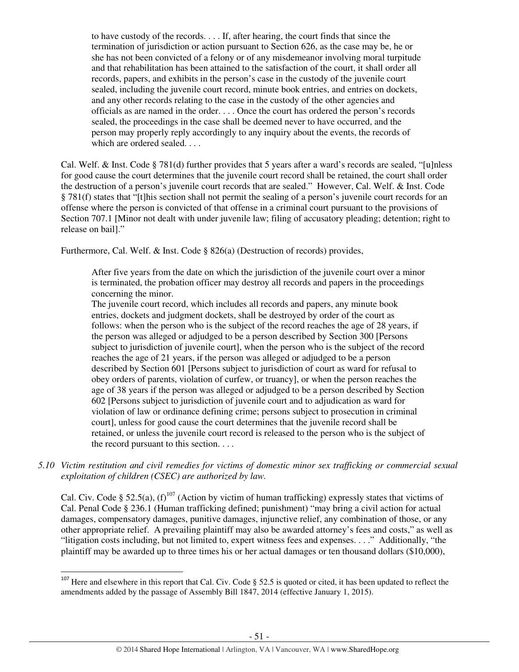to have custody of the records. . . . If, after hearing, the court finds that since the termination of jurisdiction or action pursuant to Section 626, as the case may be, he or she has not been convicted of a felony or of any misdemeanor involving moral turpitude and that rehabilitation has been attained to the satisfaction of the court, it shall order all records, papers, and exhibits in the person's case in the custody of the juvenile court sealed, including the juvenile court record, minute book entries, and entries on dockets, and any other records relating to the case in the custody of the other agencies and officials as are named in the order. . . . Once the court has ordered the person's records sealed, the proceedings in the case shall be deemed never to have occurred, and the person may properly reply accordingly to any inquiry about the events, the records of which are ordered sealed. . . .

Cal. Welf. & Inst. Code § 781(d) further provides that 5 years after a ward's records are sealed, "[u]nless for good cause the court determines that the juvenile court record shall be retained, the court shall order the destruction of a person's juvenile court records that are sealed." However, Cal. Welf. & Inst. Code § 781(f) states that "[t]his section shall not permit the sealing of a person's juvenile court records for an offense where the person is convicted of that offense in a criminal court pursuant to the provisions of Section 707.1 [Minor not dealt with under juvenile law; filing of accusatory pleading; detention; right to release on bail]."

Furthermore, Cal. Welf. & Inst. Code § 826(a) (Destruction of records) provides,

After five years from the date on which the jurisdiction of the juvenile court over a minor is terminated, the probation officer may destroy all records and papers in the proceedings concerning the minor.

The juvenile court record, which includes all records and papers, any minute book entries, dockets and judgment dockets, shall be destroyed by order of the court as follows: when the person who is the subject of the record reaches the age of 28 years, if the person was alleged or adjudged to be a person described by Section 300 [Persons subject to jurisdiction of juvenile court], when the person who is the subject of the record reaches the age of 21 years, if the person was alleged or adjudged to be a person described by Section 601 [Persons subject to jurisdiction of court as ward for refusal to obey orders of parents, violation of curfew, or truancy], or when the person reaches the age of 38 years if the person was alleged or adjudged to be a person described by Section 602 [Persons subject to jurisdiction of juvenile court and to adjudication as ward for violation of law or ordinance defining crime; persons subject to prosecution in criminal court], unless for good cause the court determines that the juvenile record shall be retained, or unless the juvenile court record is released to the person who is the subject of the record pursuant to this section. . . .

*5.10 Victim restitution and civil remedies for victims of domestic minor sex trafficking or commercial sexual exploitation of children (CSEC) are authorized by law.* 

Cal. Civ. Code § 52.5(a),  $(f)^{107}$  (Action by victim of human trafficking) expressly states that victims of Cal. Penal Code § 236.1 (Human trafficking defined; punishment) "may bring a civil action for actual damages, compensatory damages, punitive damages, injunctive relief, any combination of those, or any other appropriate relief. A prevailing plaintiff may also be awarded attorney's fees and costs," as well as "litigation costs including, but not limited to, expert witness fees and expenses. . . ." Additionally, "the plaintiff may be awarded up to three times his or her actual damages or ten thousand dollars (\$10,000),

l

 $107$  Here and elsewhere in this report that Cal. Civ. Code § 52.5 is quoted or cited, it has been updated to reflect the amendments added by the passage of Assembly Bill 1847, 2014 (effective January 1, 2015).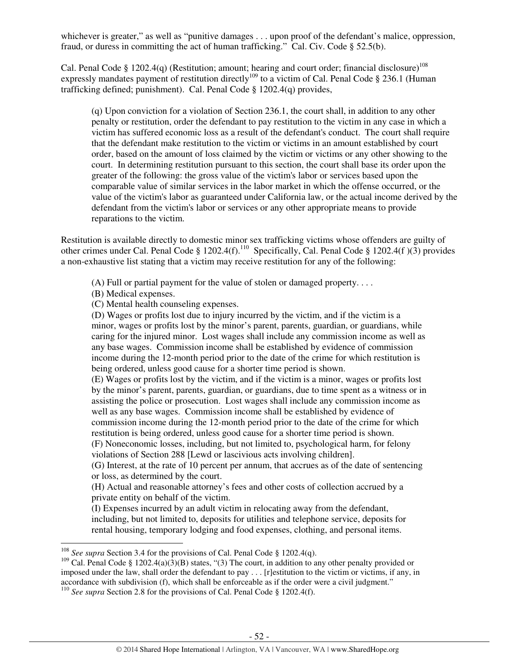whichever is greater," as well as "punitive damages . . . upon proof of the defendant's malice, oppression, fraud, or duress in committing the act of human trafficking." Cal. Civ. Code § 52.5(b).

Cal. Penal Code § 1202.4(q) (Restitution; amount; hearing and court order; financial disclosure)<sup>108</sup> expressly mandates payment of restitution directly<sup>109</sup> to a victim of Cal. Penal Code § 236.1 (Human trafficking defined; punishment). Cal. Penal Code § 1202.4(q) provides,

(q) Upon conviction for a violation of Section 236.1, the court shall, in addition to any other penalty or restitution, order the defendant to pay restitution to the victim in any case in which a victim has suffered economic loss as a result of the defendant's conduct. The court shall require that the defendant make restitution to the victim or victims in an amount established by court order, based on the amount of loss claimed by the victim or victims or any other showing to the court. In determining restitution pursuant to this section, the court shall base its order upon the greater of the following: the gross value of the victim's labor or services based upon the comparable value of similar services in the labor market in which the offense occurred, or the value of the victim's labor as guaranteed under California law, or the actual income derived by the defendant from the victim's labor or services or any other appropriate means to provide reparations to the victim.

Restitution is available directly to domestic minor sex trafficking victims whose offenders are guilty of other crimes under Cal. Penal Code § 1202.4(f).<sup>110</sup> Specifically, Cal. Penal Code § 1202.4(f )(3) provides a non-exhaustive list stating that a victim may receive restitution for any of the following:

(A) Full or partial payment for the value of stolen or damaged property. . . .

(B) Medical expenses.

 $\overline{a}$ 

(C) Mental health counseling expenses.

(D) Wages or profits lost due to injury incurred by the victim, and if the victim is a minor, wages or profits lost by the minor's parent, parents, guardian, or guardians, while caring for the injured minor. Lost wages shall include any commission income as well as any base wages. Commission income shall be established by evidence of commission income during the 12-month period prior to the date of the crime for which restitution is being ordered, unless good cause for a shorter time period is shown.

(E) Wages or profits lost by the victim, and if the victim is a minor, wages or profits lost by the minor's parent, parents, guardian, or guardians, due to time spent as a witness or in assisting the police or prosecution. Lost wages shall include any commission income as well as any base wages. Commission income shall be established by evidence of commission income during the 12-month period prior to the date of the crime for which restitution is being ordered, unless good cause for a shorter time period is shown.

(F) Noneconomic losses, including, but not limited to, psychological harm, for felony violations of Section 288 [Lewd or lascivious acts involving children].

(G) Interest, at the rate of 10 percent per annum, that accrues as of the date of sentencing or loss, as determined by the court.

(H) Actual and reasonable attorney's fees and other costs of collection accrued by a private entity on behalf of the victim.

(I) Expenses incurred by an adult victim in relocating away from the defendant, including, but not limited to, deposits for utilities and telephone service, deposits for rental housing, temporary lodging and food expenses, clothing, and personal items.

<sup>&</sup>lt;sup>108</sup> *See supra* Section 3.4 for the provisions of Cal. Penal Code § 1202.4(q).

<sup>&</sup>lt;sup>109</sup> Cal. Penal Code § 1202.4(a)(3)(B) states, "(3) The court, in addition to any other penalty provided or imposed under the law, shall order the defendant to pay . . . [r]estitution to the victim or victims, if any, in accordance with subdivision (f), which shall be enforceable as if the order were a civil judgment."

<sup>&</sup>lt;sup>110</sup> *See supra* Section 2.8 for the provisions of Cal. Penal Code § 1202.4(f).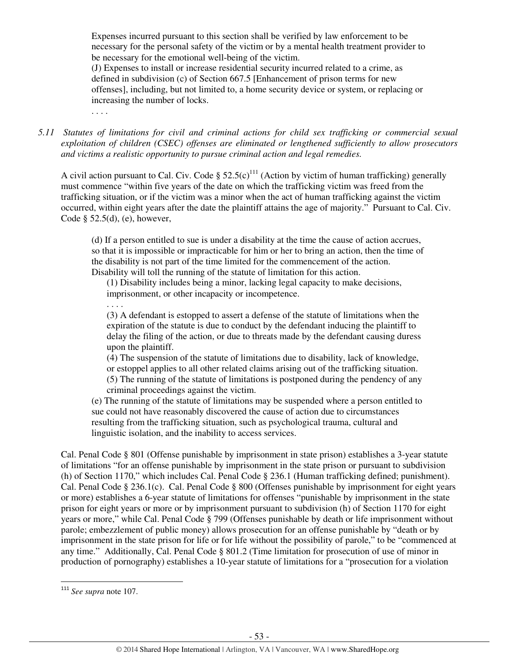Expenses incurred pursuant to this section shall be verified by law enforcement to be necessary for the personal safety of the victim or by a mental health treatment provider to be necessary for the emotional well-being of the victim.

(J) Expenses to install or increase residential security incurred related to a crime, as defined in subdivision (c) of Section 667.5 [Enhancement of prison terms for new offenses], including, but not limited to, a home security device or system, or replacing or increasing the number of locks.

. . . .

. . . .

*5.11 Statutes of limitations for civil and criminal actions for child sex trafficking or commercial sexual exploitation of children (CSEC) offenses are eliminated or lengthened sufficiently to allow prosecutors and victims a realistic opportunity to pursue criminal action and legal remedies.* 

A civil action pursuant to Cal. Civ. Code §  $52.5(c)^{111}$  (Action by victim of human trafficking) generally must commence "within five years of the date on which the trafficking victim was freed from the trafficking situation, or if the victim was a minor when the act of human trafficking against the victim occurred, within eight years after the date the plaintiff attains the age of majority." Pursuant to Cal. Civ. Code  $\S$  52.5(d), (e), however,

(d) If a person entitled to sue is under a disability at the time the cause of action accrues, so that it is impossible or impracticable for him or her to bring an action, then the time of the disability is not part of the time limited for the commencement of the action. Disability will toll the running of the statute of limitation for this action.

(1) Disability includes being a minor, lacking legal capacity to make decisions, imprisonment, or other incapacity or incompetence.

(3) A defendant is estopped to assert a defense of the statute of limitations when the expiration of the statute is due to conduct by the defendant inducing the plaintiff to delay the filing of the action, or due to threats made by the defendant causing duress upon the plaintiff.

(4) The suspension of the statute of limitations due to disability, lack of knowledge, or estoppel applies to all other related claims arising out of the trafficking situation. (5) The running of the statute of limitations is postponed during the pendency of any criminal proceedings against the victim.

(e) The running of the statute of limitations may be suspended where a person entitled to sue could not have reasonably discovered the cause of action due to circumstances resulting from the trafficking situation, such as psychological trauma, cultural and linguistic isolation, and the inability to access services.

Cal. Penal Code § 801 (Offense punishable by imprisonment in state prison) establishes a 3-year statute of limitations "for an offense punishable by imprisonment in the state prison or pursuant to subdivision (h) of Section 1170," which includes Cal. Penal Code § 236.1 (Human trafficking defined; punishment). Cal. Penal Code § 236.1(c). Cal. Penal Code § 800 (Offenses punishable by imprisonment for eight years or more) establishes a 6-year statute of limitations for offenses "punishable by imprisonment in the state prison for eight years or more or by imprisonment pursuant to subdivision (h) of Section 1170 for eight years or more," while Cal. Penal Code § 799 (Offenses punishable by death or life imprisonment without parole; embezzlement of public money) allows prosecution for an offense punishable by "death or by imprisonment in the state prison for life or for life without the possibility of parole," to be "commenced at any time." Additionally, Cal. Penal Code § 801.2 (Time limitation for prosecution of use of minor in production of pornography) establishes a 10-year statute of limitations for a "prosecution for a violation

l

<sup>111</sup> *See supra* note 107.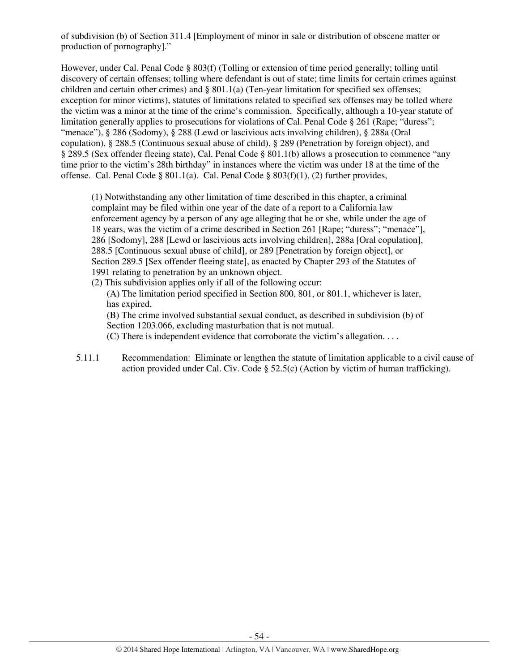of subdivision (b) of Section 311.4 [Employment of minor in sale or distribution of obscene matter or production of pornography]."

However, under Cal. Penal Code § 803(f) (Tolling or extension of time period generally; tolling until discovery of certain offenses; tolling where defendant is out of state; time limits for certain crimes against children and certain other crimes) and  $\S$  801.1(a) (Ten-year limitation for specified sex offenses; exception for minor victims), statutes of limitations related to specified sex offenses may be tolled where the victim was a minor at the time of the crime's commission. Specifically, although a 10-year statute of limitation generally applies to prosecutions for violations of Cal. Penal Code § 261 (Rape; "duress"; "menace"), § 286 (Sodomy), § 288 (Lewd or lascivious acts involving children), § 288a (Oral copulation), § 288.5 (Continuous sexual abuse of child), § 289 (Penetration by foreign object), and § 289.5 (Sex offender fleeing state), Cal. Penal Code § 801.1(b) allows a prosecution to commence "any time prior to the victim's 28th birthday" in instances where the victim was under 18 at the time of the offense. Cal. Penal Code § 801.1(a). Cal. Penal Code § 803(f)(1), (2) further provides,

(1) Notwithstanding any other limitation of time described in this chapter, a criminal complaint may be filed within one year of the date of a report to a California law enforcement agency by a person of any age alleging that he or she, while under the age of 18 years, was the victim of a crime described in Section 261 [Rape; "duress"; "menace"], 286 [Sodomy], 288 [Lewd or lascivious acts involving children], 288a [Oral copulation], 288.5 [Continuous sexual abuse of child], or 289 [Penetration by foreign object], or Section 289.5 [Sex offender fleeing state], as enacted by Chapter 293 of the Statutes of 1991 relating to penetration by an unknown object.

(2) This subdivision applies only if all of the following occur:

(A) The limitation period specified in Section 800, 801, or 801.1, whichever is later, has expired.

(B) The crime involved substantial sexual conduct, as described in subdivision (b) of Section 1203.066, excluding masturbation that is not mutual.

(C) There is independent evidence that corroborate the victim's allegation. . . .

5.11.1 Recommendation: Eliminate or lengthen the statute of limitation applicable to a civil cause of action provided under Cal. Civ. Code § 52.5(c) (Action by victim of human trafficking).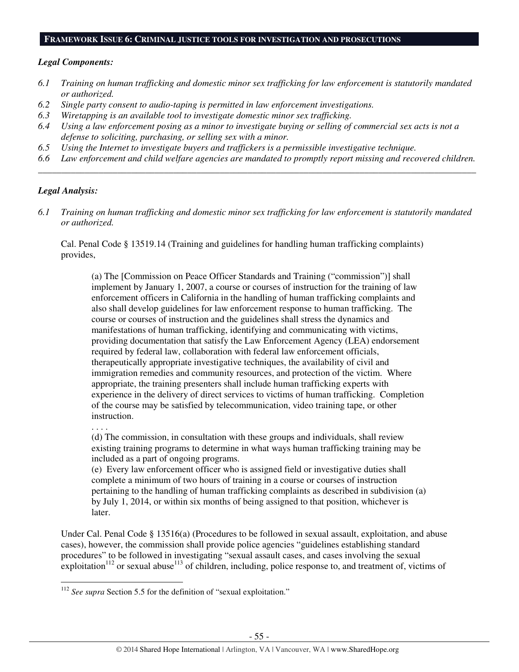#### **FRAMEWORK ISSUE 6: CRIMINAL JUSTICE TOOLS FOR INVESTIGATION AND PROSECUTIONS**

#### *Legal Components:*

- *6.1 Training on human trafficking and domestic minor sex trafficking for law enforcement is statutorily mandated or authorized.*
- *6.2 Single party consent to audio-taping is permitted in law enforcement investigations.*
- *6.3 Wiretapping is an available tool to investigate domestic minor sex trafficking.*
- *6.4 Using a law enforcement posing as a minor to investigate buying or selling of commercial sex acts is not a defense to soliciting, purchasing, or selling sex with a minor.*
- *6.5 Using the Internet to investigate buyers and traffickers is a permissible investigative technique.*
- *6.6 Law enforcement and child welfare agencies are mandated to promptly report missing and recovered children. \_\_\_\_\_\_\_\_\_\_\_\_\_\_\_\_\_\_\_\_\_\_\_\_\_\_\_\_\_\_\_\_\_\_\_\_\_\_\_\_\_\_\_\_\_\_\_\_\_\_\_\_\_\_\_\_\_\_\_\_\_\_\_\_\_\_\_\_\_\_\_\_\_\_\_\_\_\_\_\_\_\_\_\_\_\_\_\_\_\_\_\_\_\_*

#### *Legal Analysis:*

*6.1 Training on human trafficking and domestic minor sex trafficking for law enforcement is statutorily mandated or authorized.* 

Cal. Penal Code § 13519.14 (Training and guidelines for handling human trafficking complaints) provides,

(a) The [Commission on Peace Officer Standards and Training ("commission")] shall implement by January 1, 2007, a course or courses of instruction for the training of law enforcement officers in California in the handling of human trafficking complaints and also shall develop guidelines for law enforcement response to human trafficking. The course or courses of instruction and the guidelines shall stress the dynamics and manifestations of human trafficking, identifying and communicating with victims, providing documentation that satisfy the Law Enforcement Agency (LEA) endorsement required by federal law, collaboration with federal law enforcement officials, therapeutically appropriate investigative techniques, the availability of civil and immigration remedies and community resources, and protection of the victim. Where appropriate, the training presenters shall include human trafficking experts with experience in the delivery of direct services to victims of human trafficking. Completion of the course may be satisfied by telecommunication, video training tape, or other instruction.

. . . .

 $\overline{a}$ 

(d) The commission, in consultation with these groups and individuals, shall review existing training programs to determine in what ways human trafficking training may be included as a part of ongoing programs.

(e) Every law enforcement officer who is assigned field or investigative duties shall complete a minimum of two hours of training in a course or courses of instruction pertaining to the handling of human trafficking complaints as described in subdivision (a) by July 1, 2014, or within six months of being assigned to that position, whichever is later.

Under Cal. Penal Code § 13516(a) (Procedures to be followed in sexual assault, exploitation, and abuse cases), however, the commission shall provide police agencies "guidelines establishing standard procedures" to be followed in investigating "sexual assault cases, and cases involving the sexual exploitation<sup>112</sup> or sexual abuse<sup>113</sup> of children, including, police response to, and treatment of, victims of

<sup>112</sup> *See supra* Section 5.5 for the definition of "sexual exploitation."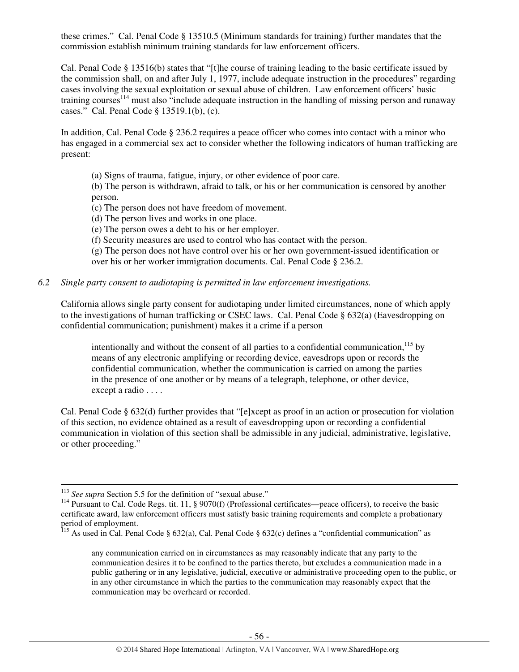these crimes." Cal. Penal Code § 13510.5 (Minimum standards for training) further mandates that the commission establish minimum training standards for law enforcement officers.

Cal. Penal Code § 13516(b) states that "[t]he course of training leading to the basic certificate issued by the commission shall, on and after July 1, 1977, include adequate instruction in the procedures" regarding cases involving the sexual exploitation or sexual abuse of children. Law enforcement officers' basic training courses<sup>114</sup> must also "include adequate instruction in the handling of missing person and runaway cases." Cal. Penal Code § 13519.1(b), (c).

In addition, Cal. Penal Code § 236.2 requires a peace officer who comes into contact with a minor who has engaged in a commercial sex act to consider whether the following indicators of human trafficking are present:

(a) Signs of trauma, fatigue, injury, or other evidence of poor care.

(b) The person is withdrawn, afraid to talk, or his or her communication is censored by another person.

(c) The person does not have freedom of movement.

(d) The person lives and works in one place.

(e) The person owes a debt to his or her employer.

(f) Security measures are used to control who has contact with the person.

(g) The person does not have control over his or her own government-issued identification or over his or her worker immigration documents. Cal. Penal Code § 236.2.

#### *6.2 Single party consent to audiotaping is permitted in law enforcement investigations.*

California allows single party consent for audiotaping under limited circumstances, none of which apply to the investigations of human trafficking or CSEC laws. Cal. Penal Code § 632(a) (Eavesdropping on confidential communication; punishment) makes it a crime if a person

intentionally and without the consent of all parties to a confidential communication.<sup>115</sup> by means of any electronic amplifying or recording device, eavesdrops upon or records the confidential communication, whether the communication is carried on among the parties in the presence of one another or by means of a telegraph, telephone, or other device, except a radio . . . .

Cal. Penal Code § 632(d) further provides that "[e]xcept as proof in an action or prosecution for violation of this section, no evidence obtained as a result of eavesdropping upon or recording a confidential communication in violation of this section shall be admissible in any judicial, administrative, legislative, or other proceeding."

l

any communication carried on in circumstances as may reasonably indicate that any party to the communication desires it to be confined to the parties thereto, but excludes a communication made in a public gathering or in any legislative, judicial, executive or administrative proceeding open to the public, or in any other circumstance in which the parties to the communication may reasonably expect that the communication may be overheard or recorded.

<sup>&</sup>lt;sup>113</sup> *See supra* Section 5.5 for the definition of "sexual abuse."

<sup>&</sup>lt;sup>114</sup> Pursuant to Cal. Code Regs. tit. 11, § 9070(f) (Professional certificates—peace officers), to receive the basic certificate award, law enforcement officers must satisfy basic training requirements and complete a probationary period of employment.

<sup>&</sup>lt;sup>115</sup> As used in Cal. Penal Code § 632(a), Cal. Penal Code § 632(c) defines a "confidential communication" as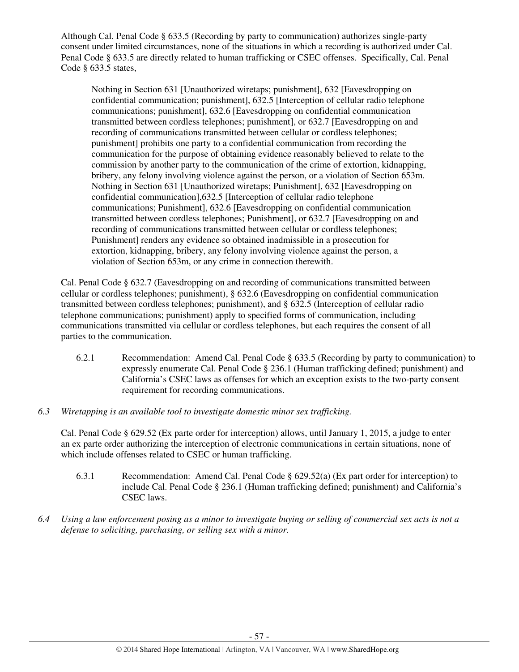Although Cal. Penal Code § 633.5 (Recording by party to communication) authorizes single-party consent under limited circumstances, none of the situations in which a recording is authorized under Cal. Penal Code § 633.5 are directly related to human trafficking or CSEC offenses. Specifically, Cal. Penal Code § 633.5 states,

Nothing in Section 631 [Unauthorized wiretaps; punishment], 632 [Eavesdropping on confidential communication; punishment], 632.5 [Interception of cellular radio telephone communications; punishment], 632.6 [Eavesdropping on confidential communication transmitted between cordless telephones; punishment], or 632.7 [Eavesdropping on and recording of communications transmitted between cellular or cordless telephones; punishment] prohibits one party to a confidential communication from recording the communication for the purpose of obtaining evidence reasonably believed to relate to the commission by another party to the communication of the crime of extortion, kidnapping, bribery, any felony involving violence against the person, or a violation of Section 653m. Nothing in Section 631 [Unauthorized wiretaps; Punishment], 632 [Eavesdropping on confidential communication],632.5 [Interception of cellular radio telephone communications; Punishment], 632.6 [Eavesdropping on confidential communication transmitted between cordless telephones; Punishment], or 632.7 [Eavesdropping on and recording of communications transmitted between cellular or cordless telephones; Punishment] renders any evidence so obtained inadmissible in a prosecution for extortion, kidnapping, bribery, any felony involving violence against the person, a violation of Section 653m, or any crime in connection therewith.

Cal. Penal Code § 632.7 (Eavesdropping on and recording of communications transmitted between cellular or cordless telephones; punishment), § 632.6 (Eavesdropping on confidential communication transmitted between cordless telephones; punishment), and § 632.5 (Interception of cellular radio telephone communications; punishment) apply to specified forms of communication, including communications transmitted via cellular or cordless telephones, but each requires the consent of all parties to the communication.

- 6.2.1 Recommendation: Amend Cal. Penal Code § 633.5 (Recording by party to communication) to expressly enumerate Cal. Penal Code § 236.1 (Human trafficking defined; punishment) and California's CSEC laws as offenses for which an exception exists to the two-party consent requirement for recording communications.
- *6.3 Wiretapping is an available tool to investigate domestic minor sex trafficking.*

Cal. Penal Code § 629.52 (Ex parte order for interception) allows, until January 1, 2015, a judge to enter an ex parte order authorizing the interception of electronic communications in certain situations, none of which include offenses related to CSEC or human trafficking.

- 6.3.1 Recommendation: Amend Cal. Penal Code § 629.52(a) (Ex part order for interception) to include Cal. Penal Code § 236.1 (Human trafficking defined; punishment) and California's CSEC laws.
- *6.4 Using a law enforcement posing as a minor to investigate buying or selling of commercial sex acts is not a defense to soliciting, purchasing, or selling sex with a minor.*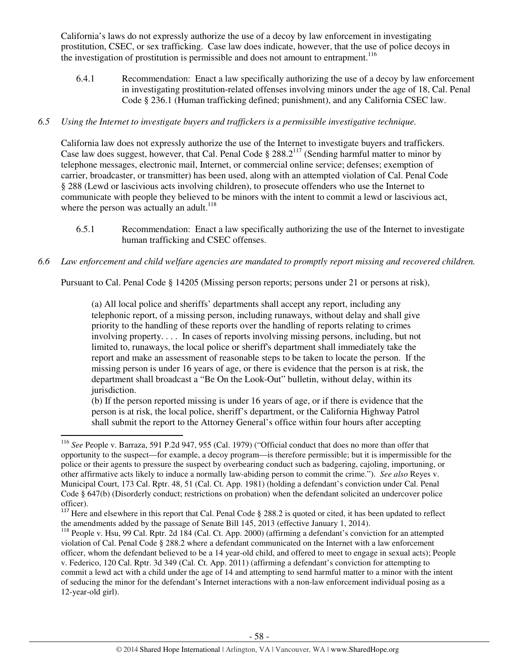California's laws do not expressly authorize the use of a decoy by law enforcement in investigating prostitution, CSEC, or sex trafficking. Case law does indicate, however, that the use of police decoys in the investigation of prostitution is permissible and does not amount to entrapment.<sup>116</sup>

6.4.1 Recommendation: Enact a law specifically authorizing the use of a decoy by law enforcement in investigating prostitution-related offenses involving minors under the age of 18, Cal. Penal Code § 236.1 (Human trafficking defined; punishment), and any California CSEC law.

## *6.5 Using the Internet to investigate buyers and traffickers is a permissible investigative technique.*

California law does not expressly authorize the use of the Internet to investigate buyers and traffickers. Case law does suggest, however, that Cal. Penal Code § 288.2<sup>117</sup> (Sending harmful matter to minor by telephone messages, electronic mail, Internet, or commercial online service; defenses; exemption of carrier, broadcaster, or transmitter) has been used, along with an attempted violation of Cal. Penal Code § 288 (Lewd or lascivious acts involving children), to prosecute offenders who use the Internet to communicate with people they believed to be minors with the intent to commit a lewd or lascivious act, where the person was actually an adult. $118$ 

6.5.1 Recommendation: Enact a law specifically authorizing the use of the Internet to investigate human trafficking and CSEC offenses.

## *6.6 Law enforcement and child welfare agencies are mandated to promptly report missing and recovered children.*

Pursuant to Cal. Penal Code § 14205 (Missing person reports; persons under 21 or persons at risk),

(a) All local police and sheriffs' departments shall accept any report, including any telephonic report, of a missing person, including runaways, without delay and shall give priority to the handling of these reports over the handling of reports relating to crimes involving property. . . . In cases of reports involving missing persons, including, but not limited to, runaways, the local police or sheriff's department shall immediately take the report and make an assessment of reasonable steps to be taken to locate the person. If the missing person is under 16 years of age, or there is evidence that the person is at risk, the department shall broadcast a "Be On the Look-Out" bulletin, without delay, within its jurisdiction.

(b) If the person reported missing is under 16 years of age, or if there is evidence that the person is at risk, the local police, sheriff's department, or the California Highway Patrol shall submit the report to the Attorney General's office within four hours after accepting

<sup>116</sup> *See* People v. Barraza, 591 P.2d 947, 955 (Cal. 1979) ("Official conduct that does no more than offer that opportunity to the suspect—for example, a decoy program—is therefore permissible; but it is impermissible for the police or their agents to pressure the suspect by overbearing conduct such as badgering, cajoling, importuning, or other affirmative acts likely to induce a normally law-abiding person to commit the crime."). *See also* Reyes v. Municipal Court, 173 Cal. Rptr. 48, 51 (Cal. Ct. App. 1981) (holding a defendant's conviction under Cal. Penal Code § 647(b) (Disorderly conduct; restrictions on probation) when the defendant solicited an undercover police officer).

<sup>&</sup>lt;sup>117</sup> Here and elsewhere in this report that Cal. Penal Code § 288.2 is quoted or cited, it has been updated to reflect the amendments added by the passage of Senate Bill 145, 2013 (effective January 1, 2014).

<sup>118</sup> People v. Hsu, 99 Cal. Rptr. 2d 184 (Cal. Ct. App. 2000) (affirming a defendant's conviction for an attempted violation of Cal. Penal Code § 288.2 where a defendant communicated on the Internet with a law enforcement officer, whom the defendant believed to be a 14 year-old child, and offered to meet to engage in sexual acts); People v. Federico, 120 Cal. Rptr. 3d 349 (Cal. Ct. App. 2011) (affirming a defendant's conviction for attempting to commit a lewd act with a child under the age of 14 and attempting to send harmful matter to a minor with the intent of seducing the minor for the defendant's Internet interactions with a non-law enforcement individual posing as a 12-year-old girl).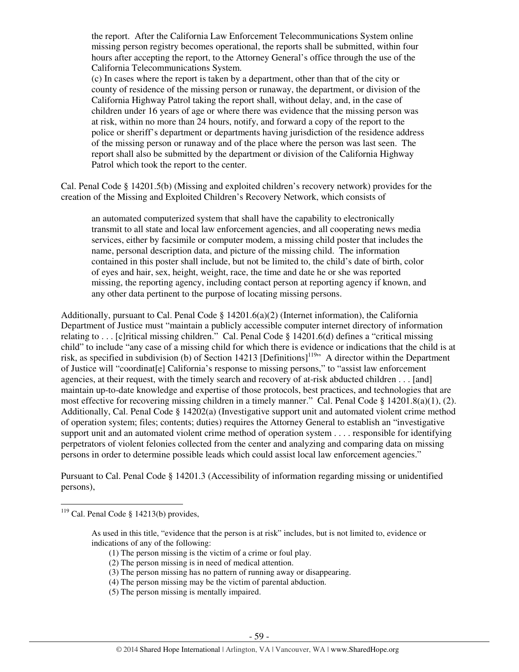the report. After the California Law Enforcement Telecommunications System online missing person registry becomes operational, the reports shall be submitted, within four hours after accepting the report, to the Attorney General's office through the use of the California Telecommunications System.

(c) In cases where the report is taken by a department, other than that of the city or county of residence of the missing person or runaway, the department, or division of the California Highway Patrol taking the report shall, without delay, and, in the case of children under 16 years of age or where there was evidence that the missing person was at risk, within no more than 24 hours, notify, and forward a copy of the report to the police or sheriff's department or departments having jurisdiction of the residence address of the missing person or runaway and of the place where the person was last seen. The report shall also be submitted by the department or division of the California Highway Patrol which took the report to the center.

Cal. Penal Code § 14201.5(b) (Missing and exploited children's recovery network) provides for the creation of the Missing and Exploited Children's Recovery Network, which consists of

an automated computerized system that shall have the capability to electronically transmit to all state and local law enforcement agencies, and all cooperating news media services, either by facsimile or computer modem, a missing child poster that includes the name, personal description data, and picture of the missing child. The information contained in this poster shall include, but not be limited to, the child's date of birth, color of eyes and hair, sex, height, weight, race, the time and date he or she was reported missing, the reporting agency, including contact person at reporting agency if known, and any other data pertinent to the purpose of locating missing persons.

Additionally, pursuant to Cal. Penal Code  $\S 14201.6(a)(2)$  (Internet information), the California Department of Justice must "maintain a publicly accessible computer internet directory of information relating to . . . [c]ritical missing children." Cal. Penal Code § 14201.6(d) defines a "critical missing child" to include "any case of a missing child for which there is evidence or indications that the child is at risk, as specified in subdivision (b) of Section 14213 [Definitions]<sup>119</sup> A director within the Department of Justice will "coordinat[e] California's response to missing persons," to "assist law enforcement agencies, at their request, with the timely search and recovery of at-risk abducted children . . . [and] maintain up-to-date knowledge and expertise of those protocols, best practices, and technologies that are most effective for recovering missing children in a timely manner." Cal. Penal Code § 14201.8(a)(1), (2). Additionally, Cal. Penal Code § 14202(a) (Investigative support unit and automated violent crime method of operation system; files; contents; duties) requires the Attorney General to establish an "investigative support unit and an automated violent crime method of operation system . . . . responsible for identifying perpetrators of violent felonies collected from the center and analyzing and comparing data on missing persons in order to determine possible leads which could assist local law enforcement agencies."

Pursuant to Cal. Penal Code § 14201.3 (Accessibility of information regarding missing or unidentified persons),

- (1) The person missing is the victim of a crime or foul play.
- (2) The person missing is in need of medical attention.
- (3) The person missing has no pattern of running away or disappearing.
- (4) The person missing may be the victim of parental abduction.
- (5) The person missing is mentally impaired.

 $119$  Cal. Penal Code § 14213(b) provides,

As used in this title, "evidence that the person is at risk" includes, but is not limited to, evidence or indications of any of the following: